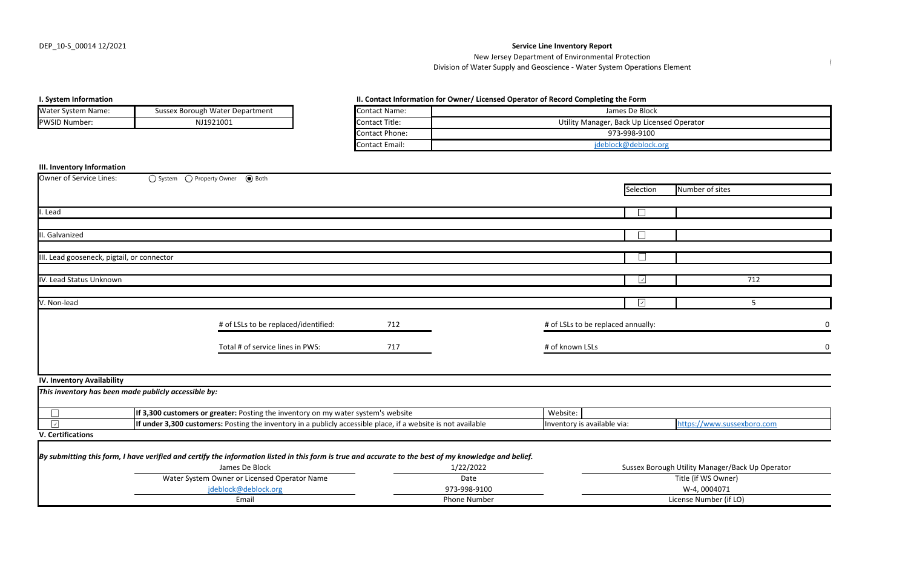## **I.**

# **System Information II. Contact Information for Owner/ Licensed Operator of Record Completing the Form**

#### **III. Inventory Information**

|               | d Operator      |                |          |
|---------------|-----------------|----------------|----------|
|               |                 |                |          |
| $\frac{1}{2}$ |                 |                |          |
|               |                 |                |          |
|               |                 |                |          |
|               |                 |                |          |
|               | Number of sites |                |          |
|               |                 |                |          |
|               |                 |                |          |
|               |                 |                |          |
|               |                 |                |          |
|               |                 |                |          |
|               |                 |                |          |
|               |                 |                |          |
|               |                 | 712            |          |
|               |                 |                |          |
|               |                 | $\overline{5}$ |          |
|               |                 |                |          |
|               |                 |                | $\bf{0}$ |
|               |                 |                |          |
|               |                 |                | 0        |
|               |                 |                |          |
|               |                 |                |          |
|               |                 |                |          |
|               |                 |                |          |
|               |                 |                |          |
|               |                 |                |          |

License Number (if LO)

| Contact Name:  | James De Block                             |
|----------------|--------------------------------------------|
| Contact Title: | Utility Manager, Back Up Licensed Operator |
| Contact Phone: | 973-998-9100                               |
| Contact Email: | jdeblock@deblock.org                       |

| Water System Name:    | Sussex Borough Water Department | Contact Name:  |
|-----------------------|---------------------------------|----------------|
| <b>IPWSID Number:</b> | NJ1921001                       | Contact Title: |

| Owner of Service Lines:                    | ○ System ● Property Owner ● Both                                                                                                                      |                     |                                    |                                                 |
|--------------------------------------------|-------------------------------------------------------------------------------------------------------------------------------------------------------|---------------------|------------------------------------|-------------------------------------------------|
|                                            |                                                                                                                                                       |                     | Selection                          | Number of sites                                 |
|                                            |                                                                                                                                                       |                     |                                    |                                                 |
| I. Lead                                    |                                                                                                                                                       |                     |                                    |                                                 |
|                                            |                                                                                                                                                       |                     |                                    |                                                 |
| II. Galvanized                             |                                                                                                                                                       |                     |                                    |                                                 |
|                                            |                                                                                                                                                       |                     |                                    |                                                 |
| III. Lead gooseneck, pigtail, or connector |                                                                                                                                                       |                     |                                    |                                                 |
|                                            |                                                                                                                                                       |                     |                                    |                                                 |
| IV. Lead Status Unknown                    |                                                                                                                                                       |                     | $\vee$                             | 712                                             |
|                                            |                                                                                                                                                       |                     |                                    |                                                 |
| V. Non-lead                                |                                                                                                                                                       |                     | $\sqrt{ }$                         | 5 <sub>1</sub>                                  |
|                                            |                                                                                                                                                       |                     |                                    |                                                 |
|                                            | # of LSLs to be replaced/identified:                                                                                                                  | 712                 | # of LSLs to be replaced annually: |                                                 |
|                                            |                                                                                                                                                       |                     |                                    |                                                 |
|                                            | Total # of service lines in PWS:                                                                                                                      | 717                 | # of known LSLs                    |                                                 |
|                                            |                                                                                                                                                       |                     |                                    |                                                 |
|                                            |                                                                                                                                                       |                     |                                    |                                                 |
| <b>IV. Inventory Availability</b>          |                                                                                                                                                       |                     |                                    |                                                 |
|                                            | This inventory has been made publicly accessible by:                                                                                                  |                     |                                    |                                                 |
|                                            |                                                                                                                                                       |                     |                                    |                                                 |
|                                            | If 3,300 customers or greater: Posting the inventory on my water system's website                                                                     |                     | Website:                           |                                                 |
| $\checkmark$                               | If under 3,300 customers: Posting the inventory in a publicly accessible place, if a website is not available                                         |                     | Inventory is available via:        | https://www.sussexboro.com                      |
| <b>V. Certifications</b>                   |                                                                                                                                                       |                     |                                    |                                                 |
|                                            |                                                                                                                                                       |                     |                                    |                                                 |
|                                            | By submitting this form, I have verified and certify the information listed in this form is true and accurate to the best of my knowledge and belief. |                     |                                    |                                                 |
|                                            | James De Block                                                                                                                                        | 1/22/2022           |                                    | Sussex Borough Utility Manager/Back Up Operator |
|                                            | Water System Owner or Licensed Operator Name                                                                                                          | Date                |                                    | Title (if WS Owner)                             |
|                                            | jdeblock@deblock.org                                                                                                                                  | 973-998-9100        |                                    | W-4,0004071                                     |
|                                            | Email                                                                                                                                                 | <b>Phone Number</b> |                                    | License Number (if LO)                          |

Division of Water Supply and Geoscience ‐ Water System Operations Element New Jersey Department of Environmental Protection

#### **Service Line Inventory Report**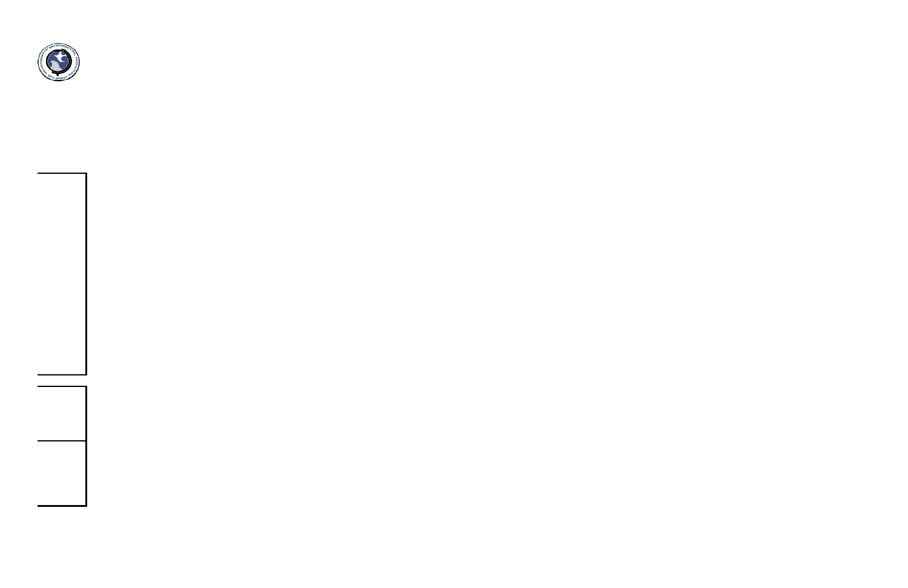

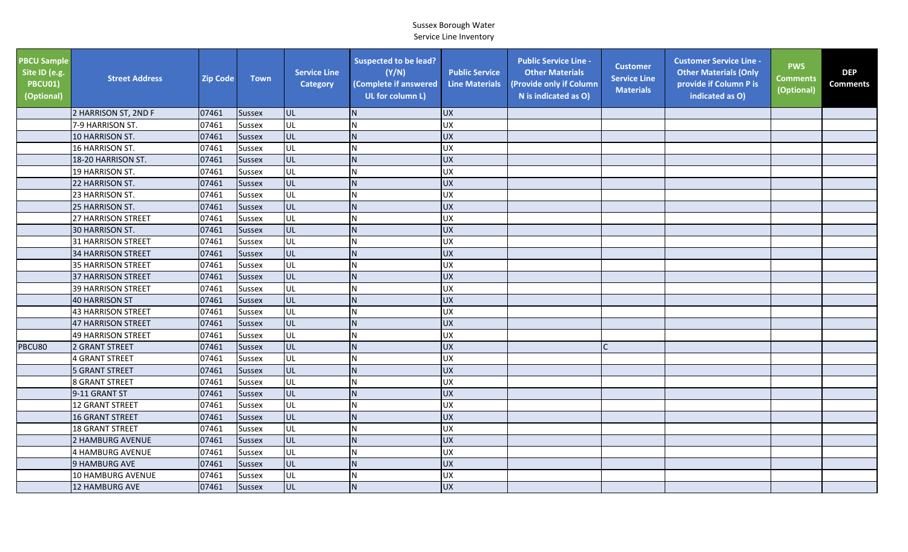| <b>PBCU Sample</b><br>Site ID (e.g.<br><b>PBCU01)</b><br>(Optional) | <b>Street Address</b>     | <b>Zip Code</b> | <b>Town</b>   | <b>Service Line</b><br><b>Category</b> | <b>Suspected to be lead?</b><br>(Y/N)<br>(Complete if answered<br>UL for column L) | <b>Public Service</b><br><b>Line Materials</b> | <b>Public Service Line -</b><br><b>Other Materials</b><br>(Provide only if Column<br>N is indicated as O) | <b>Customer</b><br><b>Service Line</b><br><b>Materials</b> | <b>Customer Service Line -</b><br><b>Other Materials (Only</b><br>provide if Column P is<br>indicated as O) | <b>PWS</b><br>Comments<br>(Optional) | <b>DEP</b><br><b>Comments</b> |
|---------------------------------------------------------------------|---------------------------|-----------------|---------------|----------------------------------------|------------------------------------------------------------------------------------|------------------------------------------------|-----------------------------------------------------------------------------------------------------------|------------------------------------------------------------|-------------------------------------------------------------------------------------------------------------|--------------------------------------|-------------------------------|
|                                                                     | 2 HARRISON ST, 2ND F      | 07461           | Sussex        | UL                                     | IN.                                                                                | <b>UX</b>                                      |                                                                                                           |                                                            |                                                                                                             |                                      |                               |
|                                                                     | 7-9 HARRISON ST.          | 07461           | Sussex        | UL                                     | N                                                                                  | UX                                             |                                                                                                           |                                                            |                                                                                                             |                                      |                               |
|                                                                     | 10 HARRISON ST.           | 07461           | <b>Sussex</b> | UL                                     | <b>N</b>                                                                           | <b>UX</b>                                      |                                                                                                           |                                                            |                                                                                                             |                                      |                               |
|                                                                     | 16 HARRISON ST.           | 07461           | Sussex        | UL                                     | N                                                                                  | UX                                             |                                                                                                           |                                                            |                                                                                                             |                                      |                               |
|                                                                     | 18-20 HARRISON ST.        | 07461           | <b>Sussex</b> | UL                                     | N                                                                                  | <b>UX</b>                                      |                                                                                                           |                                                            |                                                                                                             |                                      |                               |
|                                                                     | 19 HARRISON ST.           | 07461           | Sussex        | UL                                     | IN.                                                                                | UX                                             |                                                                                                           |                                                            |                                                                                                             |                                      |                               |
|                                                                     | 22 HARRISON ST.           | 07461           | <b>Sussex</b> | UL                                     | N                                                                                  | UX                                             |                                                                                                           |                                                            |                                                                                                             |                                      |                               |
|                                                                     | 23 HARRISON ST.           | 07461           | <b>Sussex</b> | UL                                     | N.                                                                                 | UX                                             |                                                                                                           |                                                            |                                                                                                             |                                      |                               |
|                                                                     | 25 HARRISON ST.           | 07461           | <b>Sussex</b> | UL                                     | N                                                                                  | <b>UX</b>                                      |                                                                                                           |                                                            |                                                                                                             |                                      |                               |
|                                                                     | <b>27 HARRISON STREET</b> | 07461           | Sussex        | UL                                     | N                                                                                  | UX                                             |                                                                                                           |                                                            |                                                                                                             |                                      |                               |
|                                                                     | 30 HARRISON ST.           | 07461           | Sussex        | UL                                     | I <sub>N</sub>                                                                     | <b>UX</b>                                      |                                                                                                           |                                                            |                                                                                                             |                                      |                               |
|                                                                     | <b>31 HARRISON STREET</b> | 07461           | <b>Sussex</b> | UL                                     | N                                                                                  | UX                                             |                                                                                                           |                                                            |                                                                                                             |                                      |                               |
|                                                                     | <b>34 HARRISON STREET</b> | 07461           | <b>Sussex</b> | UL                                     | IN.                                                                                | <b>UX</b>                                      |                                                                                                           |                                                            |                                                                                                             |                                      |                               |
|                                                                     | <b>35 HARRISON STREET</b> | 07461           | Sussex        | UL                                     | N                                                                                  | UX                                             |                                                                                                           |                                                            |                                                                                                             |                                      |                               |
|                                                                     | <b>37 HARRISON STREET</b> | 07461           | Sussex        | UL                                     | N                                                                                  | UX                                             |                                                                                                           |                                                            |                                                                                                             |                                      |                               |
|                                                                     | <b>39 HARRISON STREET</b> | 07461           | <b>Sussex</b> | UL                                     | N.                                                                                 | <b>ND</b>                                      |                                                                                                           |                                                            |                                                                                                             |                                      |                               |
|                                                                     | <b>40 HARRISON ST</b>     | 07461           | Sussex        | UL                                     | I <sub>N</sub>                                                                     | UX                                             |                                                                                                           |                                                            |                                                                                                             |                                      |                               |
|                                                                     | <b>43 HARRISON STREET</b> | 07461           | Sussex        | UL                                     | IN.                                                                                | UX                                             |                                                                                                           |                                                            |                                                                                                             |                                      |                               |
|                                                                     | <b>47 HARRISON STREET</b> | 07461           | Sussex        | UL                                     | I <sub>N</sub>                                                                     | UX                                             |                                                                                                           |                                                            |                                                                                                             |                                      |                               |
|                                                                     | 49 HARRISON STREET        | 07461           | Sussex        | UL                                     | IN.                                                                                | UX                                             |                                                                                                           |                                                            |                                                                                                             |                                      |                               |
| PBCU80                                                              | 2 GRANT STREET            | 07461           | <b>Sussex</b> | UL                                     | I <sub>N</sub>                                                                     | UX                                             |                                                                                                           |                                                            |                                                                                                             |                                      |                               |
|                                                                     | <b>4 GRANT STREET</b>     | 07461           | Sussex        | UL                                     | IN.                                                                                | <b>ND</b>                                      |                                                                                                           |                                                            |                                                                                                             |                                      |                               |
|                                                                     | <b>5 GRANT STREET</b>     | 07461           | <b>Sussex</b> | UL                                     | IN.                                                                                | <b>UX</b>                                      |                                                                                                           |                                                            |                                                                                                             |                                      |                               |
|                                                                     | <b>8 GRANT STREET</b>     | 07461           | Sussex        | UL                                     | N                                                                                  | UX                                             |                                                                                                           |                                                            |                                                                                                             |                                      |                               |
|                                                                     | 9-11 GRANT ST             | 07461           | <b>Sussex</b> | UL                                     | N                                                                                  | <b>UX</b>                                      |                                                                                                           |                                                            |                                                                                                             |                                      |                               |
|                                                                     | <b>12 GRANT STREET</b>    | 07461           | Sussex        | UL                                     | N                                                                                  | UX                                             |                                                                                                           |                                                            |                                                                                                             |                                      |                               |
|                                                                     | <b>16 GRANT STREET</b>    | 07461           | <b>Sussex</b> | UL                                     | N                                                                                  | <b>UX</b>                                      |                                                                                                           |                                                            |                                                                                                             |                                      |                               |
|                                                                     | <b>18 GRANT STREET</b>    | 07461           | <b>Sussex</b> | UL                                     | N                                                                                  | UX                                             |                                                                                                           |                                                            |                                                                                                             |                                      |                               |
|                                                                     | 2 HAMBURG AVENUE          | 07461           | <b>Sussex</b> | UL                                     | N                                                                                  | <b>UX</b>                                      |                                                                                                           |                                                            |                                                                                                             |                                      |                               |
|                                                                     | <b>4 HAMBURG AVENUE</b>   | 07461           | Sussex        | UL                                     | IN.                                                                                | UX                                             |                                                                                                           |                                                            |                                                                                                             |                                      |                               |
|                                                                     | <b>9 HAMBURG AVE</b>      | 07461           | <b>Sussex</b> | UL                                     | N                                                                                  | UX                                             |                                                                                                           |                                                            |                                                                                                             |                                      |                               |
|                                                                     | <b>10 HAMBURG AVENUE</b>  | 07461           | Sussex        | UL                                     | N                                                                                  | UX                                             |                                                                                                           |                                                            |                                                                                                             |                                      |                               |
|                                                                     | 12 HAMBURG AVE            | 07461           | Sussex        | UL                                     | N                                                                                  | UX                                             |                                                                                                           |                                                            |                                                                                                             |                                      |                               |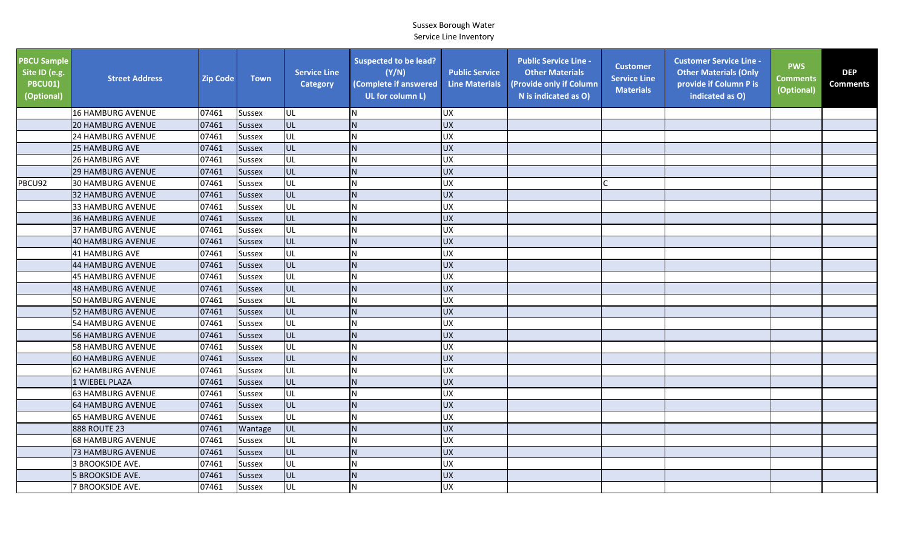| <b>PBCU Sample</b><br>Site ID (e.g.<br><b>PBCU01)</b><br>(Optional) | <b>Street Address</b>    | <b>Zip Code</b> | <b>Town</b>   | <b>Service Line</b><br><b>Category</b> | <b>Suspected to be lead?</b><br>(Y/N)<br>(Complete if answered<br>UL for column L) | <b>Public Service</b><br><b>Line Materials</b> | <b>Public Service Line -</b><br><b>Other Materials</b><br>(Provide only if Column<br>N is indicated as O) | <b>Customer</b><br><b>Service Line</b><br><b>Materials</b> | <b>Customer Service Line -</b><br><b>Other Materials (Only</b><br>provide if Column P is<br>indicated as O) | <b>PWS</b><br>Comments<br>(Optional) | <b>DEP</b><br><b>Comments</b> |
|---------------------------------------------------------------------|--------------------------|-----------------|---------------|----------------------------------------|------------------------------------------------------------------------------------|------------------------------------------------|-----------------------------------------------------------------------------------------------------------|------------------------------------------------------------|-------------------------------------------------------------------------------------------------------------|--------------------------------------|-------------------------------|
|                                                                     | <b>16 HAMBURG AVENUE</b> | 07461           | <b>Sussex</b> | UL                                     | IN.                                                                                | <b>UX</b>                                      |                                                                                                           |                                                            |                                                                                                             |                                      |                               |
|                                                                     | <b>20 HAMBURG AVENUE</b> | 07461           | Sussex        | UL                                     | N                                                                                  | UX                                             |                                                                                                           |                                                            |                                                                                                             |                                      |                               |
|                                                                     | <b>24 HAMBURG AVENUE</b> | 07461           | <b>Sussex</b> | UL                                     | N                                                                                  | UX                                             |                                                                                                           |                                                            |                                                                                                             |                                      |                               |
|                                                                     | <b>25 HAMBURG AVE</b>    | 07461           | <b>Sussex</b> | UL                                     | N                                                                                  | <b>UX</b>                                      |                                                                                                           |                                                            |                                                                                                             |                                      |                               |
|                                                                     | 26 HAMBURG AVE           | 07461           | Sussex        | UL                                     | N                                                                                  | UX                                             |                                                                                                           |                                                            |                                                                                                             |                                      |                               |
|                                                                     | <b>29 HAMBURG AVENUE</b> | 07461           | <b>Sussex</b> | UL                                     | $\overline{\mathsf{N}}$                                                            | <b>UX</b>                                      |                                                                                                           |                                                            |                                                                                                             |                                      |                               |
| PBCU92                                                              | <b>30 HAMBURG AVENUE</b> | 07461           | Sussex        | UL                                     | N                                                                                  | UX                                             |                                                                                                           |                                                            |                                                                                                             |                                      |                               |
|                                                                     | <b>32 HAMBURG AVENUE</b> | 07461           | <b>Sussex</b> | UL                                     | N                                                                                  | UX                                             |                                                                                                           |                                                            |                                                                                                             |                                      |                               |
|                                                                     | 33 HAMBURG AVENUE        | 07461           | Sussex        | UL                                     | N                                                                                  | UX                                             |                                                                                                           |                                                            |                                                                                                             |                                      |                               |
|                                                                     | <b>36 HAMBURG AVENUE</b> | 07461           | <b>Sussex</b> | UL                                     | $\mathsf{N}$                                                                       | <b>UX</b>                                      |                                                                                                           |                                                            |                                                                                                             |                                      |                               |
|                                                                     | <b>37 HAMBURG AVENUE</b> | 07461           | <b>Sussex</b> | UL                                     | $\mathsf{N}$                                                                       | UX                                             |                                                                                                           |                                                            |                                                                                                             |                                      |                               |
|                                                                     | <b>40 HAMBURG AVENUE</b> | 07461           | Sussex        | UL                                     | N                                                                                  | <b>UX</b>                                      |                                                                                                           |                                                            |                                                                                                             |                                      |                               |
|                                                                     | 41 HAMBURG AVE           | 07461           | Sussex        | UL                                     | N                                                                                  | UX                                             |                                                                                                           |                                                            |                                                                                                             |                                      |                               |
|                                                                     | 44 HAMBURG AVENUE        | 07461           | <b>Sussex</b> | UL                                     | $\mathsf{N}$                                                                       | <b>UX</b>                                      |                                                                                                           |                                                            |                                                                                                             |                                      |                               |
|                                                                     | <b>45 HAMBURG AVENUE</b> | 07461           | <b>Sussex</b> | UL                                     | N                                                                                  | UX                                             |                                                                                                           |                                                            |                                                                                                             |                                      |                               |
|                                                                     | <b>48 HAMBURG AVENUE</b> | 07461           | <b>Sussex</b> | UL                                     | N                                                                                  | <b>UX</b>                                      |                                                                                                           |                                                            |                                                                                                             |                                      |                               |
|                                                                     | <b>50 HAMBURG AVENUE</b> | 07461           | Sussex        | UL                                     | N                                                                                  | <b>UX</b>                                      |                                                                                                           |                                                            |                                                                                                             |                                      |                               |
|                                                                     | <b>52 HAMBURG AVENUE</b> | 07461           | Sussex        | UL                                     | N                                                                                  | <b>UX</b>                                      |                                                                                                           |                                                            |                                                                                                             |                                      |                               |
|                                                                     | <b>54 HAMBURG AVENUE</b> | 07461           | Sussex        | UL                                     | $\mathsf{N}$                                                                       | UX                                             |                                                                                                           |                                                            |                                                                                                             |                                      |                               |
|                                                                     | <b>56 HAMBURG AVENUE</b> | 07461           | <b>Sussex</b> | UL                                     | N                                                                                  | <b>UX</b>                                      |                                                                                                           |                                                            |                                                                                                             |                                      |                               |
|                                                                     | <b>58 HAMBURG AVENUE</b> | 07461           | Sussex        | UL                                     | N                                                                                  | UX                                             |                                                                                                           |                                                            |                                                                                                             |                                      |                               |
|                                                                     | <b>60 HAMBURG AVENUE</b> | 07461           | <b>Sussex</b> | UL                                     | IN.                                                                                | UX                                             |                                                                                                           |                                                            |                                                                                                             |                                      |                               |
|                                                                     | <b>62 HAMBURG AVENUE</b> | 07461           | <b>Sussex</b> | UL                                     | N                                                                                  | <b>UX</b>                                      |                                                                                                           |                                                            |                                                                                                             |                                      |                               |
|                                                                     | 1 WIEBEL PLAZA           | 07461           | <b>Sussex</b> | UL                                     | N                                                                                  | UX                                             |                                                                                                           |                                                            |                                                                                                             |                                      |                               |
|                                                                     | <b>63 HAMBURG AVENUE</b> | 07461           | <b>Sussex</b> | UL                                     | $\mathsf{N}$                                                                       | UX                                             |                                                                                                           |                                                            |                                                                                                             |                                      |                               |
|                                                                     | <b>64 HAMBURG AVENUE</b> | 07461           | <b>Sussex</b> | UL                                     | N                                                                                  | UX                                             |                                                                                                           |                                                            |                                                                                                             |                                      |                               |
|                                                                     | <b>65 HAMBURG AVENUE</b> | 07461           | Sussex        | UL                                     | N                                                                                  | UX                                             |                                                                                                           |                                                            |                                                                                                             |                                      |                               |
|                                                                     | <b>888 ROUTE 23</b>      | 07461           | Wantage       | UL                                     | $\overline{\mathsf{N}}$                                                            | <b>UX</b>                                      |                                                                                                           |                                                            |                                                                                                             |                                      |                               |
|                                                                     | <b>68 HAMBURG AVENUE</b> | 07461           | Sussex        | UL                                     | N                                                                                  | UX                                             |                                                                                                           |                                                            |                                                                                                             |                                      |                               |
|                                                                     | <b>73 HAMBURG AVENUE</b> | 07461           | <b>Sussex</b> | UL                                     | ΙN                                                                                 | <b>UX</b>                                      |                                                                                                           |                                                            |                                                                                                             |                                      |                               |
|                                                                     | 3 BROOKSIDE AVE.         | 07461           | Sussex        | UL                                     | N                                                                                  | UX                                             |                                                                                                           |                                                            |                                                                                                             |                                      |                               |
|                                                                     | 5 BROOKSIDE AVE.         | 07461           | <b>Sussex</b> | UL                                     | <b>N</b>                                                                           | <b>UX</b>                                      |                                                                                                           |                                                            |                                                                                                             |                                      |                               |
|                                                                     | 7 BROOKSIDE AVE.         | 07461           | Sussex        | UL                                     | N                                                                                  | <b>UX</b>                                      |                                                                                                           |                                                            |                                                                                                             |                                      |                               |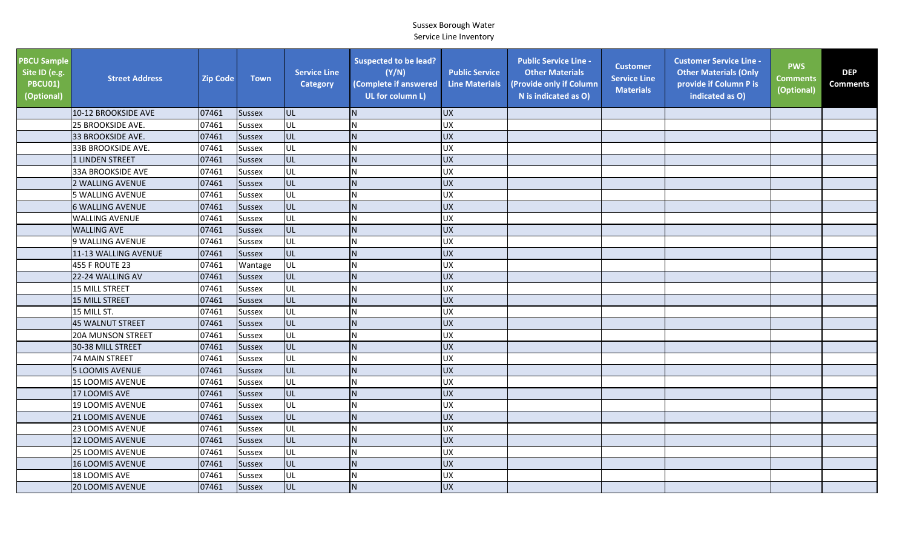| <b>PBCU Sample</b><br>Site ID (e.g.<br><b>PBCU01)</b><br>(Optional) | <b>Street Address</b>    | <b>Zip Code</b> | <b>Town</b>   | <b>Service Line</b><br><b>Category</b> | <b>Suspected to be lead?</b><br>(Y/N)<br>(Complete if answered<br>UL for column L) | <b>Public Service</b><br><b>Line Materials</b> | <b>Public Service Line -</b><br><b>Other Materials</b><br>(Provide only if Column<br>N is indicated as O) | <b>Customer</b><br><b>Service Line</b><br><b>Materials</b> | <b>Customer Service Line -</b><br><b>Other Materials (Only</b><br>provide if Column P is<br>indicated as O) | <b>PWS</b><br>Comments<br>(Optional) | <b>DEP</b><br><b>Comments</b> |
|---------------------------------------------------------------------|--------------------------|-----------------|---------------|----------------------------------------|------------------------------------------------------------------------------------|------------------------------------------------|-----------------------------------------------------------------------------------------------------------|------------------------------------------------------------|-------------------------------------------------------------------------------------------------------------|--------------------------------------|-------------------------------|
|                                                                     | 10-12 BROOKSIDE AVE      | 07461           | Sussex        | UL                                     | IN.                                                                                | <b>UX</b>                                      |                                                                                                           |                                                            |                                                                                                             |                                      |                               |
|                                                                     | 25 BROOKSIDE AVE.        | 07461           | Sussex        | UL                                     | N                                                                                  | UX                                             |                                                                                                           |                                                            |                                                                                                             |                                      |                               |
|                                                                     | 33 BROOKSIDE AVE.        | 07461           | <b>Sussex</b> | UL                                     | N                                                                                  | <b>UX</b>                                      |                                                                                                           |                                                            |                                                                                                             |                                      |                               |
|                                                                     | 33B BROOKSIDE AVE.       | 07461           | <b>Sussex</b> | UL                                     | N                                                                                  | UX                                             |                                                                                                           |                                                            |                                                                                                             |                                      |                               |
|                                                                     | 1 LINDEN STREET          | 07461           | Sussex        | UL                                     | N                                                                                  | <b>UX</b>                                      |                                                                                                           |                                                            |                                                                                                             |                                      |                               |
|                                                                     | <b>33A BROOKSIDE AVE</b> | 07461           | Sussex        | UL                                     | N                                                                                  | UX                                             |                                                                                                           |                                                            |                                                                                                             |                                      |                               |
|                                                                     | 2 WALLING AVENUE         | 07461           | <b>Sussex</b> | UL                                     | N                                                                                  | <b>UX</b>                                      |                                                                                                           |                                                            |                                                                                                             |                                      |                               |
|                                                                     | <b>5 WALLING AVENUE</b>  | 07461           | <b>Sussex</b> | UL                                     | N.                                                                                 | UX                                             |                                                                                                           |                                                            |                                                                                                             |                                      |                               |
|                                                                     | <b>6 WALLING AVENUE</b>  | 07461           | <b>Sussex</b> | UL                                     | N                                                                                  | <b>UX</b>                                      |                                                                                                           |                                                            |                                                                                                             |                                      |                               |
|                                                                     | <b>WALLING AVENUE</b>    | 07461           | <b>Sussex</b> | UL                                     | N                                                                                  | <b>UX</b>                                      |                                                                                                           |                                                            |                                                                                                             |                                      |                               |
|                                                                     | <b>WALLING AVE</b>       | 07461           | Sussex        | UL                                     | N <sub>1</sub>                                                                     | <b>UX</b>                                      |                                                                                                           |                                                            |                                                                                                             |                                      |                               |
|                                                                     | 9 WALLING AVENUE         | 07461           | <b>Sussex</b> | UL                                     | N                                                                                  | UX                                             |                                                                                                           |                                                            |                                                                                                             |                                      |                               |
|                                                                     | 11-13 WALLING AVENUE     | 07461           | <b>Sussex</b> | UL                                     | IN.                                                                                | <b>UX</b>                                      |                                                                                                           |                                                            |                                                                                                             |                                      |                               |
|                                                                     | 455 F ROUTE 23           | 07461           | Wantage       | UL                                     | N                                                                                  | <b>XD</b>                                      |                                                                                                           |                                                            |                                                                                                             |                                      |                               |
|                                                                     | 22-24 WALLING AV         | 07461           | <b>Sussex</b> | UL                                     | N <sub>1</sub>                                                                     | UX                                             |                                                                                                           |                                                            |                                                                                                             |                                      |                               |
|                                                                     | <b>15 MILL STREET</b>    | 07461           | Sussex        | UL                                     | N.                                                                                 | <b>ND</b>                                      |                                                                                                           |                                                            |                                                                                                             |                                      |                               |
|                                                                     | <b>15 MILL STREET</b>    | 07461           | Sussex        | UL                                     | I <sub>N</sub>                                                                     | UX                                             |                                                                                                           |                                                            |                                                                                                             |                                      |                               |
|                                                                     | 15 MILL ST.              | 07461           | Sussex        | UL                                     | N                                                                                  | UX                                             |                                                                                                           |                                                            |                                                                                                             |                                      |                               |
|                                                                     | 45 WALNUT STREET         | 07461           | <b>Sussex</b> | <b>UL</b>                              | N                                                                                  | UX                                             |                                                                                                           |                                                            |                                                                                                             |                                      |                               |
|                                                                     | 20A MUNSON STREET        | 07461           | Sussex        | UL                                     | N                                                                                  | <b>ND</b>                                      |                                                                                                           |                                                            |                                                                                                             |                                      |                               |
|                                                                     | 30-38 MILL STREET        | 07461           | <b>Sussex</b> | UL                                     | N                                                                                  | UX                                             |                                                                                                           |                                                            |                                                                                                             |                                      |                               |
|                                                                     | <b>74 MAIN STREET</b>    | 07461           | Sussex        | UL                                     | N                                                                                  | <b>ND</b>                                      |                                                                                                           |                                                            |                                                                                                             |                                      |                               |
|                                                                     | <b>5 LOOMIS AVENUE</b>   | 07461           | Sussex        | UL                                     | N                                                                                  | UX                                             |                                                                                                           |                                                            |                                                                                                             |                                      |                               |
|                                                                     | <b>15 LOOMIS AVENUE</b>  | 07461           | Sussex        | UL                                     | N                                                                                  | UX                                             |                                                                                                           |                                                            |                                                                                                             |                                      |                               |
|                                                                     | 17 LOOMIS AVE            | 07461           | <b>Sussex</b> | UL                                     | N <sub>1</sub>                                                                     | <b>UX</b>                                      |                                                                                                           |                                                            |                                                                                                             |                                      |                               |
|                                                                     | <b>19 LOOMIS AVENUE</b>  | 07461           | Sussex        | UL                                     | ${\sf N}$                                                                          | UX                                             |                                                                                                           |                                                            |                                                                                                             |                                      |                               |
|                                                                     | 21 LOOMIS AVENUE         | 07461           | <b>Sussex</b> | UL                                     |                                                                                    | <b>UX</b>                                      |                                                                                                           |                                                            |                                                                                                             |                                      |                               |
|                                                                     | 23 LOOMIS AVENUE         | 07461           | <b>Sussex</b> | UL                                     | N                                                                                  | UX                                             |                                                                                                           |                                                            |                                                                                                             |                                      |                               |
|                                                                     | <b>12 LOOMIS AVENUE</b>  | 07461           | <b>Sussex</b> | UL                                     | N                                                                                  | <b>UX</b>                                      |                                                                                                           |                                                            |                                                                                                             |                                      |                               |
|                                                                     | 25 LOOMIS AVENUE         | 07461           | Sussex        | UL                                     | IN.                                                                                | UX                                             |                                                                                                           |                                                            |                                                                                                             |                                      |                               |
|                                                                     | <b>16 LOOMIS AVENUE</b>  | 07461           | <b>Sussex</b> | UL                                     | N                                                                                  | UX                                             |                                                                                                           |                                                            |                                                                                                             |                                      |                               |
|                                                                     | 18 LOOMIS AVE            | 07461           | Sussex        | UL                                     | N                                                                                  | UX                                             |                                                                                                           |                                                            |                                                                                                             |                                      |                               |
|                                                                     | <b>20 LOOMIS AVENUE</b>  | 07461           | Sussex        | UL                                     | N <sub>1</sub>                                                                     | UX                                             |                                                                                                           |                                                            |                                                                                                             |                                      |                               |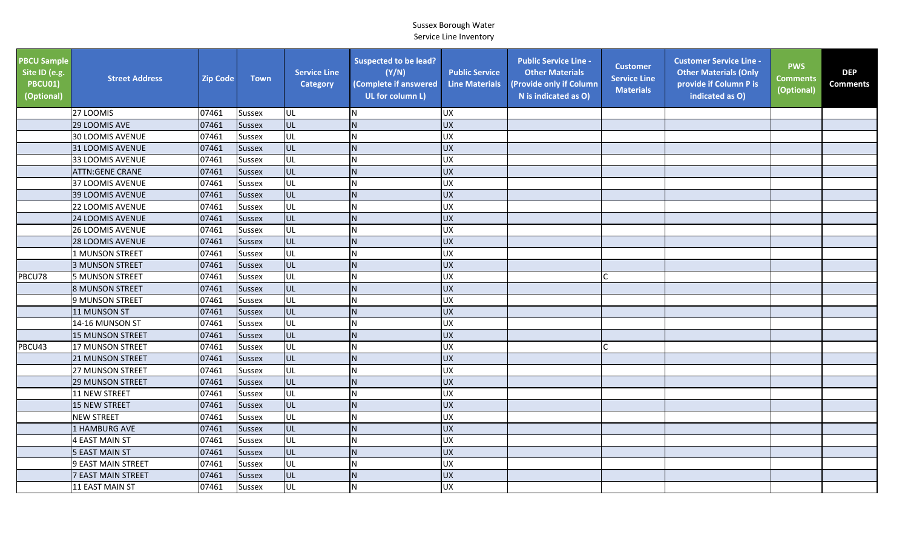| <b>PBCU Sample</b><br>Site ID (e.g.<br><b>PBCU01)</b><br>(Optional) | <b>Street Address</b>     | <b>Zip Code</b> | <b>Town</b>   | <b>Service Line</b><br><b>Category</b> | <b>Suspected to be lead?</b><br>(Y/N)<br>(Complete if answered<br>UL for column L) | <b>Public Service</b><br><b>Line Materials</b> | <b>Public Service Line -</b><br><b>Other Materials</b><br>(Provide only if Column<br>N is indicated as O) | <b>Customer</b><br><b>Service Line</b><br><b>Materials</b> | <b>Customer Service Line -</b><br><b>Other Materials (Only</b><br>provide if Column P is<br>indicated as O) | <b>PWS</b><br>Comments<br>(Optional) | <b>DEP</b><br><b>Comments</b> |
|---------------------------------------------------------------------|---------------------------|-----------------|---------------|----------------------------------------|------------------------------------------------------------------------------------|------------------------------------------------|-----------------------------------------------------------------------------------------------------------|------------------------------------------------------------|-------------------------------------------------------------------------------------------------------------|--------------------------------------|-------------------------------|
|                                                                     | 27 LOOMIS                 | 07461           | <b>Sussex</b> | UL                                     | IN.                                                                                | <b>UX</b>                                      |                                                                                                           |                                                            |                                                                                                             |                                      |                               |
|                                                                     | 29 LOOMIS AVE             | 07461           | <b>Sussex</b> | UL                                     | N <sub>1</sub>                                                                     | <b>UX</b>                                      |                                                                                                           |                                                            |                                                                                                             |                                      |                               |
|                                                                     | <b>30 LOOMIS AVENUE</b>   | 07461           | <b>Sussex</b> | UL                                     | N                                                                                  | UX                                             |                                                                                                           |                                                            |                                                                                                             |                                      |                               |
|                                                                     | 31 LOOMIS AVENUE          | 07461           | <b>Sussex</b> | UL                                     | N                                                                                  | <b>UX</b>                                      |                                                                                                           |                                                            |                                                                                                             |                                      |                               |
|                                                                     | 33 LOOMIS AVENUE          | 07461           | Sussex        | UL                                     | N                                                                                  | UX                                             |                                                                                                           |                                                            |                                                                                                             |                                      |                               |
|                                                                     | <b>ATTN:GENE CRANE</b>    | 07461           | <b>Sussex</b> | UL                                     | N                                                                                  | <b>UX</b>                                      |                                                                                                           |                                                            |                                                                                                             |                                      |                               |
|                                                                     | <b>37 LOOMIS AVENUE</b>   | 07461           | <b>Sussex</b> | UL                                     | N                                                                                  | UX                                             |                                                                                                           |                                                            |                                                                                                             |                                      |                               |
|                                                                     | <b>39 LOOMIS AVENUE</b>   | 07461           | <b>Sussex</b> | UL                                     | <b>N</b>                                                                           | UX                                             |                                                                                                           |                                                            |                                                                                                             |                                      |                               |
|                                                                     | 22 LOOMIS AVENUE          | 07461           | Sussex        | UL                                     | N                                                                                  | UX                                             |                                                                                                           |                                                            |                                                                                                             |                                      |                               |
|                                                                     | <b>24 LOOMIS AVENUE</b>   | 07461           | <b>Sussex</b> | UL                                     | N <sub>1</sub>                                                                     | <b>UX</b>                                      |                                                                                                           |                                                            |                                                                                                             |                                      |                               |
|                                                                     | <b>26 LOOMIS AVENUE</b>   | 07461           | <b>Sussex</b> | UL                                     | N                                                                                  | UX                                             |                                                                                                           |                                                            |                                                                                                             |                                      |                               |
|                                                                     | 28 LOOMIS AVENUE          | 07461           | Sussex        | UL                                     | N <sub>1</sub>                                                                     | <b>UX</b>                                      |                                                                                                           |                                                            |                                                                                                             |                                      |                               |
|                                                                     | 1 MUNSON STREET           | 07461           | <b>Sussex</b> | UL                                     | N                                                                                  | UX                                             |                                                                                                           |                                                            |                                                                                                             |                                      |                               |
|                                                                     | <b>3 MUNSON STREET</b>    | 07461           | <b>Sussex</b> | UL                                     | N <sub>1</sub>                                                                     | <b>UX</b>                                      |                                                                                                           |                                                            |                                                                                                             |                                      |                               |
| PBCU78                                                              | <b>5 MUNSON STREET</b>    | 07461           | Sussex        | UL                                     | N                                                                                  | UX                                             |                                                                                                           | IC                                                         |                                                                                                             |                                      |                               |
|                                                                     | <b>8 MUNSON STREET</b>    | 07461           | <b>Sussex</b> | UL                                     | N                                                                                  | <b>UX</b>                                      |                                                                                                           |                                                            |                                                                                                             |                                      |                               |
|                                                                     | 9 MUNSON STREET           | 07461           | Sussex        | UL                                     | N                                                                                  | <b>UX</b>                                      |                                                                                                           |                                                            |                                                                                                             |                                      |                               |
|                                                                     | 11 MUNSON ST              | 07461           | <b>Sussex</b> | UL                                     | I <sub>N</sub>                                                                     | UX                                             |                                                                                                           |                                                            |                                                                                                             |                                      |                               |
|                                                                     | 14-16 MUNSON ST           | 07461           | Sussex        | UL                                     | N                                                                                  | UX                                             |                                                                                                           |                                                            |                                                                                                             |                                      |                               |
|                                                                     | <b>15 MUNSON STREET</b>   | 07461           | <b>Sussex</b> | UL                                     | N                                                                                  | UX                                             |                                                                                                           |                                                            |                                                                                                             |                                      |                               |
| PBCU43                                                              | 17 MUNSON STREET          | 07461           | Sussex        | UL                                     | N                                                                                  | <b>UX</b>                                      |                                                                                                           |                                                            |                                                                                                             |                                      |                               |
|                                                                     | 21 MUNSON STREET          | 07461           | <b>Sussex</b> | UL                                     | N                                                                                  | <b>UX</b>                                      |                                                                                                           |                                                            |                                                                                                             |                                      |                               |
|                                                                     | 27 MUNSON STREET          | 07461           | <b>Sussex</b> | UL                                     | ${\sf N}$                                                                          | <b>UX</b>                                      |                                                                                                           |                                                            |                                                                                                             |                                      |                               |
|                                                                     | 29 MUNSON STREET          | 07461           | <b>Sussex</b> | UL                                     | N                                                                                  | <b>UX</b>                                      |                                                                                                           |                                                            |                                                                                                             |                                      |                               |
|                                                                     | 11 NEW STREET             | 07461           | Sussex        | UL                                     | N                                                                                  | UX                                             |                                                                                                           |                                                            |                                                                                                             |                                      |                               |
|                                                                     | 15 NEW STREET             | 07461           | <b>Sussex</b> | UL                                     | N                                                                                  | <b>UX</b>                                      |                                                                                                           |                                                            |                                                                                                             |                                      |                               |
|                                                                     | <b>NEW STREET</b>         | 07461           | <b>Sussex</b> | UL                                     | N                                                                                  | UX                                             |                                                                                                           |                                                            |                                                                                                             |                                      |                               |
|                                                                     | <b>1 HAMBURG AVE</b>      | 07461           | <b>Sussex</b> | UL                                     | <b>N</b>                                                                           | UX                                             |                                                                                                           |                                                            |                                                                                                             |                                      |                               |
|                                                                     | <b>4 EAST MAIN ST</b>     | 07461           | Sussex        | UL                                     | N                                                                                  | UX                                             |                                                                                                           |                                                            |                                                                                                             |                                      |                               |
|                                                                     | <b>5 EAST MAIN ST</b>     | 07461           | <b>Sussex</b> | UL                                     | IN                                                                                 | UX                                             |                                                                                                           |                                                            |                                                                                                             |                                      |                               |
|                                                                     | <b>9 EAST MAIN STREET</b> | 07461           | Sussex        | UL                                     | N                                                                                  | UX                                             |                                                                                                           |                                                            |                                                                                                             |                                      |                               |
|                                                                     | 7 EAST MAIN STREET        | 07461           | <b>Sussex</b> | UL                                     | N                                                                                  | <b>UX</b>                                      |                                                                                                           |                                                            |                                                                                                             |                                      |                               |
|                                                                     | 11 EAST MAIN ST           | 07461           | Sussex        | UL                                     | $\overline{N}$                                                                     | <b>UX</b>                                      |                                                                                                           |                                                            |                                                                                                             |                                      |                               |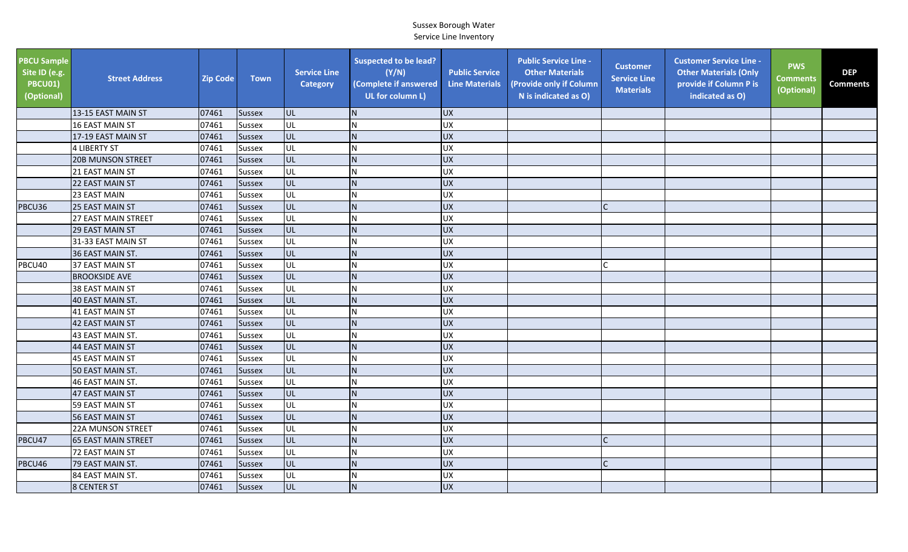| <b>PBCU Sample</b><br>Site ID (e.g.<br><b>PBCU01)</b><br>(Optional) | <b>Street Address</b>      | <b>Zip Code</b> | <b>Town</b>   | <b>Service Line</b><br><b>Category</b> | <b>Suspected to be lead?</b><br>(Y/N)<br>(Complete if answered<br>UL for column L) | <b>Public Service</b><br><b>Line Materials</b> | <b>Public Service Line -</b><br><b>Other Materials</b><br>(Provide only if Column<br>N is indicated as O) | <b>Customer</b><br><b>Service Line</b><br><b>Materials</b> | <b>Customer Service Line -</b><br><b>Other Materials (Only</b><br>provide if Column P is<br>indicated as O) | <b>PWS</b><br><b>Comments</b><br>(Optional) | <b>DEP</b><br><b>Comments</b> |
|---------------------------------------------------------------------|----------------------------|-----------------|---------------|----------------------------------------|------------------------------------------------------------------------------------|------------------------------------------------|-----------------------------------------------------------------------------------------------------------|------------------------------------------------------------|-------------------------------------------------------------------------------------------------------------|---------------------------------------------|-------------------------------|
|                                                                     | 13-15 EAST MAIN ST         | 07461           | <b>Sussex</b> | <b>UL</b>                              | İΝ                                                                                 | <b>UX</b>                                      |                                                                                                           |                                                            |                                                                                                             |                                             |                               |
|                                                                     | <b>16 EAST MAIN ST</b>     | 07461           | <b>Sussex</b> | UL                                     | IN.                                                                                | UX                                             |                                                                                                           |                                                            |                                                                                                             |                                             |                               |
|                                                                     | 17-19 EAST MAIN ST         | 07461           | <b>Sussex</b> | UL                                     | N                                                                                  | <b>UX</b>                                      |                                                                                                           |                                                            |                                                                                                             |                                             |                               |
|                                                                     | <b>4 LIBERTY ST</b>        | 07461           | <b>Sussex</b> | UL                                     | N                                                                                  | UX                                             |                                                                                                           |                                                            |                                                                                                             |                                             |                               |
|                                                                     | <b>20B MUNSON STREET</b>   | 07461           | <b>Sussex</b> | UL                                     | I <sub>N</sub>                                                                     | <b>UX</b>                                      |                                                                                                           |                                                            |                                                                                                             |                                             |                               |
|                                                                     | 21 EAST MAIN ST            | 07461           | <b>Sussex</b> | UL                                     | N                                                                                  | UX                                             |                                                                                                           |                                                            |                                                                                                             |                                             |                               |
|                                                                     | 22 EAST MAIN ST            | 07461           | <b>Sussex</b> | UL                                     | N                                                                                  | UX                                             |                                                                                                           |                                                            |                                                                                                             |                                             |                               |
|                                                                     | 23 EAST MAIN               | 07461           | <b>Sussex</b> | UL                                     | <b>N</b>                                                                           | UX                                             |                                                                                                           |                                                            |                                                                                                             |                                             |                               |
| PBCU36                                                              | 25 EAST MAIN ST            | 07461           | <b>Sussex</b> | UL                                     | I <sub>N</sub>                                                                     | UX                                             |                                                                                                           | $\overline{C}$                                             |                                                                                                             |                                             |                               |
|                                                                     | 27 EAST MAIN STREET        | 07461           | <b>Sussex</b> | UL                                     | İΝ                                                                                 | UX                                             |                                                                                                           |                                                            |                                                                                                             |                                             |                               |
|                                                                     | 29 EAST MAIN ST            | 07461           | Sussex        | UL                                     | N                                                                                  | <b>UX</b>                                      |                                                                                                           |                                                            |                                                                                                             |                                             |                               |
|                                                                     | 31-33 EAST MAIN ST         | 07461           | <b>Sussex</b> | UL                                     | IN.                                                                                | UX                                             |                                                                                                           |                                                            |                                                                                                             |                                             |                               |
|                                                                     | 36 EAST MAIN ST.           | 07461           | <b>Sussex</b> | UL                                     | N                                                                                  | UX                                             |                                                                                                           |                                                            |                                                                                                             |                                             |                               |
| PBCU40                                                              | 37 EAST MAIN ST            | 07461           | <b>Sussex</b> | UL                                     | N                                                                                  | UX                                             |                                                                                                           |                                                            |                                                                                                             |                                             |                               |
|                                                                     | <b>BROOKSIDE AVE</b>       | 07461           | <b>Sussex</b> | UL                                     | <b>N</b>                                                                           | <b>UX</b>                                      |                                                                                                           |                                                            |                                                                                                             |                                             |                               |
|                                                                     | <b>38 EAST MAIN ST</b>     | 07461           | <b>Sussex</b> | UL                                     | N                                                                                  | UX                                             |                                                                                                           |                                                            |                                                                                                             |                                             |                               |
|                                                                     | 40 EAST MAIN ST.           | 07461           | <b>Sussex</b> | UL                                     | IN.                                                                                | <b>UX</b>                                      |                                                                                                           |                                                            |                                                                                                             |                                             |                               |
|                                                                     | <b>41 EAST MAIN ST</b>     | 07461           | <b>Sussex</b> | UL                                     | İΝ                                                                                 | UX                                             |                                                                                                           |                                                            |                                                                                                             |                                             |                               |
|                                                                     | 42 EAST MAIN ST            | 07461           | <b>Sussex</b> | UL                                     | <b>N</b>                                                                           | <b>UX</b>                                      |                                                                                                           |                                                            |                                                                                                             |                                             |                               |
|                                                                     | 43 EAST MAIN ST.           | 07461           | Sussex        | UL                                     | IN.                                                                                | UX                                             |                                                                                                           |                                                            |                                                                                                             |                                             |                               |
|                                                                     | 44 EAST MAIN ST            | 07461           | <b>Sussex</b> | UL                                     | IN.                                                                                | <b>UX</b>                                      |                                                                                                           |                                                            |                                                                                                             |                                             |                               |
|                                                                     | 45 EAST MAIN ST            | 07461           | <b>Sussex</b> | UL                                     | IN.                                                                                | UX                                             |                                                                                                           |                                                            |                                                                                                             |                                             |                               |
|                                                                     | 50 EAST MAIN ST.           | 07461           | <b>Sussex</b> | UL                                     | İΝ                                                                                 | <b>UX</b>                                      |                                                                                                           |                                                            |                                                                                                             |                                             |                               |
|                                                                     | 46 EAST MAIN ST.           | 07461           | <b>Sussex</b> | UL                                     | N                                                                                  | UX                                             |                                                                                                           |                                                            |                                                                                                             |                                             |                               |
|                                                                     | <b>47 EAST MAIN ST</b>     | 07461           | <b>Sussex</b> | UL                                     | <b>N</b>                                                                           | <b>UX</b>                                      |                                                                                                           |                                                            |                                                                                                             |                                             |                               |
|                                                                     | 59 EAST MAIN ST            | 07461           | <b>Sussex</b> | UL                                     | N                                                                                  | UX                                             |                                                                                                           |                                                            |                                                                                                             |                                             |                               |
|                                                                     | 56 EAST MAIN ST            | 07461           | <b>Sussex</b> | UL                                     | N                                                                                  | <b>UX</b>                                      |                                                                                                           |                                                            |                                                                                                             |                                             |                               |
|                                                                     | <b>22A MUNSON STREET</b>   | 07461           | <b>Sussex</b> | UL                                     | N                                                                                  | UX                                             |                                                                                                           |                                                            |                                                                                                             |                                             |                               |
| PBCU47                                                              | <b>65 EAST MAIN STREET</b> | 07461           | <b>Sussex</b> | UL                                     | ΙN                                                                                 | UX                                             |                                                                                                           |                                                            |                                                                                                             |                                             |                               |
|                                                                     | 72 EAST MAIN ST            | 07461           | <b>Sussex</b> | UL                                     | IN.                                                                                | <b>UX</b>                                      |                                                                                                           |                                                            |                                                                                                             |                                             |                               |
| PBCU46                                                              | 79 EAST MAIN ST.           | 07461           | <b>Sussex</b> | UL                                     | <b>N</b>                                                                           | <b>UX</b>                                      |                                                                                                           |                                                            |                                                                                                             |                                             |                               |
|                                                                     | 84 EAST MAIN ST.           | 07461           | <b>Sussex</b> | UL                                     | N                                                                                  | UX                                             |                                                                                                           |                                                            |                                                                                                             |                                             |                               |
|                                                                     | <b>8 CENTER ST</b>         | 07461           | <b>Sussex</b> | UL                                     | IN.                                                                                | <b>UX</b>                                      |                                                                                                           |                                                            |                                                                                                             |                                             |                               |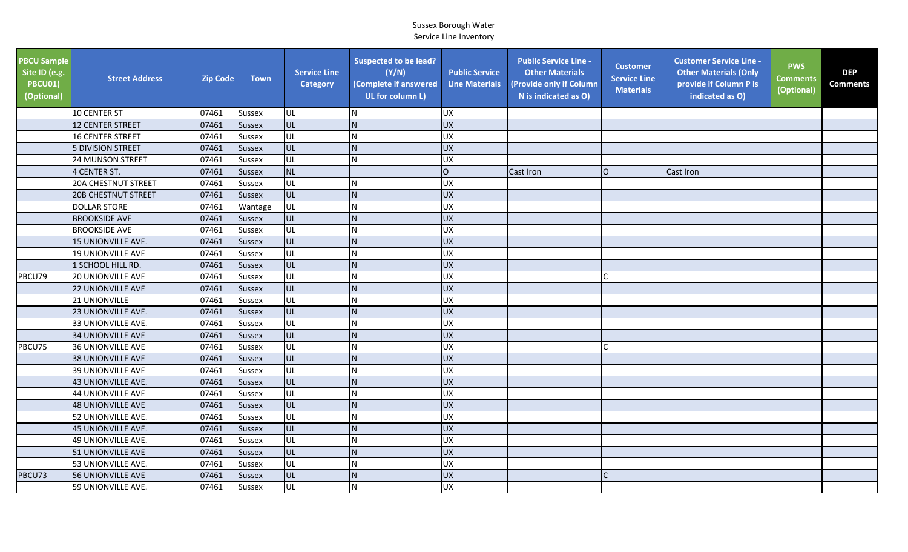| <b>PBCU Sample</b><br>Site ID (e.g.<br><b>PBCU01)</b><br>(Optional) | <b>Street Address</b>      | <b>Zip Code</b> | <b>Town</b>   | <b>Service Line</b><br><b>Category</b> | <b>Suspected to be lead?</b><br>(Y/N)<br>(Complete if answered<br>UL for column L) | <b>Public Service</b><br><b>Line Materials</b> | <b>Public Service Line -</b><br><b>Other Materials</b><br>(Provide only if Column<br>N is indicated as O) | <b>Customer</b><br><b>Service Line</b><br><b>Materials</b> | <b>Customer Service Line -</b><br><b>Other Materials (Only</b><br>provide if Column P is<br>indicated as O) | <b>PWS</b><br>Comments<br>(Optional) | <b>DEP</b><br><b>Comments</b> |
|---------------------------------------------------------------------|----------------------------|-----------------|---------------|----------------------------------------|------------------------------------------------------------------------------------|------------------------------------------------|-----------------------------------------------------------------------------------------------------------|------------------------------------------------------------|-------------------------------------------------------------------------------------------------------------|--------------------------------------|-------------------------------|
|                                                                     | <b>10 CENTER ST</b>        | 07461           | <b>Sussex</b> | UL                                     | IN.                                                                                | <b>UX</b>                                      |                                                                                                           |                                                            |                                                                                                             |                                      |                               |
|                                                                     | <b>12 CENTER STREET</b>    | 07461           | <b>Sussex</b> | UL                                     | N <sub>1</sub>                                                                     | <b>UX</b>                                      |                                                                                                           |                                                            |                                                                                                             |                                      |                               |
|                                                                     | <b>16 CENTER STREET</b>    | 07461           | Sussex        | UL                                     | N                                                                                  | UX                                             |                                                                                                           |                                                            |                                                                                                             |                                      |                               |
|                                                                     | <b>5 DIVISION STREET</b>   | 07461           | <b>Sussex</b> | UL                                     | N                                                                                  | <b>UX</b>                                      |                                                                                                           |                                                            |                                                                                                             |                                      |                               |
|                                                                     | <b>24 MUNSON STREET</b>    | 07461           | Sussex        | UL                                     | N                                                                                  | UX                                             |                                                                                                           |                                                            |                                                                                                             |                                      |                               |
|                                                                     | 4 CENTER ST.               | 07461           | <b>Sussex</b> | <b>NL</b>                              |                                                                                    | $\overline{O}$                                 | Cast Iron                                                                                                 | lo.                                                        | Cast Iron                                                                                                   |                                      |                               |
|                                                                     | <b>20A CHESTNUT STREET</b> | 07461           | <b>Sussex</b> | UL                                     | N                                                                                  | UX                                             |                                                                                                           |                                                            |                                                                                                             |                                      |                               |
|                                                                     | <b>20B CHESTNUT STREET</b> | 07461           | <b>Sussex</b> | UL                                     | <b>N</b>                                                                           | <b>UX</b>                                      |                                                                                                           |                                                            |                                                                                                             |                                      |                               |
|                                                                     | <b>DOLLAR STORE</b>        | 07461           | Wantage       | UL                                     | $\mathsf{N}$                                                                       | UX                                             |                                                                                                           |                                                            |                                                                                                             |                                      |                               |
|                                                                     | <b>BROOKSIDE AVE</b>       | 07461           | <b>Sussex</b> | UL                                     | N <sub>1</sub>                                                                     | <b>UX</b>                                      |                                                                                                           |                                                            |                                                                                                             |                                      |                               |
|                                                                     | <b>BROOKSIDE AVE</b>       | 07461           | <b>Sussex</b> | UL                                     | N.                                                                                 | UX                                             |                                                                                                           |                                                            |                                                                                                             |                                      |                               |
|                                                                     | <b>15 UNIONVILLE AVE.</b>  | 07461           | Sussex        | UL                                     | N <sub>1</sub>                                                                     | <b>UX</b>                                      |                                                                                                           |                                                            |                                                                                                             |                                      |                               |
|                                                                     | 19 UNIONVILLE AVE          | 07461           | Sussex        | UL                                     | N                                                                                  | UX                                             |                                                                                                           |                                                            |                                                                                                             |                                      |                               |
|                                                                     | 1 SCHOOL HILL RD.          | 07461           | <b>Sussex</b> | UL                                     | N <sub>1</sub>                                                                     | <b>UX</b>                                      |                                                                                                           |                                                            |                                                                                                             |                                      |                               |
| PBCU79                                                              | 20 UNIONVILLE AVE          | 07461           | Sussex        | UL                                     | N                                                                                  | UX                                             |                                                                                                           | IC                                                         |                                                                                                             |                                      |                               |
|                                                                     | <b>22 UNIONVILLE AVE</b>   | 07461           | <b>Sussex</b> | UL                                     | N                                                                                  | <b>UX</b>                                      |                                                                                                           |                                                            |                                                                                                             |                                      |                               |
|                                                                     | 21 UNIONVILLE              | 07461           | Sussex        | UL                                     | N                                                                                  | <b>UX</b>                                      |                                                                                                           |                                                            |                                                                                                             |                                      |                               |
|                                                                     | 23 UNIONVILLE AVE.         | 07461           | <b>Sussex</b> | UL                                     | I <sub>N</sub>                                                                     | UX                                             |                                                                                                           |                                                            |                                                                                                             |                                      |                               |
|                                                                     | 33 UNIONVILLE AVE.         | 07461           | Sussex        | UL                                     | N                                                                                  | UX                                             |                                                                                                           |                                                            |                                                                                                             |                                      |                               |
|                                                                     | <b>34 UNIONVILLE AVE</b>   | 07461           | <b>Sussex</b> | UL                                     | I <sub>N</sub>                                                                     | <b>UX</b>                                      |                                                                                                           |                                                            |                                                                                                             |                                      |                               |
| PBCU75                                                              | <b>36 UNIONVILLE AVE</b>   | 07461           | Sussex        | UL                                     | N                                                                                  | <b>UX</b>                                      |                                                                                                           |                                                            |                                                                                                             |                                      |                               |
|                                                                     | <b>38 UNIONVILLE AVE</b>   | 07461           | <b>Sussex</b> | UL                                     | N <sub>1</sub>                                                                     | <b>UX</b>                                      |                                                                                                           |                                                            |                                                                                                             |                                      |                               |
|                                                                     | 39 UNIONVILLE AVE          | 07461           | Sussex        | UL                                     | ${\sf N}$                                                                          | <b>UX</b>                                      |                                                                                                           |                                                            |                                                                                                             |                                      |                               |
|                                                                     | 43 UNIONVILLE AVE.         | 07461           | <b>Sussex</b> | UL                                     | N                                                                                  | <b>UX</b>                                      |                                                                                                           |                                                            |                                                                                                             |                                      |                               |
|                                                                     | <b>44 UNIONVILLE AVE</b>   | 07461           | Sussex        | UL                                     | N                                                                                  | UX                                             |                                                                                                           |                                                            |                                                                                                             |                                      |                               |
|                                                                     | <b>48 UNIONVILLE AVE</b>   | 07461           | <b>Sussex</b> | UL                                     | N                                                                                  | <b>UX</b>                                      |                                                                                                           |                                                            |                                                                                                             |                                      |                               |
|                                                                     | 52 UNIONVILLE AVE.         | 07461           | <b>Sussex</b> | UL                                     | N                                                                                  | UX                                             |                                                                                                           |                                                            |                                                                                                             |                                      |                               |
|                                                                     | 45 UNIONVILLE AVE.         | 07461           | <b>Sussex</b> | UL                                     | <b>N</b>                                                                           | UX                                             |                                                                                                           |                                                            |                                                                                                             |                                      |                               |
|                                                                     | 49 UNIONVILLE AVE.         | 07461           | Sussex        | UL                                     | N                                                                                  | UX                                             |                                                                                                           |                                                            |                                                                                                             |                                      |                               |
|                                                                     | <b>51 UNIONVILLE AVE</b>   | 07461           | <b>Sussex</b> | UL                                     | IN                                                                                 | UX                                             |                                                                                                           |                                                            |                                                                                                             |                                      |                               |
|                                                                     | 53 UNIONVILLE AVE.         | 07461           | Sussex        | UL                                     | N                                                                                  | UX                                             |                                                                                                           |                                                            |                                                                                                             |                                      |                               |
| PBCU73                                                              | <b>56 UNIONVILLE AVE</b>   | 07461           | <b>Sussex</b> | UL                                     | N                                                                                  | <b>UX</b>                                      |                                                                                                           |                                                            |                                                                                                             |                                      |                               |
|                                                                     | 59 UNIONVILLE AVE.         | 07461           | Sussex        | UL                                     | N                                                                                  | <b>UX</b>                                      |                                                                                                           |                                                            |                                                                                                             |                                      |                               |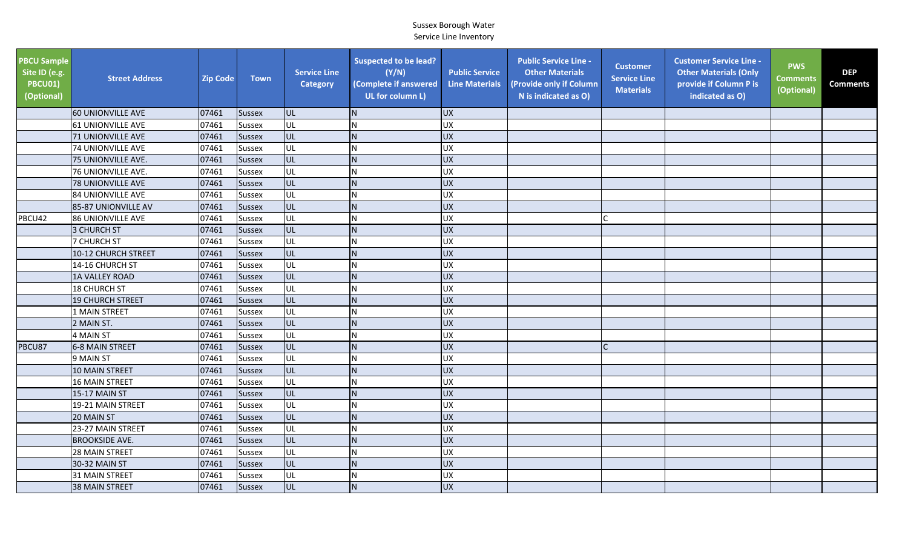| <b>PBCU Sample</b><br>Site ID (e.g.<br><b>PBCU01)</b><br>(Optional) | <b>Street Address</b>    | <b>Zip Code</b> | <b>Town</b>   | <b>Service Line</b><br><b>Category</b> | <b>Suspected to be lead?</b><br>(Y/N)<br>(Complete if answered<br>UL for column L) | <b>Public Service</b><br><b>Line Materials</b> | <b>Public Service Line -</b><br><b>Other Materials</b><br>(Provide only if Column<br>N is indicated as O) | <b>Customer</b><br><b>Service Line</b><br><b>Materials</b> | <b>Customer Service Line -</b><br><b>Other Materials (Only</b><br>provide if Column P is<br>indicated as O) | <b>PWS</b><br><b>Comments</b><br>(Optional) | <b>DEP</b><br><b>Comments</b> |
|---------------------------------------------------------------------|--------------------------|-----------------|---------------|----------------------------------------|------------------------------------------------------------------------------------|------------------------------------------------|-----------------------------------------------------------------------------------------------------------|------------------------------------------------------------|-------------------------------------------------------------------------------------------------------------|---------------------------------------------|-------------------------------|
|                                                                     | <b>60 UNIONVILLE AVE</b> | 07461           | Sussex        | UL                                     | IN.                                                                                | <b>UX</b>                                      |                                                                                                           |                                                            |                                                                                                             |                                             |                               |
|                                                                     | <b>61 UNIONVILLE AVE</b> | 07461           | Sussex        | UL                                     | N                                                                                  | UX                                             |                                                                                                           |                                                            |                                                                                                             |                                             |                               |
|                                                                     | <b>71 UNIONVILLE AVE</b> | 07461           | Sussex        | UL                                     | N                                                                                  | <b>UX</b>                                      |                                                                                                           |                                                            |                                                                                                             |                                             |                               |
|                                                                     | <b>74 UNIONVILLE AVE</b> | 07461           | Sussex        | UL                                     | ${\sf N}$                                                                          | UX                                             |                                                                                                           |                                                            |                                                                                                             |                                             |                               |
|                                                                     | 75 UNIONVILLE AVE.       | 07461           | Sussex        | UL                                     | N                                                                                  | UX                                             |                                                                                                           |                                                            |                                                                                                             |                                             |                               |
|                                                                     | 76 UNIONVILLE AVE.       | 07461           | Sussex        | UL                                     | N                                                                                  | UX                                             |                                                                                                           |                                                            |                                                                                                             |                                             |                               |
|                                                                     | <b>78 UNIONVILLE AVE</b> | 07461           | <b>Sussex</b> | UL                                     | N                                                                                  | <b>UX</b>                                      |                                                                                                           |                                                            |                                                                                                             |                                             |                               |
|                                                                     | 84 UNIONVILLE AVE        | 07461           | Sussex        | UL                                     | N                                                                                  | UX                                             |                                                                                                           |                                                            |                                                                                                             |                                             |                               |
|                                                                     | 85-87 UNIONVILLE AV      | 07461           | <b>Sussex</b> | UL                                     | N                                                                                  | UX                                             |                                                                                                           |                                                            |                                                                                                             |                                             |                               |
| PBCU42                                                              | <b>86 UNIONVILLE AVE</b> | 07461           | <b>Sussex</b> | UL                                     | $\mathsf{N}$                                                                       | UX                                             |                                                                                                           | $\mathsf{C}$                                               |                                                                                                             |                                             |                               |
|                                                                     | <b>3 CHURCH ST</b>       | 07461           | <b>Sussex</b> | UL                                     | N                                                                                  | <b>UX</b>                                      |                                                                                                           |                                                            |                                                                                                             |                                             |                               |
|                                                                     | <b>7 CHURCH ST</b>       | 07461           | <b>Sussex</b> | UL                                     | $\mathsf{N}$                                                                       | UX                                             |                                                                                                           |                                                            |                                                                                                             |                                             |                               |
|                                                                     | 10-12 CHURCH STREET      | 07461           | Sussex        | UL                                     | $\mathsf{N}$                                                                       | UX                                             |                                                                                                           |                                                            |                                                                                                             |                                             |                               |
|                                                                     | 14-16 CHURCH ST          | 07461           | Sussex        | UL                                     | N                                                                                  | <b>ND</b>                                      |                                                                                                           |                                                            |                                                                                                             |                                             |                               |
|                                                                     | <b>1A VALLEY ROAD</b>    | 07461           | <b>Sussex</b> | UL                                     | IN.                                                                                | <b>UX</b>                                      |                                                                                                           |                                                            |                                                                                                             |                                             |                               |
|                                                                     | 18 CHURCH ST             | 07461           | <b>Sussex</b> | UL                                     | N                                                                                  | UX                                             |                                                                                                           |                                                            |                                                                                                             |                                             |                               |
|                                                                     | <b>19 CHURCH STREET</b>  | 07461           | <b>Sussex</b> | <b>UL</b>                              | I <sub>N</sub>                                                                     | UX                                             |                                                                                                           |                                                            |                                                                                                             |                                             |                               |
|                                                                     | 1 MAIN STREET            | 07461           | Sussex        | UL                                     | IN.                                                                                | $\overline{UX}$                                |                                                                                                           |                                                            |                                                                                                             |                                             |                               |
|                                                                     | 2 MAIN ST.               | 07461           | Sussex        | <b>UL</b>                              | I <sub>N</sub>                                                                     | <b>UX</b>                                      |                                                                                                           |                                                            |                                                                                                             |                                             |                               |
|                                                                     | <b>4 MAIN ST</b>         | 07461           | Sussex        | UL                                     | IN.                                                                                | <b>UX</b>                                      |                                                                                                           |                                                            |                                                                                                             |                                             |                               |
| PBCU87                                                              | <b>6-8 MAIN STREET</b>   | 07461           | <b>Sussex</b> | UL                                     | I <sub>N</sub>                                                                     | UX                                             |                                                                                                           |                                                            |                                                                                                             |                                             |                               |
|                                                                     | 9 MAIN ST                | 07461           | Sussex        | UL                                     | IN.                                                                                | X                                              |                                                                                                           |                                                            |                                                                                                             |                                             |                               |
|                                                                     | 10 MAIN STREET           | 07461           | <b>Sussex</b> | UL                                     | IN.                                                                                | <b>UX</b>                                      |                                                                                                           |                                                            |                                                                                                             |                                             |                               |
|                                                                     | <b>16 MAIN STREET</b>    | 07461           | Sussex        | UL                                     | N                                                                                  | UX                                             |                                                                                                           |                                                            |                                                                                                             |                                             |                               |
|                                                                     | 15-17 MAIN ST            | 07461           | <b>Sussex</b> | UL                                     | N                                                                                  | <b>UX</b>                                      |                                                                                                           |                                                            |                                                                                                             |                                             |                               |
|                                                                     | 19-21 MAIN STREET        | 07461           | Sussex        | UL                                     | $\mathsf{N}$                                                                       | UX                                             |                                                                                                           |                                                            |                                                                                                             |                                             |                               |
|                                                                     | 20 MAIN ST               | 07461           | <b>Sussex</b> | UL                                     | $\overline{N}$                                                                     | <b>UX</b>                                      |                                                                                                           |                                                            |                                                                                                             |                                             |                               |
|                                                                     | 23-27 MAIN STREET        | 07461           | <b>Sussex</b> | UL                                     | N                                                                                  | UX                                             |                                                                                                           |                                                            |                                                                                                             |                                             |                               |
|                                                                     | <b>BROOKSIDE AVE.</b>    | 07461           | <b>Sussex</b> | UL                                     | N                                                                                  | UX                                             |                                                                                                           |                                                            |                                                                                                             |                                             |                               |
|                                                                     | 28 MAIN STREET           | 07461           | Sussex        | UL                                     | N                                                                                  | UX                                             |                                                                                                           |                                                            |                                                                                                             |                                             |                               |
|                                                                     | 30-32 MAIN ST            | 07461           | <b>Sussex</b> | UL                                     | N                                                                                  | UX                                             |                                                                                                           |                                                            |                                                                                                             |                                             |                               |
|                                                                     | <b>31 MAIN STREET</b>    | 07461           | Sussex        | UL                                     | N                                                                                  | UX                                             |                                                                                                           |                                                            |                                                                                                             |                                             |                               |
|                                                                     | <b>38 MAIN STREET</b>    | 07461           | Sussex        | UL                                     | N                                                                                  | UX                                             |                                                                                                           |                                                            |                                                                                                             |                                             |                               |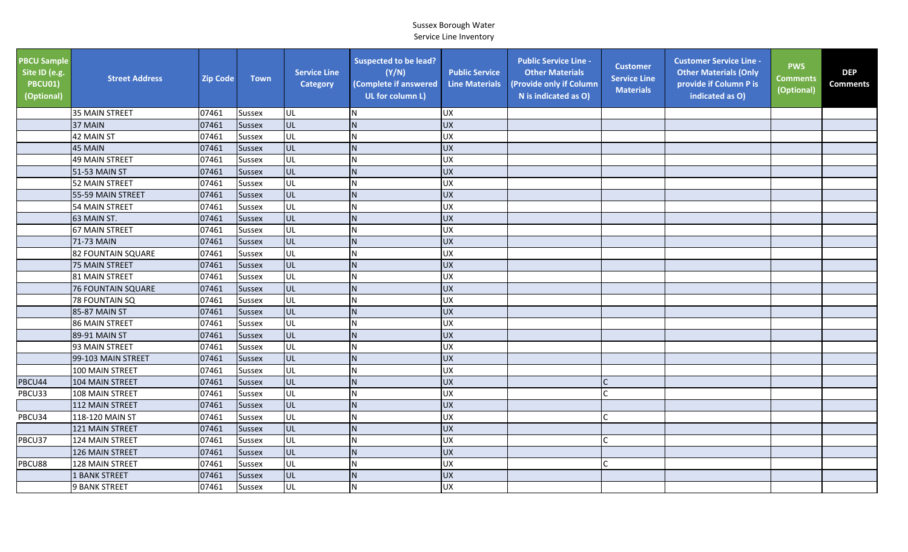| <b>PBCU Sample</b><br>Site ID (e.g.<br><b>PBCU01)</b><br>(Optional) | <b>Street Address</b>     | <b>Zip Code</b> | <b>Town</b>   | <b>Service Line</b><br><b>Category</b> | <b>Suspected to be lead?</b><br>(Y/N)<br>(Complete if answered<br>UL for column L) | <b>Public Service</b><br><b>Line Materials</b> | <b>Public Service Line -</b><br><b>Other Materials</b><br>(Provide only if Column<br>N is indicated as O) | <b>Customer</b><br><b>Service Line</b><br><b>Materials</b> | <b>Customer Service Line -</b><br><b>Other Materials (Only</b><br>provide if Column P is<br>indicated as O) | <b>PWS</b><br><b>Comments</b><br>(Optional) | <b>DEP</b><br><b>Comments</b> |
|---------------------------------------------------------------------|---------------------------|-----------------|---------------|----------------------------------------|------------------------------------------------------------------------------------|------------------------------------------------|-----------------------------------------------------------------------------------------------------------|------------------------------------------------------------|-------------------------------------------------------------------------------------------------------------|---------------------------------------------|-------------------------------|
|                                                                     | <b>35 MAIN STREET</b>     | 07461           | Sussex        | UL                                     | N                                                                                  | UX                                             |                                                                                                           |                                                            |                                                                                                             |                                             |                               |
|                                                                     | 37 MAIN                   | 07461           | <b>Sussex</b> | UL                                     | ${\sf N}$                                                                          | <b>UX</b>                                      |                                                                                                           |                                                            |                                                                                                             |                                             |                               |
|                                                                     | 42 MAIN ST                | 07461           | Sussex        | UL                                     | ${\sf N}$                                                                          | <b>UX</b>                                      |                                                                                                           |                                                            |                                                                                                             |                                             |                               |
|                                                                     | 45 MAIN                   | 07461           | <b>Sussex</b> | UL                                     | N                                                                                  | <b>UX</b>                                      |                                                                                                           |                                                            |                                                                                                             |                                             |                               |
|                                                                     | <b>49 MAIN STREET</b>     | 07461           | Sussex        | UL                                     | ${\sf N}$                                                                          | <b>UX</b>                                      |                                                                                                           |                                                            |                                                                                                             |                                             |                               |
|                                                                     | 51-53 MAIN ST             | 07461           | <b>Sussex</b> | UL                                     | ${\sf N}$                                                                          | <b>UX</b>                                      |                                                                                                           |                                                            |                                                                                                             |                                             |                               |
|                                                                     | <b>52 MAIN STREET</b>     | 07461           | Sussex        | UL                                     | ${\sf N}$                                                                          | <b>UX</b>                                      |                                                                                                           |                                                            |                                                                                                             |                                             |                               |
|                                                                     | 55-59 MAIN STREET         | 07461           | <b>Sussex</b> | UL                                     | $\mathsf{N}$                                                                       | <b>UX</b>                                      |                                                                                                           |                                                            |                                                                                                             |                                             |                               |
|                                                                     | <b>54 MAIN STREET</b>     | 07461           | Sussex        | UL                                     | ${\sf N}$                                                                          | UX                                             |                                                                                                           |                                                            |                                                                                                             |                                             |                               |
|                                                                     | 63 MAIN ST.               | 07461           | <b>Sussex</b> | UL                                     | ${\sf N}$                                                                          | <b>UX</b>                                      |                                                                                                           |                                                            |                                                                                                             |                                             |                               |
|                                                                     | <b>67 MAIN STREET</b>     | 07461           | <b>Sussex</b> | UL                                     | ${\sf N}$                                                                          | UX                                             |                                                                                                           |                                                            |                                                                                                             |                                             |                               |
|                                                                     | 71-73 MAIN                | 07461           | <b>Sussex</b> | UL                                     | $\mathsf{N}$                                                                       | <b>UX</b>                                      |                                                                                                           |                                                            |                                                                                                             |                                             |                               |
|                                                                     | <b>82 FOUNTAIN SQUARE</b> | 07461           | Sussex        | UL                                     | ${\sf N}$                                                                          | <b>UX</b>                                      |                                                                                                           |                                                            |                                                                                                             |                                             |                               |
|                                                                     | <b>75 MAIN STREET</b>     | 07461           | <b>Sussex</b> | UL                                     | ${\sf N}$                                                                          | UX                                             |                                                                                                           |                                                            |                                                                                                             |                                             |                               |
|                                                                     | 81 MAIN STREET            | 07461           | Sussex        | UL                                     | ${\sf N}$                                                                          | <b>UX</b>                                      |                                                                                                           |                                                            |                                                                                                             |                                             |                               |
|                                                                     | <b>76 FOUNTAIN SQUARE</b> | 07461           | <b>Sussex</b> | UL                                     | N <sub>1</sub>                                                                     | <b>UX</b>                                      |                                                                                                           |                                                            |                                                                                                             |                                             |                               |
|                                                                     | <b>78 FOUNTAIN SQ</b>     | 07461           | Sussex        | UL                                     | N                                                                                  | UX                                             |                                                                                                           |                                                            |                                                                                                             |                                             |                               |
|                                                                     | 85-87 MAIN ST             | 07461           | Sussex        | UL                                     | ${\sf N}$                                                                          | <b>UX</b>                                      |                                                                                                           |                                                            |                                                                                                             |                                             |                               |
|                                                                     | <b>86 MAIN STREET</b>     | 07461           | Sussex        | UL                                     | ${\sf N}$                                                                          | <b>UX</b>                                      |                                                                                                           |                                                            |                                                                                                             |                                             |                               |
|                                                                     | 89-91 MAIN ST             | 07461           | <b>Sussex</b> | UL                                     | ${\sf N}$                                                                          | <b>UX</b>                                      |                                                                                                           |                                                            |                                                                                                             |                                             |                               |
|                                                                     | 93 MAIN STREET            | 07461           | Sussex        | UL                                     | N                                                                                  | <b>UX</b>                                      |                                                                                                           |                                                            |                                                                                                             |                                             |                               |
|                                                                     | 99-103 MAIN STREET        | 07461           | <b>Sussex</b> | UL                                     | ${\sf N}$                                                                          | <b>UX</b>                                      |                                                                                                           |                                                            |                                                                                                             |                                             |                               |
|                                                                     | 100 MAIN STREET           | 07461           | Sussex        | UL                                     | ${\sf N}$                                                                          | <b>UX</b>                                      |                                                                                                           |                                                            |                                                                                                             |                                             |                               |
| PBCU44                                                              | 104 MAIN STREET           | 07461           | <b>Sussex</b> | UL                                     | ${\sf N}$                                                                          | <b>UX</b>                                      |                                                                                                           |                                                            |                                                                                                             |                                             |                               |
| PBCU33                                                              | 108 MAIN STREET           | 07461           | <b>Sussex</b> | UL                                     | ${\sf N}$                                                                          | <b>UX</b>                                      |                                                                                                           |                                                            |                                                                                                             |                                             |                               |
|                                                                     | 112 MAIN STREET           | 07461           | <b>Sussex</b> | UL                                     | ${\sf N}$                                                                          | <b>UX</b>                                      |                                                                                                           |                                                            |                                                                                                             |                                             |                               |
| PBCU34                                                              | 118-120 MAIN ST           | 07461           | Sussex        | UL                                     | ${\sf N}$                                                                          | UX                                             |                                                                                                           |                                                            |                                                                                                             |                                             |                               |
|                                                                     | 121 MAIN STREET           | 07461           | <b>Sussex</b> | UL                                     | N                                                                                  | <b>UX</b>                                      |                                                                                                           |                                                            |                                                                                                             |                                             |                               |
| PBCU37                                                              | 124 MAIN STREET           | 07461           | Sussex        | UL                                     | ${\sf N}$                                                                          | UX                                             |                                                                                                           |                                                            |                                                                                                             |                                             |                               |
|                                                                     | 126 MAIN STREET           | 07461           | <b>Sussex</b> | UL                                     | N                                                                                  | <b>UX</b>                                      |                                                                                                           |                                                            |                                                                                                             |                                             |                               |
| PBCU88                                                              | 128 MAIN STREET           | 07461           | Sussex        | UL                                     | ${\sf N}$                                                                          | UX                                             |                                                                                                           |                                                            |                                                                                                             |                                             |                               |
|                                                                     | <b>1 BANK STREET</b>      | 07461           | <b>Sussex</b> | UL                                     | ${\sf N}$                                                                          | <b>UX</b>                                      |                                                                                                           |                                                            |                                                                                                             |                                             |                               |
|                                                                     | <b>9 BANK STREET</b>      | 07461           | <b>Sussex</b> | UL                                     | ${\sf N}$                                                                          | <b>UX</b>                                      |                                                                                                           |                                                            |                                                                                                             |                                             |                               |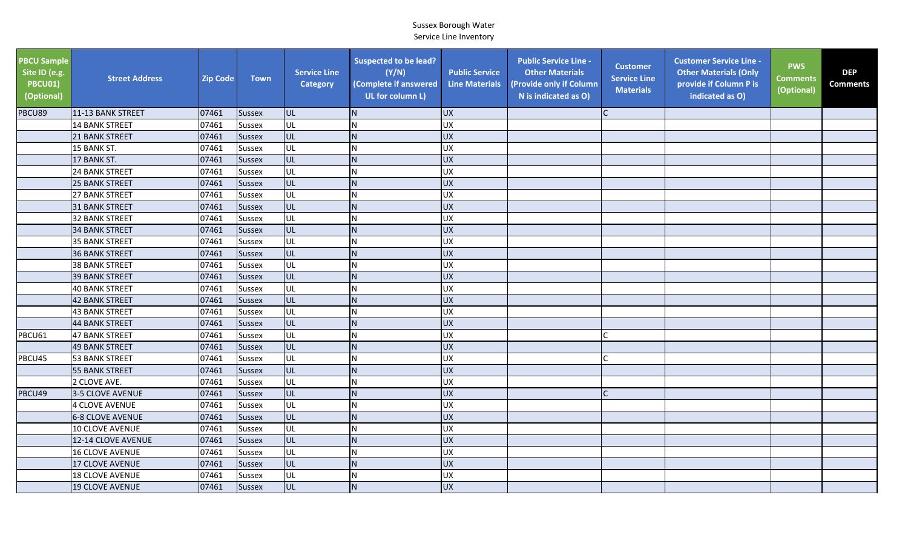| <b>PBCU Sample</b><br>Site ID (e.g.<br><b>PBCU01)</b><br>(Optional) | <b>Street Address</b>   | <b>Zip Code</b> | <b>Town</b>   | <b>Service Line</b><br><b>Category</b> | <b>Suspected to be lead?</b><br>(Y/N)<br>(Complete if answered<br>UL for column L) | <b>Public Service</b><br><b>Line Materials</b> | <b>Public Service Line -</b><br><b>Other Materials</b><br>(Provide only if Column<br>N is indicated as O) | <b>Customer</b><br><b>Service Line</b><br><b>Materials</b> | <b>Customer Service Line -</b><br><b>Other Materials (Only</b><br>provide if Column P is<br>indicated as O) | <b>PWS</b><br><b>Comments</b><br>(Optional) | <b>DEP</b><br><b>Comments</b> |
|---------------------------------------------------------------------|-------------------------|-----------------|---------------|----------------------------------------|------------------------------------------------------------------------------------|------------------------------------------------|-----------------------------------------------------------------------------------------------------------|------------------------------------------------------------|-------------------------------------------------------------------------------------------------------------|---------------------------------------------|-------------------------------|
| PBCU89                                                              | 11-13 BANK STREET       | 07461           | <b>Sussex</b> | UL                                     | N                                                                                  | <b>UX</b>                                      |                                                                                                           | C.                                                         |                                                                                                             |                                             |                               |
|                                                                     | <b>14 BANK STREET</b>   | 07461           | <b>Sussex</b> | UL                                     | ${\sf N}$                                                                          | UX                                             |                                                                                                           |                                                            |                                                                                                             |                                             |                               |
|                                                                     | 21 BANK STREET          | 07461           | <b>Sussex</b> | UL                                     | ${\sf N}$                                                                          | UX                                             |                                                                                                           |                                                            |                                                                                                             |                                             |                               |
|                                                                     | 15 BANK ST.             | 07461           | Sussex        | UL                                     | ${\sf N}$                                                                          | UX                                             |                                                                                                           |                                                            |                                                                                                             |                                             |                               |
|                                                                     | 17 BANK ST.             | 07461           | <b>Sussex</b> | UL                                     | ${\sf N}$                                                                          | <b>UX</b>                                      |                                                                                                           |                                                            |                                                                                                             |                                             |                               |
|                                                                     | 24 BANK STREET          | 07461           | Sussex        | UL                                     | ${\sf N}$                                                                          | UX                                             |                                                                                                           |                                                            |                                                                                                             |                                             |                               |
|                                                                     | <b>25 BANK STREET</b>   | 07461           | <b>Sussex</b> | UL                                     | N                                                                                  | <b>UX</b>                                      |                                                                                                           |                                                            |                                                                                                             |                                             |                               |
|                                                                     | 27 BANK STREET          | 07461           | Sussex        | UL                                     | ${\sf N}$                                                                          | <b>UX</b>                                      |                                                                                                           |                                                            |                                                                                                             |                                             |                               |
|                                                                     | <b>31 BANK STREET</b>   | 07461           | <b>Sussex</b> | UL                                     | ${\sf N}$                                                                          | <b>UX</b>                                      |                                                                                                           |                                                            |                                                                                                             |                                             |                               |
|                                                                     | 32 BANK STREET          | 07461           | Sussex        | UL                                     | ${\sf N}$                                                                          | <b>UX</b>                                      |                                                                                                           |                                                            |                                                                                                             |                                             |                               |
|                                                                     | <b>34 BANK STREET</b>   | 07461           | <b>Sussex</b> | UL                                     | ${\sf N}$                                                                          | <b>UX</b>                                      |                                                                                                           |                                                            |                                                                                                             |                                             |                               |
|                                                                     | <b>35 BANK STREET</b>   | 07461           | Sussex        | UL                                     | ${\sf N}$                                                                          | <b>UX</b>                                      |                                                                                                           |                                                            |                                                                                                             |                                             |                               |
|                                                                     | <b>36 BANK STREET</b>   | 07461           | <b>Sussex</b> | UL                                     | ${\sf N}$                                                                          | <b>UX</b>                                      |                                                                                                           |                                                            |                                                                                                             |                                             |                               |
|                                                                     | <b>38 BANK STREET</b>   | 07461           | Sussex        | UL                                     | ${\sf N}$                                                                          | <b>UX</b>                                      |                                                                                                           |                                                            |                                                                                                             |                                             |                               |
|                                                                     | <b>39 BANK STREET</b>   | 07461           | <b>Sussex</b> | UL                                     | ${\sf N}$                                                                          | <b>UX</b>                                      |                                                                                                           |                                                            |                                                                                                             |                                             |                               |
|                                                                     | <b>40 BANK STREET</b>   | 07461           | Sussex        | UL                                     | ${\sf N}$                                                                          | UX                                             |                                                                                                           |                                                            |                                                                                                             |                                             |                               |
|                                                                     | <b>42 BANK STREET</b>   | 07461           | <b>Sussex</b> | UL                                     | N                                                                                  | <b>UX</b>                                      |                                                                                                           |                                                            |                                                                                                             |                                             |                               |
|                                                                     | <b>43 BANK STREET</b>   | 07461           | Sussex        | UL                                     | N                                                                                  | UX                                             |                                                                                                           |                                                            |                                                                                                             |                                             |                               |
|                                                                     | <b>44 BANK STREET</b>   | 07461           | Sussex        | UL                                     | $\mathsf{N}$                                                                       | <b>UX</b>                                      |                                                                                                           |                                                            |                                                                                                             |                                             |                               |
| PBCU61                                                              | <b>47 BANK STREET</b>   | 07461           | Sussex        | UL                                     | ${\sf N}$                                                                          | UX                                             |                                                                                                           |                                                            |                                                                                                             |                                             |                               |
|                                                                     | <b>49 BANK STREET</b>   | 07461           | <b>Sussex</b> | UL                                     | ${\sf N}$                                                                          | <b>UX</b>                                      |                                                                                                           |                                                            |                                                                                                             |                                             |                               |
| PBCU45                                                              | 53 BANK STREET          | 07461           | Sussex        | UL                                     | ${\sf N}$                                                                          | <b>UX</b>                                      |                                                                                                           |                                                            |                                                                                                             |                                             |                               |
|                                                                     | <b>55 BANK STREET</b>   | 07461           | <b>Sussex</b> | UL                                     | ${\sf N}$                                                                          | <b>UX</b>                                      |                                                                                                           |                                                            |                                                                                                             |                                             |                               |
|                                                                     | 2 CLOVE AVE.            | 07461           | Sussex        | UL                                     | ${\sf N}$                                                                          | <b>UX</b>                                      |                                                                                                           |                                                            |                                                                                                             |                                             |                               |
| PBCU49                                                              | 3-5 CLOVE AVENUE        | 07461           | <b>Sussex</b> | UL                                     | ${\sf N}$                                                                          | <b>UX</b>                                      |                                                                                                           |                                                            |                                                                                                             |                                             |                               |
|                                                                     | <b>4 CLOVE AVENUE</b>   | 07461           | Sussex        | UL                                     | ${\sf N}$                                                                          | <b>UX</b>                                      |                                                                                                           |                                                            |                                                                                                             |                                             |                               |
|                                                                     | <b>6-8 CLOVE AVENUE</b> | 07461           | <b>Sussex</b> | UL                                     | ${\sf N}$                                                                          | <b>UX</b>                                      |                                                                                                           |                                                            |                                                                                                             |                                             |                               |
|                                                                     | <b>10 CLOVE AVENUE</b>  | 07461           | Sussex        | UL                                     | ${\sf N}$                                                                          | <b>UX</b>                                      |                                                                                                           |                                                            |                                                                                                             |                                             |                               |
|                                                                     | 12-14 CLOVE AVENUE      | 07461           | <b>Sussex</b> | UL                                     | ${\sf N}$                                                                          | <b>UX</b>                                      |                                                                                                           |                                                            |                                                                                                             |                                             |                               |
|                                                                     | <b>16 CLOVE AVENUE</b>  | 07461           | Sussex        | UL                                     | ${\sf N}$                                                                          | <b>UX</b>                                      |                                                                                                           |                                                            |                                                                                                             |                                             |                               |
|                                                                     | <b>17 CLOVE AVENUE</b>  | 07461           | <b>Sussex</b> | UL                                     | ${\sf N}$                                                                          | <b>UX</b>                                      |                                                                                                           |                                                            |                                                                                                             |                                             |                               |
|                                                                     | <b>18 CLOVE AVENUE</b>  | 07461           | Sussex        | UL                                     | ${\sf N}$                                                                          | <b>UX</b>                                      |                                                                                                           |                                                            |                                                                                                             |                                             |                               |
|                                                                     | <b>19 CLOVE AVENUE</b>  | 07461           | <b>Sussex</b> | UL                                     | ${\sf N}$                                                                          | <b>UX</b>                                      |                                                                                                           |                                                            |                                                                                                             |                                             |                               |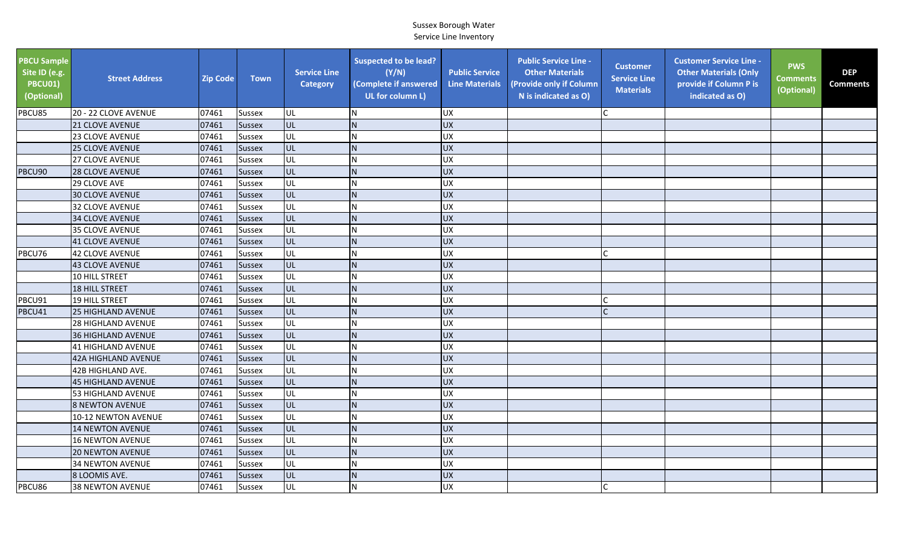| <b>PBCU Sample</b><br>Site ID (e.g.<br><b>PBCU01)</b><br>(Optional) | <b>Street Address</b>     | <b>Zip Code</b> | <b>Town</b>   | <b>Service Line</b><br><b>Category</b> | <b>Suspected to be lead?</b><br>(Y/N)<br>(Complete if answered<br>UL for column L) | <b>Public Service</b><br><b>Line Materials</b> | <b>Public Service Line -</b><br><b>Other Materials</b><br>(Provide only if Column<br>N is indicated as O) | <b>Customer</b><br><b>Service Line</b><br><b>Materials</b> | <b>Customer Service Line -</b><br><b>Other Materials (Only</b><br>provide if Column P is<br>indicated as O) | <b>PWS</b><br>Comments<br>(Optional) | <b>DEP</b><br><b>Comments</b> |
|---------------------------------------------------------------------|---------------------------|-----------------|---------------|----------------------------------------|------------------------------------------------------------------------------------|------------------------------------------------|-----------------------------------------------------------------------------------------------------------|------------------------------------------------------------|-------------------------------------------------------------------------------------------------------------|--------------------------------------|-------------------------------|
| PBCU85                                                              | 20 - 22 CLOVE AVENUE      | 07461           | <b>Sussex</b> | UL                                     | N                                                                                  | <b>UX</b>                                      |                                                                                                           | lc                                                         |                                                                                                             |                                      |                               |
|                                                                     | <b>21 CLOVE AVENUE</b>    | 07461           | <b>Sussex</b> | UL                                     | <b>N</b>                                                                           | UX                                             |                                                                                                           |                                                            |                                                                                                             |                                      |                               |
|                                                                     | 23 CLOVE AVENUE           | 07461           | <b>Sussex</b> | UL                                     | IN.                                                                                | UX                                             |                                                                                                           |                                                            |                                                                                                             |                                      |                               |
|                                                                     | <b>25 CLOVE AVENUE</b>    | 07461           | <b>Sussex</b> | UL                                     |                                                                                    | <b>UX</b>                                      |                                                                                                           |                                                            |                                                                                                             |                                      |                               |
|                                                                     | <b>27 CLOVE AVENUE</b>    | 07461           | <b>Sussex</b> | UL                                     | N                                                                                  | UX                                             |                                                                                                           |                                                            |                                                                                                             |                                      |                               |
| PBCU90                                                              | <b>28 CLOVE AVENUE</b>    | 07461           | <b>Sussex</b> | UL                                     | I <sub>N</sub>                                                                     | UX                                             |                                                                                                           |                                                            |                                                                                                             |                                      |                               |
|                                                                     | 29 CLOVE AVE              | 07461           | <b>Sussex</b> | UL                                     | N                                                                                  | UX                                             |                                                                                                           |                                                            |                                                                                                             |                                      |                               |
|                                                                     | <b>30 CLOVE AVENUE</b>    | 07461           | <b>Sussex</b> | UL                                     | ΙN                                                                                 | <b>UX</b>                                      |                                                                                                           |                                                            |                                                                                                             |                                      |                               |
|                                                                     | <b>32 CLOVE AVENUE</b>    | 07461           | Sussex        | UL                                     | İΝ                                                                                 | UX                                             |                                                                                                           |                                                            |                                                                                                             |                                      |                               |
|                                                                     | <b>34 CLOVE AVENUE</b>    | 07461           | <b>Sussex</b> | UL                                     | <b>N</b>                                                                           | UX                                             |                                                                                                           |                                                            |                                                                                                             |                                      |                               |
|                                                                     | <b>35 CLOVE AVENUE</b>    | 07461           | <b>Sussex</b> | UL                                     | <b>N</b>                                                                           | UX                                             |                                                                                                           |                                                            |                                                                                                             |                                      |                               |
|                                                                     | <b>41 CLOVE AVENUE</b>    | 07461           | <b>Sussex</b> | UL                                     | N                                                                                  | UX                                             |                                                                                                           |                                                            |                                                                                                             |                                      |                               |
| PBCU76                                                              | <b>42 CLOVE AVENUE</b>    | 07461           | <b>Sussex</b> | UL                                     | <b>N</b>                                                                           | UX                                             |                                                                                                           | IC                                                         |                                                                                                             |                                      |                               |
|                                                                     | <b>43 CLOVE AVENUE</b>    | 07461           | <b>Sussex</b> | UL                                     | N                                                                                  | UX                                             |                                                                                                           |                                                            |                                                                                                             |                                      |                               |
|                                                                     | 10 HILL STREET            | 07461           | <b>Sussex</b> | UL                                     | N                                                                                  | UX                                             |                                                                                                           |                                                            |                                                                                                             |                                      |                               |
|                                                                     | <b>18 HILL STREET</b>     | 07461           | <b>Sussex</b> | UL                                     | N                                                                                  | <b>UX</b>                                      |                                                                                                           |                                                            |                                                                                                             |                                      |                               |
| PBCU91                                                              | 19 HILL STREET            | 07461           | Sussex        | UL                                     | N                                                                                  | UX                                             |                                                                                                           |                                                            |                                                                                                             |                                      |                               |
| PBCU41                                                              | <b>25 HIGHLAND AVENUE</b> | 07461           | <b>Sussex</b> | UL                                     | IN.                                                                                | UX                                             |                                                                                                           |                                                            |                                                                                                             |                                      |                               |
|                                                                     | 28 HIGHLAND AVENUE        | 07461           | Sussex        | UL                                     | N                                                                                  | UX                                             |                                                                                                           |                                                            |                                                                                                             |                                      |                               |
|                                                                     | <b>36 HIGHLAND AVENUE</b> | 07461           | <b>Sussex</b> | UL                                     | İΝ                                                                                 | <b>UX</b>                                      |                                                                                                           |                                                            |                                                                                                             |                                      |                               |
|                                                                     | <b>41 HIGHLAND AVENUE</b> | 07461           | <b>Sussex</b> | UL                                     | IN.                                                                                | UX                                             |                                                                                                           |                                                            |                                                                                                             |                                      |                               |
|                                                                     | 42A HIGHLAND AVENUE       | 07461           | <b>Sussex</b> | UL                                     | I <sub>N</sub>                                                                     | UX                                             |                                                                                                           |                                                            |                                                                                                             |                                      |                               |
|                                                                     | 42B HIGHLAND AVE.         | 07461           | <b>Sussex</b> | UL                                     | IN.                                                                                | UX                                             |                                                                                                           |                                                            |                                                                                                             |                                      |                               |
|                                                                     | <b>45 HIGHLAND AVENUE</b> | 07461           | <b>Sussex</b> | UL                                     | I <sub>N</sub>                                                                     | UX                                             |                                                                                                           |                                                            |                                                                                                             |                                      |                               |
|                                                                     | <b>53 HIGHLAND AVENUE</b> | 07461           | <b>Sussex</b> | UL                                     | N                                                                                  | UX                                             |                                                                                                           |                                                            |                                                                                                             |                                      |                               |
|                                                                     | <b>8 NEWTON AVENUE</b>    | 07461           | <b>Sussex</b> | UL                                     | <b>N</b>                                                                           | UX                                             |                                                                                                           |                                                            |                                                                                                             |                                      |                               |
|                                                                     | 10-12 NEWTON AVENUE       | 07461           | <b>Sussex</b> | UL                                     | N                                                                                  | UX                                             |                                                                                                           |                                                            |                                                                                                             |                                      |                               |
|                                                                     | <b>14 NEWTON AVENUE</b>   | 07461           | <b>Sussex</b> | UL                                     | <b>N</b>                                                                           | <b>UX</b>                                      |                                                                                                           |                                                            |                                                                                                             |                                      |                               |
|                                                                     | <b>16 NEWTON AVENUE</b>   | 07461           | <b>Sussex</b> | UL                                     | N                                                                                  | UX                                             |                                                                                                           |                                                            |                                                                                                             |                                      |                               |
|                                                                     | <b>20 NEWTON AVENUE</b>   | 07461           | <b>Sussex</b> | UL                                     |                                                                                    | UX                                             |                                                                                                           |                                                            |                                                                                                             |                                      |                               |
|                                                                     | <b>34 NEWTON AVENUE</b>   | 07461           | <b>Sussex</b> | UL                                     | N                                                                                  | UX                                             |                                                                                                           |                                                            |                                                                                                             |                                      |                               |
|                                                                     | 8 LOOMIS AVE.             | 07461           | <b>Sussex</b> | UL                                     | <b>N</b>                                                                           | <b>UX</b>                                      |                                                                                                           |                                                            |                                                                                                             |                                      |                               |
| PBCU86                                                              | <b>38 NEWTON AVENUE</b>   | 07461           | <b>Sussex</b> | UL                                     | IN.                                                                                | UX                                             |                                                                                                           |                                                            |                                                                                                             |                                      |                               |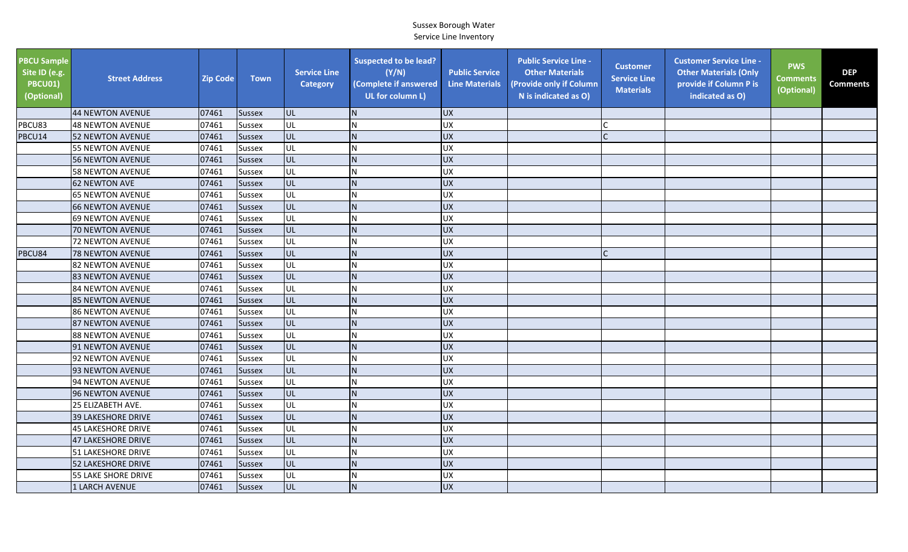| <b>PBCU Sample</b><br>Site ID (e.g.<br><b>PBCU01)</b><br>(Optional) | <b>Street Address</b>      | <b>Zip Code</b> | <b>Town</b>   | <b>Service Line</b><br><b>Category</b> | <b>Suspected to be lead?</b><br>(Y/N)<br>(Complete if answered<br>UL for column L) | <b>Public Service</b><br><b>Line Materials</b> | <b>Public Service Line -</b><br><b>Other Materials</b><br>(Provide only if Column<br>N is indicated as O) | <b>Customer</b><br><b>Service Line</b><br><b>Materials</b> | <b>Customer Service Line -</b><br><b>Other Materials (Only</b><br>provide if Column P is<br>indicated as O) | <b>PWS</b><br>Comments<br>(Optional) | <b>DEP</b><br><b>Comments</b> |
|---------------------------------------------------------------------|----------------------------|-----------------|---------------|----------------------------------------|------------------------------------------------------------------------------------|------------------------------------------------|-----------------------------------------------------------------------------------------------------------|------------------------------------------------------------|-------------------------------------------------------------------------------------------------------------|--------------------------------------|-------------------------------|
|                                                                     | <b>44 NEWTON AVENUE</b>    | 07461           | <b>Sussex</b> | UL                                     | İΝ                                                                                 | <b>UX</b>                                      |                                                                                                           |                                                            |                                                                                                             |                                      |                               |
| PBCU83                                                              | <b>48 NEWTON AVENUE</b>    | 07461           | <b>Sussex</b> | UL                                     | N                                                                                  | UX                                             |                                                                                                           |                                                            |                                                                                                             |                                      |                               |
| PBCU14                                                              | <b>52 NEWTON AVENUE</b>    | 07461           | <b>Sussex</b> | UL                                     | <b>N</b>                                                                           | UX                                             |                                                                                                           |                                                            |                                                                                                             |                                      |                               |
|                                                                     | <b>55 NEWTON AVENUE</b>    | 07461           | <b>Sussex</b> | UL                                     | N                                                                                  | UX                                             |                                                                                                           |                                                            |                                                                                                             |                                      |                               |
|                                                                     | <b>56 NEWTON AVENUE</b>    | 07461           | <b>Sussex</b> | UL                                     | ΙN                                                                                 | <b>UX</b>                                      |                                                                                                           |                                                            |                                                                                                             |                                      |                               |
|                                                                     | <b>58 NEWTON AVENUE</b>    | 07461           | <b>Sussex</b> | UL                                     | N                                                                                  | UX                                             |                                                                                                           |                                                            |                                                                                                             |                                      |                               |
|                                                                     | <b>62 NEWTON AVE</b>       | 07461           | <b>Sussex</b> | UL                                     | <b>N</b>                                                                           | <b>UX</b>                                      |                                                                                                           |                                                            |                                                                                                             |                                      |                               |
|                                                                     | <b>65 NEWTON AVENUE</b>    | 07461           | <b>Sussex</b> | UL                                     | <b>N</b>                                                                           | UX                                             |                                                                                                           |                                                            |                                                                                                             |                                      |                               |
|                                                                     | <b>66 NEWTON AVENUE</b>    | 07461           | <b>Sussex</b> | UL                                     | I <sub>N</sub>                                                                     | UX                                             |                                                                                                           |                                                            |                                                                                                             |                                      |                               |
|                                                                     | <b>69 NEWTON AVENUE</b>    | 07461           | <b>Sussex</b> | UL                                     | N                                                                                  | UX                                             |                                                                                                           |                                                            |                                                                                                             |                                      |                               |
|                                                                     | <b>70 NEWTON AVENUE</b>    | 07461           | <b>Sussex</b> | UL                                     | <b>N</b>                                                                           | <b>UX</b>                                      |                                                                                                           |                                                            |                                                                                                             |                                      |                               |
|                                                                     | <b>72 NEWTON AVENUE</b>    | 07461           | <b>Sussex</b> | UL                                     | <b>N</b>                                                                           | UX                                             |                                                                                                           |                                                            |                                                                                                             |                                      |                               |
| PBCU84                                                              | <b>78 NEWTON AVENUE</b>    | 07461           | <b>Sussex</b> | UL                                     | N                                                                                  | UX                                             |                                                                                                           | IC                                                         |                                                                                                             |                                      |                               |
|                                                                     | <b>82 NEWTON AVENUE</b>    | 07461           | <b>Sussex</b> | UL                                     | N                                                                                  | UX                                             |                                                                                                           |                                                            |                                                                                                             |                                      |                               |
|                                                                     | <b>83 NEWTON AVENUE</b>    | 07461           | <b>Sussex</b> | UL                                     | <b>N</b>                                                                           | <b>UX</b>                                      |                                                                                                           |                                                            |                                                                                                             |                                      |                               |
|                                                                     | <b>84 NEWTON AVENUE</b>    | 07461           | <b>Sussex</b> | UL                                     | N                                                                                  | UX                                             |                                                                                                           |                                                            |                                                                                                             |                                      |                               |
|                                                                     | <b>85 NEWTON AVENUE</b>    | 07461           | <b>Sussex</b> | UL                                     | IN.                                                                                | <b>UX</b>                                      |                                                                                                           |                                                            |                                                                                                             |                                      |                               |
|                                                                     | <b>86 NEWTON AVENUE</b>    | 07461           | Sussex        | UL                                     | İΝ                                                                                 | UX                                             |                                                                                                           |                                                            |                                                                                                             |                                      |                               |
|                                                                     | <b>87 NEWTON AVENUE</b>    | 07461           | Sussex        | UL                                     | I <sub>N</sub>                                                                     | <b>UX</b>                                      |                                                                                                           |                                                            |                                                                                                             |                                      |                               |
|                                                                     | <b>88 NEWTON AVENUE</b>    | 07461           | Sussex        | UL                                     | IN.                                                                                | UX                                             |                                                                                                           |                                                            |                                                                                                             |                                      |                               |
|                                                                     | 91 NEWTON AVENUE           | 07461           | <b>Sussex</b> | UL                                     | I <sub>N</sub>                                                                     | <b>UX</b>                                      |                                                                                                           |                                                            |                                                                                                             |                                      |                               |
|                                                                     | 92 NEWTON AVENUE           | 07461           | Sussex        | UL                                     | IN.                                                                                | UX                                             |                                                                                                           |                                                            |                                                                                                             |                                      |                               |
|                                                                     | 93 NEWTON AVENUE           | 07461           | <b>Sussex</b> | UL                                     | İΝ                                                                                 | <b>UX</b>                                      |                                                                                                           |                                                            |                                                                                                             |                                      |                               |
|                                                                     | 94 NEWTON AVENUE           | 07461           | <b>Sussex</b> | UL                                     | N                                                                                  | UX                                             |                                                                                                           |                                                            |                                                                                                             |                                      |                               |
|                                                                     | <b>96 NEWTON AVENUE</b>    | 07461           | <b>Sussex</b> | UL                                     | <b>N</b>                                                                           | <b>UX</b>                                      |                                                                                                           |                                                            |                                                                                                             |                                      |                               |
|                                                                     | 25 ELIZABETH AVE.          | 07461           | <b>Sussex</b> | UL                                     | IN.                                                                                | UX                                             |                                                                                                           |                                                            |                                                                                                             |                                      |                               |
|                                                                     | <b>39 LAKESHORE DRIVE</b>  | 07461           | <b>Sussex</b> | UL                                     |                                                                                    | <b>UX</b>                                      |                                                                                                           |                                                            |                                                                                                             |                                      |                               |
|                                                                     | <b>45 LAKESHORE DRIVE</b>  | 07461           | <b>Sussex</b> | UL                                     | <b>N</b>                                                                           | UX                                             |                                                                                                           |                                                            |                                                                                                             |                                      |                               |
|                                                                     | <b>47 LAKESHORE DRIVE</b>  | 07461           | <b>Sussex</b> | UL                                     | <b>N</b>                                                                           | UX                                             |                                                                                                           |                                                            |                                                                                                             |                                      |                               |
|                                                                     | <b>51 LAKESHORE DRIVE</b>  | 07461           | Sussex        | UL                                     | N                                                                                  | UX                                             |                                                                                                           |                                                            |                                                                                                             |                                      |                               |
|                                                                     | <b>52 LAKESHORE DRIVE</b>  | 07461           | <b>Sussex</b> | UL                                     |                                                                                    | <b>UX</b>                                      |                                                                                                           |                                                            |                                                                                                             |                                      |                               |
|                                                                     | <b>55 LAKE SHORE DRIVE</b> | 07461           | <b>Sussex</b> | UL                                     | IN.                                                                                | UX                                             |                                                                                                           |                                                            |                                                                                                             |                                      |                               |
|                                                                     | 1 LARCH AVENUE             | 07461           | <b>Sussex</b> | UL                                     | I <sub>N</sub>                                                                     | <b>UX</b>                                      |                                                                                                           |                                                            |                                                                                                             |                                      |                               |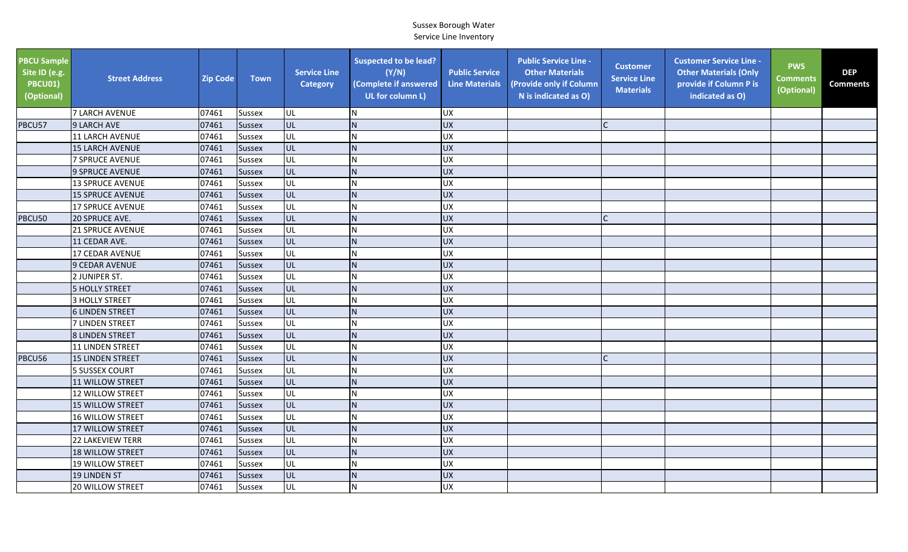| <b>PBCU Sample</b><br>Site ID (e.g.<br><b>PBCU01)</b><br>(Optional) | <b>Street Address</b>   | <b>Zip Code</b> | <b>Town</b>   | <b>Service Line</b><br><b>Category</b> | <b>Suspected to be lead?</b><br>(Y/N)<br>(Complete if answered<br>UL for column L) | <b>Public Service</b><br><b>Line Materials</b> | <b>Public Service Line -</b><br><b>Other Materials</b><br>(Provide only if Column<br>N is indicated as O) | <b>Customer</b><br><b>Service Line</b><br><b>Materials</b> | <b>Customer Service Line -</b><br><b>Other Materials (Only</b><br>provide if Column P is<br>indicated as O) | <b>PWS</b><br>Comments<br>(Optional) | <b>DEP</b><br><b>Comments</b> |
|---------------------------------------------------------------------|-------------------------|-----------------|---------------|----------------------------------------|------------------------------------------------------------------------------------|------------------------------------------------|-----------------------------------------------------------------------------------------------------------|------------------------------------------------------------|-------------------------------------------------------------------------------------------------------------|--------------------------------------|-------------------------------|
|                                                                     | 7 LARCH AVENUE          | 07461           | <b>Sussex</b> | UL                                     | ΙN                                                                                 | <b>UX</b>                                      |                                                                                                           |                                                            |                                                                                                             |                                      |                               |
| PBCU57                                                              | 9 LARCH AVE             | 07461           | <b>Sussex</b> | UL                                     | <b>N</b>                                                                           | UX                                             |                                                                                                           | lC.                                                        |                                                                                                             |                                      |                               |
|                                                                     | 11 LARCH AVENUE         | 07461           | <b>Sussex</b> | UL                                     | IN.                                                                                | UX                                             |                                                                                                           |                                                            |                                                                                                             |                                      |                               |
|                                                                     | <b>15 LARCH AVENUE</b>  | 07461           | <b>Sussex</b> | UL                                     |                                                                                    | <b>UX</b>                                      |                                                                                                           |                                                            |                                                                                                             |                                      |                               |
|                                                                     | <b>7 SPRUCE AVENUE</b>  | 07461           | Sussex        | UL                                     | ${\sf N}$                                                                          | UX                                             |                                                                                                           |                                                            |                                                                                                             |                                      |                               |
|                                                                     | <b>9 SPRUCE AVENUE</b>  | 07461           | <b>Sussex</b> | UL                                     | <b>N</b>                                                                           | <b>UX</b>                                      |                                                                                                           |                                                            |                                                                                                             |                                      |                               |
|                                                                     | <b>13 SPRUCE AVENUE</b> | 07461           | <b>Sussex</b> | UL                                     | $\mathsf{N}$                                                                       | UX                                             |                                                                                                           |                                                            |                                                                                                             |                                      |                               |
|                                                                     | <b>15 SPRUCE AVENUE</b> | 07461           | <b>Sussex</b> | UL                                     | <b>N</b>                                                                           | UX                                             |                                                                                                           |                                                            |                                                                                                             |                                      |                               |
|                                                                     | <b>17 SPRUCE AVENUE</b> | 07461           | Sussex        | UL                                     | N                                                                                  | UX                                             |                                                                                                           |                                                            |                                                                                                             |                                      |                               |
| PBCU50                                                              | 20 SPRUCE AVE.          | 07461           | <b>Sussex</b> | UL                                     | <b>N</b>                                                                           | UX                                             |                                                                                                           |                                                            |                                                                                                             |                                      |                               |
|                                                                     | 21 SPRUCE AVENUE        | 07461           | <b>Sussex</b> | UL                                     | N                                                                                  | UX                                             |                                                                                                           |                                                            |                                                                                                             |                                      |                               |
|                                                                     | 11 CEDAR AVE.           | 07461           | <b>Sussex</b> | UL                                     | N                                                                                  | UX                                             |                                                                                                           |                                                            |                                                                                                             |                                      |                               |
|                                                                     | 17 CEDAR AVENUE         | 07461           | <b>Sussex</b> | UL                                     | IN.                                                                                | UX                                             |                                                                                                           |                                                            |                                                                                                             |                                      |                               |
|                                                                     | <b>9 CEDAR AVENUE</b>   | 07461           | <b>Sussex</b> | UL                                     | N                                                                                  | UX                                             |                                                                                                           |                                                            |                                                                                                             |                                      |                               |
|                                                                     | 2 JUNIPER ST.           | 07461           | Sussex        | UL                                     | N                                                                                  | UX                                             |                                                                                                           |                                                            |                                                                                                             |                                      |                               |
|                                                                     | <b>5 HOLLY STREET</b>   | 07461           | <b>Sussex</b> | UL                                     | N                                                                                  | <b>UX</b>                                      |                                                                                                           |                                                            |                                                                                                             |                                      |                               |
|                                                                     | <b>3 HOLLY STREET</b>   | 07461           | Sussex        | UL                                     | N                                                                                  | UX                                             |                                                                                                           |                                                            |                                                                                                             |                                      |                               |
|                                                                     | <b>6 LINDEN STREET</b>  | 07461           | <b>Sussex</b> | UL                                     | IN.                                                                                | UX                                             |                                                                                                           |                                                            |                                                                                                             |                                      |                               |
|                                                                     | 7 LINDEN STREET         | 07461           | Sussex        | UL                                     | N                                                                                  | UX                                             |                                                                                                           |                                                            |                                                                                                             |                                      |                               |
|                                                                     | <b>8 LINDEN STREET</b>  | 07461           | <b>Sussex</b> | UL                                     | İΝ                                                                                 | <b>UX</b>                                      |                                                                                                           |                                                            |                                                                                                             |                                      |                               |
|                                                                     | 11 LINDEN STREET        | 07461           | Sussex        | UL                                     | IN.                                                                                | UX                                             |                                                                                                           |                                                            |                                                                                                             |                                      |                               |
| PBCU56                                                              | <b>15 LINDEN STREET</b> | 07461           | <b>Sussex</b> | UL                                     | IN.                                                                                | UX                                             |                                                                                                           |                                                            |                                                                                                             |                                      |                               |
|                                                                     | <b>5 SUSSEX COURT</b>   | 07461           | Sussex        | UL                                     | N                                                                                  | UX                                             |                                                                                                           |                                                            |                                                                                                             |                                      |                               |
|                                                                     | 11 WILLOW STREET        | 07461           | <b>Sussex</b> | UL                                     | N                                                                                  | UX                                             |                                                                                                           |                                                            |                                                                                                             |                                      |                               |
|                                                                     | 12 WILLOW STREET        | 07461           | <b>Sussex</b> | UL                                     | N                                                                                  | UX                                             |                                                                                                           |                                                            |                                                                                                             |                                      |                               |
|                                                                     | 15 WILLOW STREET        | 07461           | <b>Sussex</b> | UL                                     |                                                                                    | UX                                             |                                                                                                           |                                                            |                                                                                                             |                                      |                               |
|                                                                     | 16 WILLOW STREET        | 07461           | Sussex        | UL                                     |                                                                                    | UX                                             |                                                                                                           |                                                            |                                                                                                             |                                      |                               |
|                                                                     | 17 WILLOW STREET        | 07461           | <b>Sussex</b> | UL                                     | <b>N</b>                                                                           | UX                                             |                                                                                                           |                                                            |                                                                                                             |                                      |                               |
|                                                                     | <b>22 LAKEVIEW TERR</b> | 07461           | <b>Sussex</b> | UL                                     | N                                                                                  | <b>UX</b>                                      |                                                                                                           |                                                            |                                                                                                             |                                      |                               |
|                                                                     | <b>18 WILLOW STREET</b> | 07461           | <b>Sussex</b> | UL                                     |                                                                                    | UX                                             |                                                                                                           |                                                            |                                                                                                             |                                      |                               |
|                                                                     | 19 WILLOW STREET        | 07461           | Sussex        | UL                                     | N                                                                                  | UX                                             |                                                                                                           |                                                            |                                                                                                             |                                      |                               |
|                                                                     | 19 LINDEN ST            | 07461           | <b>Sussex</b> | UL                                     | <b>N</b>                                                                           | <b>UX</b>                                      |                                                                                                           |                                                            |                                                                                                             |                                      |                               |
|                                                                     | 20 WILLOW STREET        | 07461           | <b>Sussex</b> | UL                                     | IN.                                                                                | UX                                             |                                                                                                           |                                                            |                                                                                                             |                                      |                               |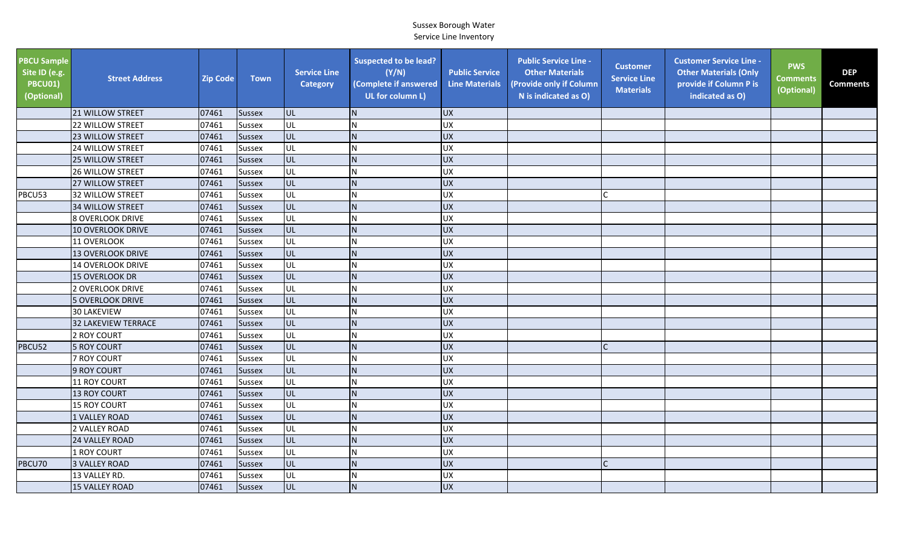| <b>PBCU Sample</b><br>Site ID (e.g.<br><b>PBCU01)</b><br>(Optional) | <b>Street Address</b>      | <b>Zip Code</b> | <b>Town</b>   | <b>Service Line</b><br><b>Category</b> | <b>Suspected to be lead?</b><br>(Y/N)<br>(Complete if answered<br>UL for column L) | <b>Public Service</b><br><b>Line Materials</b> | <b>Public Service Line -</b><br><b>Other Materials</b><br>(Provide only if Column<br>N is indicated as O) | <b>Customer</b><br><b>Service Line</b><br><b>Materials</b> | <b>Customer Service Line -</b><br><b>Other Materials (Only</b><br>provide if Column P is<br>indicated as O) | <b>PWS</b><br>Comments<br>(Optional) | <b>DEP</b><br><b>Comments</b> |
|---------------------------------------------------------------------|----------------------------|-----------------|---------------|----------------------------------------|------------------------------------------------------------------------------------|------------------------------------------------|-----------------------------------------------------------------------------------------------------------|------------------------------------------------------------|-------------------------------------------------------------------------------------------------------------|--------------------------------------|-------------------------------|
|                                                                     | 21 WILLOW STREET           | 07461           | Sussex        | UL                                     | IN.                                                                                | <b>UX</b>                                      |                                                                                                           |                                                            |                                                                                                             |                                      |                               |
|                                                                     | 22 WILLOW STREET           | 07461           | Sussex        | UL                                     | N                                                                                  | UX                                             |                                                                                                           |                                                            |                                                                                                             |                                      |                               |
|                                                                     | 23 WILLOW STREET           | 07461           | Sussex        | UL                                     | N                                                                                  | <b>UX</b>                                      |                                                                                                           |                                                            |                                                                                                             |                                      |                               |
|                                                                     | 24 WILLOW STREET           | 07461           | Sussex        | UL                                     | ${\sf N}$                                                                          | UX                                             |                                                                                                           |                                                            |                                                                                                             |                                      |                               |
|                                                                     | 25 WILLOW STREET           | 07461           | Sussex        | UL                                     | N                                                                                  | UX                                             |                                                                                                           |                                                            |                                                                                                             |                                      |                               |
|                                                                     | 26 WILLOW STREET           | 07461           | Sussex        | UL                                     | N                                                                                  | UX                                             |                                                                                                           |                                                            |                                                                                                             |                                      |                               |
|                                                                     | 27 WILLOW STREET           | 07461           | <b>Sussex</b> | UL                                     | N                                                                                  | <b>UX</b>                                      |                                                                                                           |                                                            |                                                                                                             |                                      |                               |
| PBCU53                                                              | 32 WILLOW STREET           | 07461           | Sussex        | UL                                     | N                                                                                  | UX                                             |                                                                                                           | I٢                                                         |                                                                                                             |                                      |                               |
|                                                                     | <b>34 WILLOW STREET</b>    | 07461           | <b>Sussex</b> | UL                                     | N                                                                                  | UX                                             |                                                                                                           |                                                            |                                                                                                             |                                      |                               |
|                                                                     | <b>8 OVERLOOK DRIVE</b>    | 07461           | <b>Sussex</b> | UL                                     | $\mathsf{N}$                                                                       | UX                                             |                                                                                                           |                                                            |                                                                                                             |                                      |                               |
|                                                                     | <b>10 OVERLOOK DRIVE</b>   | 07461           | <b>Sussex</b> | UL                                     | N                                                                                  | <b>UX</b>                                      |                                                                                                           |                                                            |                                                                                                             |                                      |                               |
|                                                                     | 11 OVERLOOK                | 07461           | <b>Sussex</b> | UL                                     | N                                                                                  | UX                                             |                                                                                                           |                                                            |                                                                                                             |                                      |                               |
|                                                                     | <b>13 OVERLOOK DRIVE</b>   | 07461           | Sussex        | UL                                     | $\mathsf{N}$                                                                       | UX                                             |                                                                                                           |                                                            |                                                                                                             |                                      |                               |
|                                                                     | <b>14 OVERLOOK DRIVE</b>   | 07461           | Sussex        | UL                                     | $\mathsf{N}$                                                                       | UX                                             |                                                                                                           |                                                            |                                                                                                             |                                      |                               |
|                                                                     | 15 OVERLOOK DR             | 07461           | <b>Sussex</b> | UL                                     | N <sub>1</sub>                                                                     | <b>UX</b>                                      |                                                                                                           |                                                            |                                                                                                             |                                      |                               |
|                                                                     | <b>2 OVERLOOK DRIVE</b>    | 07461           | <b>Sussex</b> | UL                                     | N                                                                                  | UX                                             |                                                                                                           |                                                            |                                                                                                             |                                      |                               |
|                                                                     | <b>5 OVERLOOK DRIVE</b>    | 07461           | <b>Sussex</b> | <b>UL</b>                              | I <sub>N</sub>                                                                     | UX                                             |                                                                                                           |                                                            |                                                                                                             |                                      |                               |
|                                                                     | <b>30 LAKEVIEW</b>         | 07461           | Sussex        | UL                                     | IN.                                                                                | UX                                             |                                                                                                           |                                                            |                                                                                                             |                                      |                               |
|                                                                     | <b>32 LAKEVIEW TERRACE</b> | 07461           | Sussex        | <b>UL</b>                              | I <sub>N</sub>                                                                     | <b>UX</b>                                      |                                                                                                           |                                                            |                                                                                                             |                                      |                               |
|                                                                     | 2 ROY COURT                | 07461           | Sussex        | UL                                     | IN.                                                                                | <b>UX</b>                                      |                                                                                                           |                                                            |                                                                                                             |                                      |                               |
| PBCU52                                                              | <b>5 ROY COURT</b>         | 07461           | <b>Sussex</b> | UL                                     | I <sub>N</sub>                                                                     | UX                                             |                                                                                                           |                                                            |                                                                                                             |                                      |                               |
|                                                                     | 7 ROY COURT                | 07461           | Sussex        | UL                                     | IN.                                                                                | X                                              |                                                                                                           |                                                            |                                                                                                             |                                      |                               |
|                                                                     | 9 ROY COURT                | 07461           | <b>Sussex</b> | UL                                     | IN.                                                                                | <b>UX</b>                                      |                                                                                                           |                                                            |                                                                                                             |                                      |                               |
|                                                                     | 11 ROY COURT               | 07461           | Sussex        | UL                                     | N                                                                                  | UX                                             |                                                                                                           |                                                            |                                                                                                             |                                      |                               |
|                                                                     | <b>13 ROY COURT</b>        | 07461           | <b>Sussex</b> | UL                                     | N                                                                                  | <b>UX</b>                                      |                                                                                                           |                                                            |                                                                                                             |                                      |                               |
|                                                                     | <b>15 ROY COURT</b>        | 07461           | Sussex        | UL                                     | N                                                                                  | UX                                             |                                                                                                           |                                                            |                                                                                                             |                                      |                               |
|                                                                     | <b>1 VALLEY ROAD</b>       | 07461           | <b>Sussex</b> | UL                                     | N                                                                                  | <b>UX</b>                                      |                                                                                                           |                                                            |                                                                                                             |                                      |                               |
|                                                                     | 2 VALLEY ROAD              | 07461           | <b>Sussex</b> | UL                                     | N                                                                                  | UX                                             |                                                                                                           |                                                            |                                                                                                             |                                      |                               |
|                                                                     | <b>24 VALLEY ROAD</b>      | 07461           | <b>Sussex</b> | UL                                     | N                                                                                  | UX                                             |                                                                                                           |                                                            |                                                                                                             |                                      |                               |
|                                                                     | 1 ROY COURT                | 07461           | Sussex        | UL                                     | N                                                                                  | UX                                             |                                                                                                           |                                                            |                                                                                                             |                                      |                               |
| PBCU70                                                              | <b>3 VALLEY ROAD</b>       | 07461           | <b>Sussex</b> | UL                                     | N                                                                                  | UX                                             |                                                                                                           |                                                            |                                                                                                             |                                      |                               |
|                                                                     | 13 VALLEY RD.              | 07461           | Sussex        | UL                                     | N                                                                                  | UX                                             |                                                                                                           |                                                            |                                                                                                             |                                      |                               |
|                                                                     | <b>15 VALLEY ROAD</b>      | 07461           | Sussex        | UL                                     | N <sub>1</sub>                                                                     | UX                                             |                                                                                                           |                                                            |                                                                                                             |                                      |                               |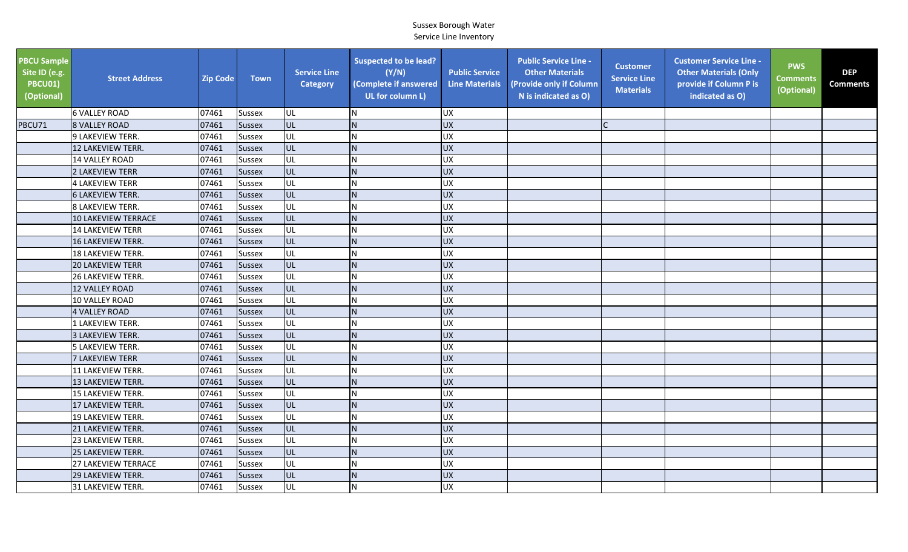| <b>PBCU Sample</b><br>Site ID (e.g.<br><b>PBCU01)</b><br>(Optional) | <b>Street Address</b>      | <b>Zip Code</b> | <b>Town</b>   | <b>Service Line</b><br><b>Category</b> | <b>Suspected to be lead?</b><br>(Y/N)<br>(Complete if answered<br>UL for column L) | <b>Public Service</b><br><b>Line Materials</b> | <b>Public Service Line -</b><br><b>Other Materials</b><br>(Provide only if Column<br>N is indicated as O) | <b>Customer</b><br><b>Service Line</b><br><b>Materials</b> | <b>Customer Service Line -</b><br><b>Other Materials (Only</b><br>provide if Column P is<br>indicated as O) | <b>PWS</b><br>Comments<br>(Optional) | <b>DEP</b><br><b>Comments</b> |
|---------------------------------------------------------------------|----------------------------|-----------------|---------------|----------------------------------------|------------------------------------------------------------------------------------|------------------------------------------------|-----------------------------------------------------------------------------------------------------------|------------------------------------------------------------|-------------------------------------------------------------------------------------------------------------|--------------------------------------|-------------------------------|
|                                                                     | <b>6 VALLEY ROAD</b>       | 07461           | Sussex        | UL                                     | IN.                                                                                | <b>UX</b>                                      |                                                                                                           |                                                            |                                                                                                             |                                      |                               |
| PBCU71                                                              | <b>8 VALLEY ROAD</b>       | 07461           | <b>Sussex</b> | UL                                     | N                                                                                  | $\overline{UX}$                                |                                                                                                           | $\overline{C}$                                             |                                                                                                             |                                      |                               |
|                                                                     | 9 LAKEVIEW TERR.           | 07461           | Sussex        | UL                                     | N                                                                                  | UX                                             |                                                                                                           |                                                            |                                                                                                             |                                      |                               |
|                                                                     | 12 LAKEVIEW TERR.          | 07461           | <b>Sussex</b> | UL                                     | N                                                                                  | <b>UX</b>                                      |                                                                                                           |                                                            |                                                                                                             |                                      |                               |
|                                                                     | <b>14 VALLEY ROAD</b>      | 07461           | <b>Sussex</b> | UL                                     | N                                                                                  | UX                                             |                                                                                                           |                                                            |                                                                                                             |                                      |                               |
|                                                                     | 2 LAKEVIEW TERR            | 07461           | <b>Sussex</b> | UL                                     | N                                                                                  | <b>UX</b>                                      |                                                                                                           |                                                            |                                                                                                             |                                      |                               |
|                                                                     | <b>4 LAKEVIEW TERR</b>     | 07461           | Sussex        | UL                                     | N                                                                                  | UX                                             |                                                                                                           |                                                            |                                                                                                             |                                      |                               |
|                                                                     | <b>6 LAKEVIEW TERR.</b>    | 07461           | <b>Sussex</b> | UL                                     | N                                                                                  | UX                                             |                                                                                                           |                                                            |                                                                                                             |                                      |                               |
|                                                                     | <b>8 LAKEVIEW TERR.</b>    | 07461           | Sussex        | UL                                     | N                                                                                  | UX                                             |                                                                                                           |                                                            |                                                                                                             |                                      |                               |
|                                                                     | <b>10 LAKEVIEW TERRACE</b> | 07461           | Sussex        | UL                                     | N                                                                                  | <b>UX</b>                                      |                                                                                                           |                                                            |                                                                                                             |                                      |                               |
|                                                                     | <b>14 LAKEVIEW TERR</b>    | 07461           | <b>Sussex</b> | UL                                     | N.                                                                                 | UX                                             |                                                                                                           |                                                            |                                                                                                             |                                      |                               |
|                                                                     | 16 LAKEVIEW TERR.          | 07461           | <b>Sussex</b> | UL                                     | N <sub>1</sub>                                                                     | <b>UX</b>                                      |                                                                                                           |                                                            |                                                                                                             |                                      |                               |
|                                                                     | 18 LAKEVIEW TERR.          | 07461           | Sussex        | UL                                     | N                                                                                  | UX                                             |                                                                                                           |                                                            |                                                                                                             |                                      |                               |
|                                                                     | <b>20 LAKEVIEW TERR</b>    | 07461           | <b>Sussex</b> | UL                                     | N <sub>1</sub>                                                                     | <b>UX</b>                                      |                                                                                                           |                                                            |                                                                                                             |                                      |                               |
|                                                                     | 26 LAKEVIEW TERR.          | 07461           | <b>Sussex</b> | UL                                     | N                                                                                  | UX                                             |                                                                                                           |                                                            |                                                                                                             |                                      |                               |
|                                                                     | <b>12 VALLEY ROAD</b>      | 07461           | <b>Sussex</b> | UL                                     | N <sub>1</sub>                                                                     | UX                                             |                                                                                                           |                                                            |                                                                                                             |                                      |                               |
|                                                                     | <b>10 VALLEY ROAD</b>      | 07461           | Sussex        | UL                                     | N                                                                                  | <b>UX</b>                                      |                                                                                                           |                                                            |                                                                                                             |                                      |                               |
|                                                                     | <b>4 VALLEY ROAD</b>       | 07461           | Sussex        | <b>UL</b>                              | N <sub>1</sub>                                                                     | UX                                             |                                                                                                           |                                                            |                                                                                                             |                                      |                               |
|                                                                     | 1 LAKEVIEW TERR.           | 07461           | Sussex        | UL                                     | N                                                                                  | UX                                             |                                                                                                           |                                                            |                                                                                                             |                                      |                               |
|                                                                     | 3 LAKEVIEW TERR.           | 07461           | <b>Sussex</b> | <b>UL</b>                              | I <sub>N</sub>                                                                     | UX                                             |                                                                                                           |                                                            |                                                                                                             |                                      |                               |
|                                                                     | <b>5 LAKEVIEW TERR.</b>    | 07461           | <b>Sussex</b> | UL                                     | IN.                                                                                | UX                                             |                                                                                                           |                                                            |                                                                                                             |                                      |                               |
|                                                                     | <b>7 LAKEVIEW TERR</b>     | 07461           | <b>Sussex</b> | UL                                     | I <sub>N</sub>                                                                     | UX                                             |                                                                                                           |                                                            |                                                                                                             |                                      |                               |
|                                                                     | 11 LAKEVIEW TERR.          | 07461           | Sussex        | UL                                     | N.                                                                                 | <b>UX</b>                                      |                                                                                                           |                                                            |                                                                                                             |                                      |                               |
|                                                                     | 13 LAKEVIEW TERR.          | 07461           | <b>Sussex</b> | UL                                     | I <sub>N</sub>                                                                     | <b>UX</b>                                      |                                                                                                           |                                                            |                                                                                                             |                                      |                               |
|                                                                     | 15 LAKEVIEW TERR.          | 07461           | Sussex        | UL                                     | N                                                                                  | UX                                             |                                                                                                           |                                                            |                                                                                                             |                                      |                               |
|                                                                     | 17 LAKEVIEW TERR.          | 07461           | <b>Sussex</b> | UL                                     | N                                                                                  | <b>UX</b>                                      |                                                                                                           |                                                            |                                                                                                             |                                      |                               |
|                                                                     | 19 LAKEVIEW TERR.          | 07461           | <b>Sussex</b> | UL                                     | $\mathsf{N}$                                                                       | UX                                             |                                                                                                           |                                                            |                                                                                                             |                                      |                               |
|                                                                     | 21 LAKEVIEW TERR.          | 07461           | <b>Sussex</b> | UL                                     | <b>N</b>                                                                           | <b>UX</b>                                      |                                                                                                           |                                                            |                                                                                                             |                                      |                               |
|                                                                     | 23 LAKEVIEW TERR.          | 07461           | Sussex        | UL                                     | $\overline{\mathsf{N}}$                                                            | UX                                             |                                                                                                           |                                                            |                                                                                                             |                                      |                               |
|                                                                     | <b>25 LAKEVIEW TERR.</b>   | 07461           | <b>Sussex</b> | UL                                     | <b>N</b>                                                                           | UX                                             |                                                                                                           |                                                            |                                                                                                             |                                      |                               |
|                                                                     | <b>27 LAKEVIEW TERRACE</b> | 07461           | Sussex        | UL                                     | N                                                                                  | UX                                             |                                                                                                           |                                                            |                                                                                                             |                                      |                               |
|                                                                     | <b>29 LAKEVIEW TERR.</b>   | 07461           | <b>Sussex</b> | UL                                     | <b>N</b>                                                                           | UX                                             |                                                                                                           |                                                            |                                                                                                             |                                      |                               |
|                                                                     | 31 LAKEVIEW TERR.          | 07461           | Sussex        | UL                                     | N                                                                                  | UX                                             |                                                                                                           |                                                            |                                                                                                             |                                      |                               |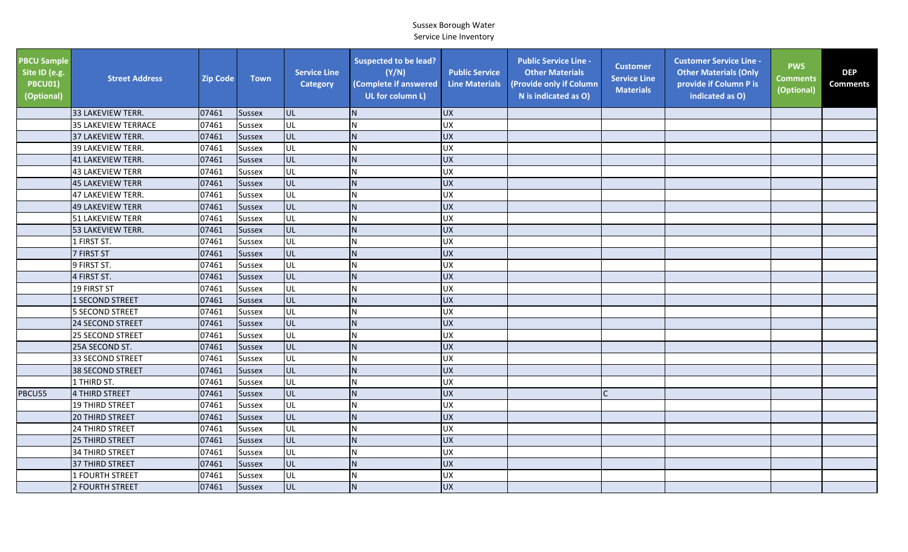| <b>PBCU Sample</b><br>Site ID (e.g.<br><b>PBCU01)</b><br>(Optional) | <b>Street Address</b>      | <b>Zip Code</b> | <b>Town</b>   | <b>Service Line</b><br><b>Category</b> | <b>Suspected to be lead?</b><br>(Y/N)<br>(Complete if answered<br>UL for column L) | <b>Public Service</b><br><b>Line Materials</b> | <b>Public Service Line -</b><br><b>Other Materials</b><br>(Provide only if Column<br>N is indicated as O) | <b>Customer</b><br><b>Service Line</b><br><b>Materials</b> | <b>Customer Service Line -</b><br><b>Other Materials (Only</b><br>provide if Column P is<br>indicated as O) | <b>PWS</b><br>Comments<br>(Optional) | <b>DEP</b><br><b>Comments</b> |
|---------------------------------------------------------------------|----------------------------|-----------------|---------------|----------------------------------------|------------------------------------------------------------------------------------|------------------------------------------------|-----------------------------------------------------------------------------------------------------------|------------------------------------------------------------|-------------------------------------------------------------------------------------------------------------|--------------------------------------|-------------------------------|
|                                                                     | 33 LAKEVIEW TERR.          | 07461           | Sussex        | UL                                     | IN.                                                                                | <b>UX</b>                                      |                                                                                                           |                                                            |                                                                                                             |                                      |                               |
|                                                                     | <b>35 LAKEVIEW TERRACE</b> | 07461           | Sussex        | UL                                     | N                                                                                  | UX                                             |                                                                                                           |                                                            |                                                                                                             |                                      |                               |
|                                                                     | 37 LAKEVIEW TERR.          | 07461           | <b>Sussex</b> | UL                                     | N                                                                                  | <b>UX</b>                                      |                                                                                                           |                                                            |                                                                                                             |                                      |                               |
|                                                                     | 39 LAKEVIEW TERR.          | 07461           | <b>Sussex</b> | UL                                     | N                                                                                  | UX                                             |                                                                                                           |                                                            |                                                                                                             |                                      |                               |
|                                                                     | 41 LAKEVIEW TERR.          | 07461           | Sussex        | UL                                     | N                                                                                  | <b>UX</b>                                      |                                                                                                           |                                                            |                                                                                                             |                                      |                               |
|                                                                     | <b>43 LAKEVIEW TERR</b>    | 07461           | Sussex        | UL                                     | $\mathsf{N}$                                                                       | UX                                             |                                                                                                           |                                                            |                                                                                                             |                                      |                               |
|                                                                     | <b>45 LAKEVIEW TERR</b>    | 07461           | <b>Sussex</b> | UL                                     | $\mathsf{N}$                                                                       | <b>UX</b>                                      |                                                                                                           |                                                            |                                                                                                             |                                      |                               |
|                                                                     | 47 LAKEVIEW TERR.          | 07461           | <b>Sussex</b> | UL                                     | N                                                                                  | UX                                             |                                                                                                           |                                                            |                                                                                                             |                                      |                               |
|                                                                     | <b>49 LAKEVIEW TERR</b>    | 07461           | <b>Sussex</b> | UL                                     | $\overline{N}$                                                                     | <b>UX</b>                                      |                                                                                                           |                                                            |                                                                                                             |                                      |                               |
|                                                                     | <b>51 LAKEVIEW TERR</b>    | 07461           | Sussex        | UL                                     | N                                                                                  | <b>UX</b>                                      |                                                                                                           |                                                            |                                                                                                             |                                      |                               |
|                                                                     | 53 LAKEVIEW TERR.          | 07461           | Sussex        | UL                                     | N                                                                                  | <b>UX</b>                                      |                                                                                                           |                                                            |                                                                                                             |                                      |                               |
|                                                                     | 1 FIRST ST.                | 07461           | <b>Sussex</b> | UL                                     | N                                                                                  | UX                                             |                                                                                                           |                                                            |                                                                                                             |                                      |                               |
|                                                                     | <b>7 FIRST ST</b>          | 07461           | <b>Sussex</b> | UL                                     | N <sub>1</sub>                                                                     | <b>UX</b>                                      |                                                                                                           |                                                            |                                                                                                             |                                      |                               |
|                                                                     | 9 FIRST ST.                | 07461           | Sussex        | UL                                     | N                                                                                  | <b>XD</b>                                      |                                                                                                           |                                                            |                                                                                                             |                                      |                               |
|                                                                     | 4 FIRST ST.                | 07461           | <b>Sussex</b> | UL                                     | N <sub>1</sub>                                                                     | <b>UX</b>                                      |                                                                                                           |                                                            |                                                                                                             |                                      |                               |
|                                                                     | <b>19 FIRST ST</b>         | 07461           | Sussex        | UL                                     | N.                                                                                 | <b>ND</b>                                      |                                                                                                           |                                                            |                                                                                                             |                                      |                               |
|                                                                     | 1 SECOND STREET            | 07461           | Sussex        | UL                                     | I <sub>N</sub>                                                                     | UX                                             |                                                                                                           |                                                            |                                                                                                             |                                      |                               |
|                                                                     | <b>5 SECOND STREET</b>     | 07461           | Sussex        | UL                                     | IN.                                                                                | UX                                             |                                                                                                           |                                                            |                                                                                                             |                                      |                               |
|                                                                     | 24 SECOND STREET           | 07461           | <b>Sussex</b> | <b>UL</b>                              | I <sub>N</sub>                                                                     | <b>UX</b>                                      |                                                                                                           |                                                            |                                                                                                             |                                      |                               |
|                                                                     | 25 SECOND STREET           | 07461           | Sussex        | UL                                     | IN.                                                                                | <b>ND</b>                                      |                                                                                                           |                                                            |                                                                                                             |                                      |                               |
|                                                                     | 25A SECOND ST.             | 07461           | <b>Sussex</b> | UL                                     | I <sub>N</sub>                                                                     | UX                                             |                                                                                                           |                                                            |                                                                                                             |                                      |                               |
|                                                                     | 33 SECOND STREET           | 07461           | Sussex        | UL                                     | IN.                                                                                | <b>ND</b>                                      |                                                                                                           |                                                            |                                                                                                             |                                      |                               |
|                                                                     | <b>38 SECOND STREET</b>    | 07461           | Sussex        | UL                                     | I <sub>N</sub>                                                                     | <b>UX</b>                                      |                                                                                                           |                                                            |                                                                                                             |                                      |                               |
|                                                                     | 1 THIRD ST.                | 07461           | Sussex        | UL                                     | N                                                                                  | UX                                             |                                                                                                           |                                                            |                                                                                                             |                                      |                               |
| PBCU55                                                              | 4 THIRD STREET             | 07461           | <b>Sussex</b> | UL                                     | N <sub>1</sub>                                                                     | <b>UX</b>                                      |                                                                                                           | IC                                                         |                                                                                                             |                                      |                               |
|                                                                     | <b>19 THIRD STREET</b>     | 07461           | Sussex        | UL                                     | ${\sf N}$                                                                          | UX                                             |                                                                                                           |                                                            |                                                                                                             |                                      |                               |
|                                                                     | 20 THIRD STREET            | 07461           | <b>Sussex</b> | UL                                     | N                                                                                  | <b>UX</b>                                      |                                                                                                           |                                                            |                                                                                                             |                                      |                               |
|                                                                     | 24 THIRD STREET            | 07461           | <b>Sussex</b> | UL                                     | N                                                                                  | UX                                             |                                                                                                           |                                                            |                                                                                                             |                                      |                               |
|                                                                     | 25 THIRD STREET            | 07461           | <b>Sussex</b> | UL                                     | N                                                                                  | lux                                            |                                                                                                           |                                                            |                                                                                                             |                                      |                               |
|                                                                     | <b>34 THIRD STREET</b>     | 07461           | Sussex        | UL                                     | IN.                                                                                | UX                                             |                                                                                                           |                                                            |                                                                                                             |                                      |                               |
|                                                                     | <b>37 THIRD STREET</b>     | 07461           | <b>Sussex</b> | UL                                     | N                                                                                  | UX                                             |                                                                                                           |                                                            |                                                                                                             |                                      |                               |
|                                                                     | 1 FOURTH STREET            | 07461           | Sussex        | UL                                     | N                                                                                  | UX                                             |                                                                                                           |                                                            |                                                                                                             |                                      |                               |
|                                                                     | 2 FOURTH STREET            | 07461           | Sussex        | UL                                     | N <sub>1</sub>                                                                     | UX                                             |                                                                                                           |                                                            |                                                                                                             |                                      |                               |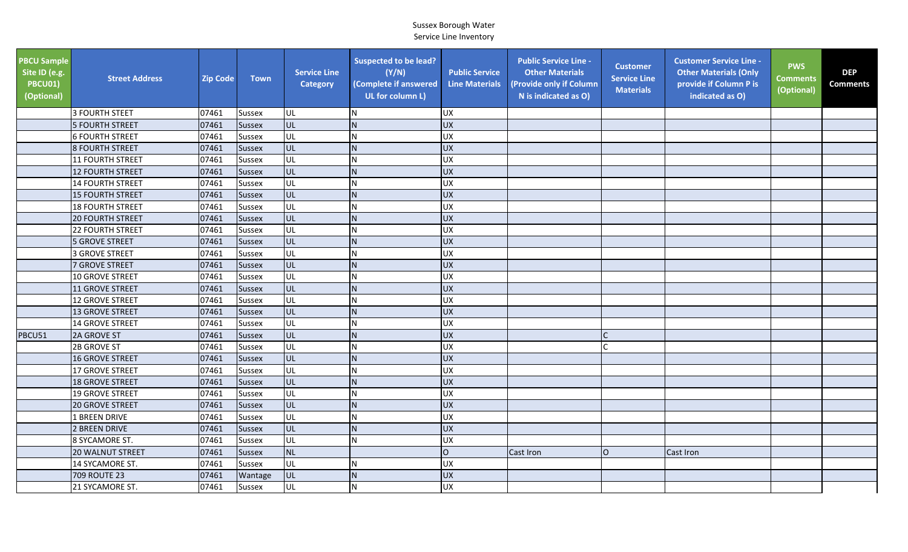| <b>PBCU Sample</b><br>Site ID (e.g.<br><b>PBCU01)</b><br>(Optional) | <b>Street Address</b>   | <b>Zip Code</b> | <b>Town</b>   | <b>Service Line</b><br><b>Category</b> | <b>Suspected to be lead?</b><br>(Y/N)<br>(Complete if answered<br>UL for column L) | <b>Public Service</b><br><b>Line Materials</b> | <b>Public Service Line -</b><br><b>Other Materials</b><br>(Provide only if Column<br>N is indicated as O) | <b>Customer</b><br><b>Service Line</b><br><b>Materials</b> | <b>Customer Service Line -</b><br><b>Other Materials (Only</b><br>provide if Column P is<br>indicated as O) | <b>PWS</b><br>Comments<br>(Optional) | <b>DEP</b><br><b>Comments</b> |
|---------------------------------------------------------------------|-------------------------|-----------------|---------------|----------------------------------------|------------------------------------------------------------------------------------|------------------------------------------------|-----------------------------------------------------------------------------------------------------------|------------------------------------------------------------|-------------------------------------------------------------------------------------------------------------|--------------------------------------|-------------------------------|
|                                                                     | <b>3 FOURTH STEET</b>   | 07461           | Sussex        | UL                                     | IN.                                                                                | <b>UX</b>                                      |                                                                                                           |                                                            |                                                                                                             |                                      |                               |
|                                                                     | <b>5 FOURTH STREET</b>  | 07461           | <b>Sussex</b> | UL                                     | N                                                                                  | <b>UX</b>                                      |                                                                                                           |                                                            |                                                                                                             |                                      |                               |
|                                                                     | <b>6 FOURTH STREET</b>  | 07461           | <b>Sussex</b> | UL                                     | N                                                                                  | UX                                             |                                                                                                           |                                                            |                                                                                                             |                                      |                               |
|                                                                     | <b>8 FOURTH STREET</b>  | 07461           | <b>Sussex</b> | UL                                     | N                                                                                  | <b>UX</b>                                      |                                                                                                           |                                                            |                                                                                                             |                                      |                               |
|                                                                     | <b>11 FOURTH STREET</b> | 07461           | Sussex        | UL                                     | N                                                                                  | UX                                             |                                                                                                           |                                                            |                                                                                                             |                                      |                               |
|                                                                     | <b>12 FOURTH STREET</b> | 07461           | <b>Sussex</b> | UL                                     | N                                                                                  | UX                                             |                                                                                                           |                                                            |                                                                                                             |                                      |                               |
|                                                                     | <b>14 FOURTH STREET</b> | 07461           | Sussex        | UL                                     | N                                                                                  | UX                                             |                                                                                                           |                                                            |                                                                                                             |                                      |                               |
|                                                                     | <b>15 FOURTH STREET</b> | 07461           | <b>Sussex</b> | UL                                     | N                                                                                  | <b>UX</b>                                      |                                                                                                           |                                                            |                                                                                                             |                                      |                               |
|                                                                     | <b>18 FOURTH STREET</b> | 07461           | Sussex        | UL                                     | N.                                                                                 | UX                                             |                                                                                                           |                                                            |                                                                                                             |                                      |                               |
|                                                                     | <b>20 FOURTH STREET</b> | 07461           | Sussex        | UL                                     | I <sub>N</sub>                                                                     | <b>UX</b>                                      |                                                                                                           |                                                            |                                                                                                             |                                      |                               |
|                                                                     | 22 FOURTH STREET        | 07461           | <b>Sussex</b> | UL                                     | N.                                                                                 | UX                                             |                                                                                                           |                                                            |                                                                                                             |                                      |                               |
|                                                                     | <b>5 GROVE STREET</b>   | 07461           | Sussex        | UL                                     | N <sub>1</sub>                                                                     | <b>UX</b>                                      |                                                                                                           |                                                            |                                                                                                             |                                      |                               |
|                                                                     | <b>3 GROVE STREET</b>   | 07461           | Sussex        | UL                                     | N.                                                                                 | X                                              |                                                                                                           |                                                            |                                                                                                             |                                      |                               |
|                                                                     | <b>7 GROVE STREET</b>   | 07461           | <b>Sussex</b> | UL                                     | N <sub>1</sub>                                                                     | <b>UX</b>                                      |                                                                                                           |                                                            |                                                                                                             |                                      |                               |
|                                                                     | <b>10 GROVE STREET</b>  | 07461           | Sussex        | UL                                     | N                                                                                  | UX                                             |                                                                                                           |                                                            |                                                                                                             |                                      |                               |
|                                                                     | 11 GROVE STREET         | 07461           | Sussex        | UL                                     | N <sub>1</sub>                                                                     | UX                                             |                                                                                                           |                                                            |                                                                                                             |                                      |                               |
|                                                                     | <b>12 GROVE STREET</b>  | 07461           | Sussex        | UL                                     | IN.                                                                                | UX                                             |                                                                                                           |                                                            |                                                                                                             |                                      |                               |
|                                                                     | <b>13 GROVE STREET</b>  | 07461           | <b>Sussex</b> | <b>UL</b>                              | I <sub>N</sub>                                                                     | <b>UX</b>                                      |                                                                                                           |                                                            |                                                                                                             |                                      |                               |
|                                                                     | <b>14 GROVE STREET</b>  | 07461           | Sussex        | UL                                     | N                                                                                  | UX                                             |                                                                                                           |                                                            |                                                                                                             |                                      |                               |
| PBCU51                                                              | <b>2A GROVE ST</b>      | 07461           | <b>Sussex</b> | UL                                     | I <sub>N</sub>                                                                     | UX                                             |                                                                                                           |                                                            |                                                                                                             |                                      |                               |
|                                                                     | <b>2B GROVE ST</b>      | 07461           | Sussex        | UL                                     | IN.                                                                                | <b>UX</b>                                      |                                                                                                           |                                                            |                                                                                                             |                                      |                               |
|                                                                     | <b>16 GROVE STREET</b>  | 07461           | <b>Sussex</b> | UL                                     | N <sub>1</sub>                                                                     | UX                                             |                                                                                                           |                                                            |                                                                                                             |                                      |                               |
|                                                                     | <b>17 GROVE STREET</b>  | 07461           | Sussex        | UL                                     | N                                                                                  | UX                                             |                                                                                                           |                                                            |                                                                                                             |                                      |                               |
|                                                                     | <b>18 GROVE STREET</b>  | 07461           | Sussex        | UL                                     | N                                                                                  | <b>UX</b>                                      |                                                                                                           |                                                            |                                                                                                             |                                      |                               |
|                                                                     | <b>19 GROVE STREET</b>  | 07461           | <b>Sussex</b> | UL                                     | N                                                                                  | UX                                             |                                                                                                           |                                                            |                                                                                                             |                                      |                               |
|                                                                     | <b>20 GROVE STREET</b>  | 07461           | <b>Sussex</b> | UL                                     | N                                                                                  | <b>UX</b>                                      |                                                                                                           |                                                            |                                                                                                             |                                      |                               |
|                                                                     | 1 BREEN DRIVE           | 07461           | Sussex        | UL                                     | N                                                                                  | UX                                             |                                                                                                           |                                                            |                                                                                                             |                                      |                               |
|                                                                     | 2 BREEN DRIVE           | 07461           | <b>Sussex</b> | UL                                     | N                                                                                  | <b>UX</b>                                      |                                                                                                           |                                                            |                                                                                                             |                                      |                               |
|                                                                     | 8 SYCAMORE ST.          | 07461           | Sussex        | UL                                     | N.                                                                                 | UX                                             |                                                                                                           |                                                            |                                                                                                             |                                      |                               |
|                                                                     | 20 WALNUT STREET        | 07461           | <b>Sussex</b> | <b>NL</b>                              |                                                                                    | lO.                                            | Cast Iron                                                                                                 | lO.                                                        | Cast Iron                                                                                                   |                                      |                               |
|                                                                     | 14 SYCAMORE ST.         | 07461           | Sussex        | UL                                     | N                                                                                  | UX                                             |                                                                                                           |                                                            |                                                                                                             |                                      |                               |
|                                                                     | <b>709 ROUTE 23</b>     | 07461           | Wantage       | UL                                     | N                                                                                  | <b>UX</b>                                      |                                                                                                           |                                                            |                                                                                                             |                                      |                               |
|                                                                     | 21 SYCAMORE ST.         | 07461           | Sussex        | UL                                     | N                                                                                  | <b>UX</b>                                      |                                                                                                           |                                                            |                                                                                                             |                                      |                               |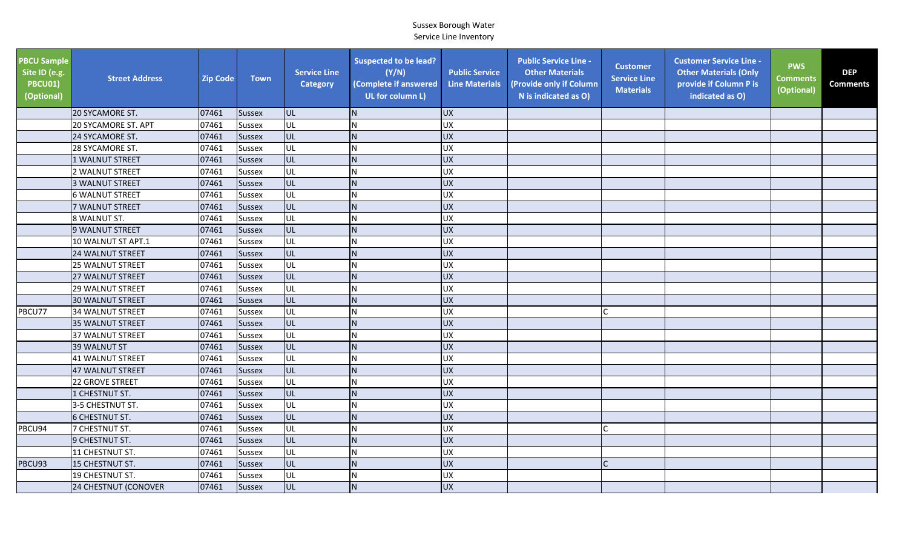| <b>PBCU Sample</b><br>Site ID (e.g.<br><b>PBCU01)</b><br>(Optional) | <b>Street Address</b>   | <b>Zip Code</b> | <b>Town</b>   | <b>Service Line</b><br><b>Category</b> | <b>Suspected to be lead?</b><br>(Y/N)<br>(Complete if answered<br>UL for column L) | <b>Public Service</b><br><b>Line Materials</b> | <b>Public Service Line -</b><br><b>Other Materials</b><br>(Provide only if Column<br>N is indicated as O) | <b>Customer</b><br><b>Service Line</b><br><b>Materials</b> | <b>Customer Service Line -</b><br><b>Other Materials (Only</b><br>provide if Column P is<br>indicated as O) | <b>PWS</b><br>Comments<br>(Optional) | <b>DEP</b><br><b>Comments</b> |
|---------------------------------------------------------------------|-------------------------|-----------------|---------------|----------------------------------------|------------------------------------------------------------------------------------|------------------------------------------------|-----------------------------------------------------------------------------------------------------------|------------------------------------------------------------|-------------------------------------------------------------------------------------------------------------|--------------------------------------|-------------------------------|
|                                                                     | 20 SYCAMORE ST.         | 07461           | Sussex        | UL                                     | IN.                                                                                | <b>UX</b>                                      |                                                                                                           |                                                            |                                                                                                             |                                      |                               |
|                                                                     | 20 SYCAMORE ST. APT     | 07461           | <b>Sussex</b> | UL                                     | N                                                                                  | UX                                             |                                                                                                           |                                                            |                                                                                                             |                                      |                               |
|                                                                     | 24 SYCAMORE ST.         | 07461           | <b>Sussex</b> | UL                                     | N                                                                                  | <b>UX</b>                                      |                                                                                                           |                                                            |                                                                                                             |                                      |                               |
|                                                                     | 28 SYCAMORE ST.         | 07461           | Sussex        | UL                                     | $\overline{\mathsf{N}}$                                                            | UX                                             |                                                                                                           |                                                            |                                                                                                             |                                      |                               |
|                                                                     | 1 WALNUT STREET         | 07461           | Sussex        | UL                                     | N                                                                                  | UX                                             |                                                                                                           |                                                            |                                                                                                             |                                      |                               |
|                                                                     | 2 WALNUT STREET         | 07461           | Sussex        | UL                                     | N                                                                                  | UX                                             |                                                                                                           |                                                            |                                                                                                             |                                      |                               |
|                                                                     | <b>3 WALNUT STREET</b>  | 07461           | <b>Sussex</b> | UL                                     | N                                                                                  | <b>UX</b>                                      |                                                                                                           |                                                            |                                                                                                             |                                      |                               |
|                                                                     | <b>6 WALNUT STREET</b>  | 07461           | Sussex        | UL                                     | N                                                                                  | UX                                             |                                                                                                           |                                                            |                                                                                                             |                                      |                               |
|                                                                     | 7 WALNUT STREET         | 07461           | <b>Sussex</b> | UL                                     | N <sub>1</sub>                                                                     | UX                                             |                                                                                                           |                                                            |                                                                                                             |                                      |                               |
|                                                                     | 8 WALNUT ST.            | 07461           | <b>Sussex</b> | UL                                     | N.                                                                                 | UX                                             |                                                                                                           |                                                            |                                                                                                             |                                      |                               |
|                                                                     | 9 WALNUT STREET         | 07461           | <b>Sussex</b> | UL                                     | N                                                                                  | <b>UX</b>                                      |                                                                                                           |                                                            |                                                                                                             |                                      |                               |
|                                                                     | 10 WALNUT ST APT.1      | 07461           | <b>Sussex</b> | UL                                     | N                                                                                  | UX                                             |                                                                                                           |                                                            |                                                                                                             |                                      |                               |
|                                                                     | 24 WALNUT STREET        | 07461           | Sussex        | UL                                     | N <sub>1</sub>                                                                     | UX                                             |                                                                                                           |                                                            |                                                                                                             |                                      |                               |
|                                                                     | 25 WALNUT STREET        | 07461           | <b>Sussex</b> | UL                                     | N                                                                                  | UX                                             |                                                                                                           |                                                            |                                                                                                             |                                      |                               |
|                                                                     | 27 WALNUT STREET        | 07461           | <b>Sussex</b> | UL                                     | IN.                                                                                | <b>UX</b>                                      |                                                                                                           |                                                            |                                                                                                             |                                      |                               |
|                                                                     | <b>29 WALNUT STREET</b> | 07461           | <b>Sussex</b> | UL                                     | N                                                                                  | UX                                             |                                                                                                           |                                                            |                                                                                                             |                                      |                               |
|                                                                     | <b>30 WALNUT STREET</b> | 07461           | <b>Sussex</b> | <b>UL</b>                              | IN.                                                                                | UX                                             |                                                                                                           |                                                            |                                                                                                             |                                      |                               |
| PBCU77                                                              | <b>34 WALNUT STREET</b> | 07461           | Sussex        | UL                                     | IN.                                                                                | UX                                             |                                                                                                           |                                                            |                                                                                                             |                                      |                               |
|                                                                     | <b>35 WALNUT STREET</b> | 07461           | Sussex        | <b>UL</b>                              | I <sub>N</sub>                                                                     | <b>UX</b>                                      |                                                                                                           |                                                            |                                                                                                             |                                      |                               |
|                                                                     | 37 WALNUT STREET        | 07461           | Sussex        | UL                                     | IN.                                                                                | <b>UX</b>                                      |                                                                                                           |                                                            |                                                                                                             |                                      |                               |
|                                                                     | 39 WALNUT ST            | 07461           | <b>Sussex</b> | UL                                     | I <sub>N</sub>                                                                     | UX                                             |                                                                                                           |                                                            |                                                                                                             |                                      |                               |
|                                                                     | 41 WALNUT STREET        | 07461           | Sussex        | UL                                     | IN.                                                                                | X                                              |                                                                                                           |                                                            |                                                                                                             |                                      |                               |
|                                                                     | 47 WALNUT STREET        | 07461           | <b>Sussex</b> | UL                                     | IN.                                                                                | <b>UX</b>                                      |                                                                                                           |                                                            |                                                                                                             |                                      |                               |
|                                                                     | 22 GROVE STREET         | 07461           | Sussex        | UL                                     | N                                                                                  | UX                                             |                                                                                                           |                                                            |                                                                                                             |                                      |                               |
|                                                                     | 1 CHESTNUT ST.          | 07461           | <b>Sussex</b> | UL                                     | <b>N</b>                                                                           | <b>UX</b>                                      |                                                                                                           |                                                            |                                                                                                             |                                      |                               |
|                                                                     | 3-5 CHESTNUT ST.        | 07461           | <b>Sussex</b> | UL                                     | N                                                                                  | UX                                             |                                                                                                           |                                                            |                                                                                                             |                                      |                               |
|                                                                     | <b>6 CHESTNUT ST.</b>   | 07461           | <b>Sussex</b> | UL                                     | N                                                                                  | <b>UX</b>                                      |                                                                                                           |                                                            |                                                                                                             |                                      |                               |
| PBCU94                                                              | 7 CHESTNUT ST.          | 07461           | <b>Sussex</b> | UL                                     | N                                                                                  | UX                                             |                                                                                                           |                                                            |                                                                                                             |                                      |                               |
|                                                                     | 9 CHESTNUT ST.          | 07461           | <b>Sussex</b> | UL                                     | N                                                                                  | UX                                             |                                                                                                           |                                                            |                                                                                                             |                                      |                               |
|                                                                     | 11 CHESTNUT ST.         | 07461           | <b>Sussex</b> | UL                                     | N                                                                                  | UX                                             |                                                                                                           |                                                            |                                                                                                             |                                      |                               |
| PBCU93                                                              | 15 CHESTNUT ST.         | 07461           | <b>Sussex</b> | UL                                     | N                                                                                  | UX                                             |                                                                                                           |                                                            |                                                                                                             |                                      |                               |
|                                                                     | 19 CHESTNUT ST.         | 07461           | Sussex        | UL                                     | N                                                                                  | UX                                             |                                                                                                           |                                                            |                                                                                                             |                                      |                               |
|                                                                     | 24 CHESTNUT (CONOVER    | 07461           | Sussex        | UL                                     | N <sub>1</sub>                                                                     | UX                                             |                                                                                                           |                                                            |                                                                                                             |                                      |                               |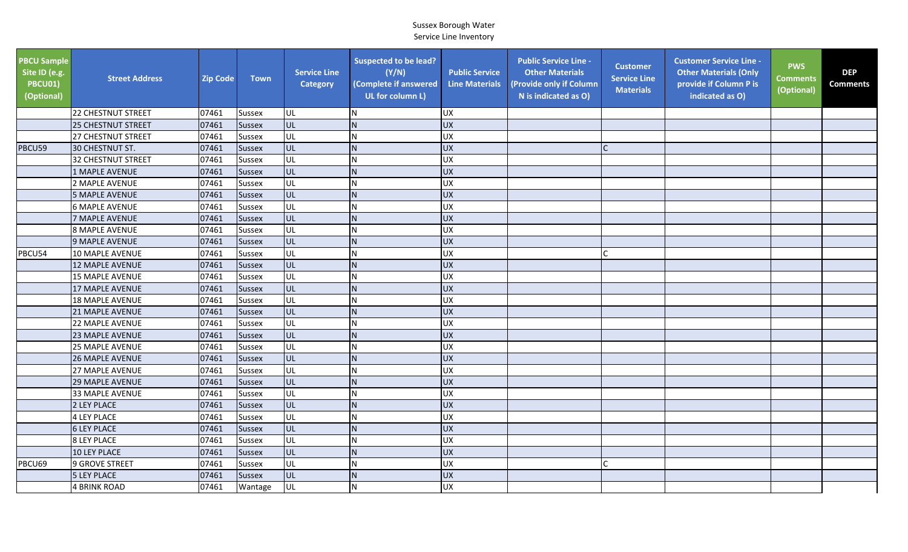| <b>PBCU Sample</b><br>Site ID (e.g.<br><b>PBCU01)</b><br>(Optional) | <b>Street Address</b>  | <b>Zip Code</b> | <b>Town</b>   | <b>Service Line</b><br><b>Category</b> | <b>Suspected to be lead?</b><br>(Y/N)<br>(Complete if answered<br>UL for column L) | <b>Public Service</b><br><b>Line Materials</b> | <b>Public Service Line -</b><br><b>Other Materials</b><br>(Provide only if Column<br>N is indicated as O) | <b>Customer</b><br><b>Service Line</b><br><b>Materials</b> | <b>Customer Service Line -</b><br><b>Other Materials (Only</b><br>provide if Column P is<br>indicated as O) | <b>PWS</b><br>Comments<br>(Optional) | <b>DEP</b><br><b>Comments</b> |
|---------------------------------------------------------------------|------------------------|-----------------|---------------|----------------------------------------|------------------------------------------------------------------------------------|------------------------------------------------|-----------------------------------------------------------------------------------------------------------|------------------------------------------------------------|-------------------------------------------------------------------------------------------------------------|--------------------------------------|-------------------------------|
|                                                                     | 22 CHESTNUT STREET     | 07461           | <b>Sussex</b> | UL                                     | N                                                                                  | <b>UX</b>                                      |                                                                                                           |                                                            |                                                                                                             |                                      |                               |
|                                                                     | 25 CHESTNUT STREET     | 07461           | <b>Sussex</b> | UL                                     | ${\sf N}$                                                                          | UX                                             |                                                                                                           |                                                            |                                                                                                             |                                      |                               |
|                                                                     | 27 CHESTNUT STREET     | 07461           | <b>Sussex</b> | UL                                     | ${\sf N}$                                                                          | <b>UX</b>                                      |                                                                                                           |                                                            |                                                                                                             |                                      |                               |
| PBCU59                                                              | 30 CHESTNUT ST.        | 07461           | <b>Sussex</b> | UL                                     | ${\sf N}$                                                                          | UX                                             |                                                                                                           |                                                            |                                                                                                             |                                      |                               |
|                                                                     | 32 CHESTNUT STREET     | 07461           | <b>Sussex</b> | UL                                     | N                                                                                  | <b>UX</b>                                      |                                                                                                           |                                                            |                                                                                                             |                                      |                               |
|                                                                     | 1 MAPLE AVENUE         | 07461           | <b>Sussex</b> | UL                                     | ${\sf N}$                                                                          | UX                                             |                                                                                                           |                                                            |                                                                                                             |                                      |                               |
|                                                                     | 2 MAPLE AVENUE         | 07461           | Sussex        | UL                                     | N                                                                                  | <b>UX</b>                                      |                                                                                                           |                                                            |                                                                                                             |                                      |                               |
|                                                                     | <b>5 MAPLE AVENUE</b>  | 07461           | <b>Sussex</b> | UL                                     | N                                                                                  | UX                                             |                                                                                                           |                                                            |                                                                                                             |                                      |                               |
|                                                                     | <b>6 MAPLE AVENUE</b>  | 07461           | Sussex        | UL                                     | ${\sf N}$                                                                          | <b>ND</b>                                      |                                                                                                           |                                                            |                                                                                                             |                                      |                               |
|                                                                     | 7 MAPLE AVENUE         | 07461           | <b>Sussex</b> | UL                                     | ${\sf N}$                                                                          | UX                                             |                                                                                                           |                                                            |                                                                                                             |                                      |                               |
|                                                                     | <b>8 MAPLE AVENUE</b>  | 07461           | Sussex        | UL                                     | ${\sf N}$                                                                          | <b>UX</b>                                      |                                                                                                           |                                                            |                                                                                                             |                                      |                               |
|                                                                     | 9 MAPLE AVENUE         | 07461           | <b>Sussex</b> | UL                                     | ${\sf N}$                                                                          | <b>UX</b>                                      |                                                                                                           |                                                            |                                                                                                             |                                      |                               |
| PBCU54                                                              | 10 MAPLE AVENUE        | 07461           | Sussex        | UL                                     | N                                                                                  | <b>XD</b>                                      |                                                                                                           | lC.                                                        |                                                                                                             |                                      |                               |
|                                                                     | 12 MAPLE AVENUE        | 07461           | <b>Sussex</b> | UL                                     | ${\sf N}$                                                                          | UX                                             |                                                                                                           |                                                            |                                                                                                             |                                      |                               |
|                                                                     | <b>15 MAPLE AVENUE</b> | 07461           | Sussex        | UL                                     | ${\sf N}$                                                                          | <b>UX</b>                                      |                                                                                                           |                                                            |                                                                                                             |                                      |                               |
|                                                                     | 17 MAPLE AVENUE        | 07461           | <b>Sussex</b> | UL                                     | ${\sf N}$                                                                          | <b>UX</b>                                      |                                                                                                           |                                                            |                                                                                                             |                                      |                               |
|                                                                     | <b>18 MAPLE AVENUE</b> | 07461           | Sussex        | UL                                     | N                                                                                  | <b>UX</b>                                      |                                                                                                           |                                                            |                                                                                                             |                                      |                               |
|                                                                     | 21 MAPLE AVENUE        | 07461           | <b>Sussex</b> | UL                                     | N                                                                                  | <b>UX</b>                                      |                                                                                                           |                                                            |                                                                                                             |                                      |                               |
|                                                                     | 22 MAPLE AVENUE        | 07461           | Sussex        | UL                                     | ${\sf N}$                                                                          | <b>UX</b>                                      |                                                                                                           |                                                            |                                                                                                             |                                      |                               |
|                                                                     | 23 MAPLE AVENUE        | 07461           | <b>Sussex</b> | UL                                     | ${\sf N}$                                                                          | <b>UX</b>                                      |                                                                                                           |                                                            |                                                                                                             |                                      |                               |
|                                                                     | 25 MAPLE AVENUE        | 07461           | Sussex        | UL                                     | $\mathsf N$                                                                        | <b>UX</b>                                      |                                                                                                           |                                                            |                                                                                                             |                                      |                               |
|                                                                     | <b>26 MAPLE AVENUE</b> | 07461           | <b>Sussex</b> | UL                                     | ${\sf N}$                                                                          | UX                                             |                                                                                                           |                                                            |                                                                                                             |                                      |                               |
|                                                                     | 27 MAPLE AVENUE        | 07461           | Sussex        | UL                                     | ${\sf N}$                                                                          | <b>UX</b>                                      |                                                                                                           |                                                            |                                                                                                             |                                      |                               |
|                                                                     | 29 MAPLE AVENUE        | 07461           | <b>Sussex</b> | UL                                     | ${\sf N}$                                                                          | UX                                             |                                                                                                           |                                                            |                                                                                                             |                                      |                               |
|                                                                     | <b>33 MAPLE AVENUE</b> | 07461           | Sussex        | $\overline{UL}$                        | ${\sf N}$                                                                          | X                                              |                                                                                                           |                                                            |                                                                                                             |                                      |                               |
|                                                                     | 2 LEY PLACE            | 07461           | <b>Sussex</b> | UL                                     | ${\sf N}$                                                                          | UX                                             |                                                                                                           |                                                            |                                                                                                             |                                      |                               |
|                                                                     | 4 LEY PLACE            | 07461           | Sussex        | UL                                     | ${\sf N}$                                                                          | <b>UX</b>                                      |                                                                                                           |                                                            |                                                                                                             |                                      |                               |
|                                                                     | <b>6 LEY PLACE</b>     | 07461           | <b>Sussex</b> | UL                                     | ${\sf N}$                                                                          | <b>UX</b>                                      |                                                                                                           |                                                            |                                                                                                             |                                      |                               |
|                                                                     | <b>8 LEY PLACE</b>     | 07461           | Sussex        | UL                                     | N                                                                                  | <b>ND</b>                                      |                                                                                                           |                                                            |                                                                                                             |                                      |                               |
|                                                                     | 10 LEY PLACE           | 07461           | <b>Sussex</b> | UL                                     | N                                                                                  | <b>UX</b>                                      |                                                                                                           |                                                            |                                                                                                             |                                      |                               |
| PBCU69                                                              | 9 GROVE STREET         | 07461           | Sussex        | UL                                     | N                                                                                  | <b>UX</b>                                      |                                                                                                           |                                                            |                                                                                                             |                                      |                               |
|                                                                     | <b>5 LEY PLACE</b>     | 07461           | <b>Sussex</b> | UL                                     | ${\sf N}$                                                                          | UX                                             |                                                                                                           |                                                            |                                                                                                             |                                      |                               |
|                                                                     | <b>4 BRINK ROAD</b>    | 07461           | Wantage       | UL                                     | ${\sf N}$                                                                          | <b>UX</b>                                      |                                                                                                           |                                                            |                                                                                                             |                                      |                               |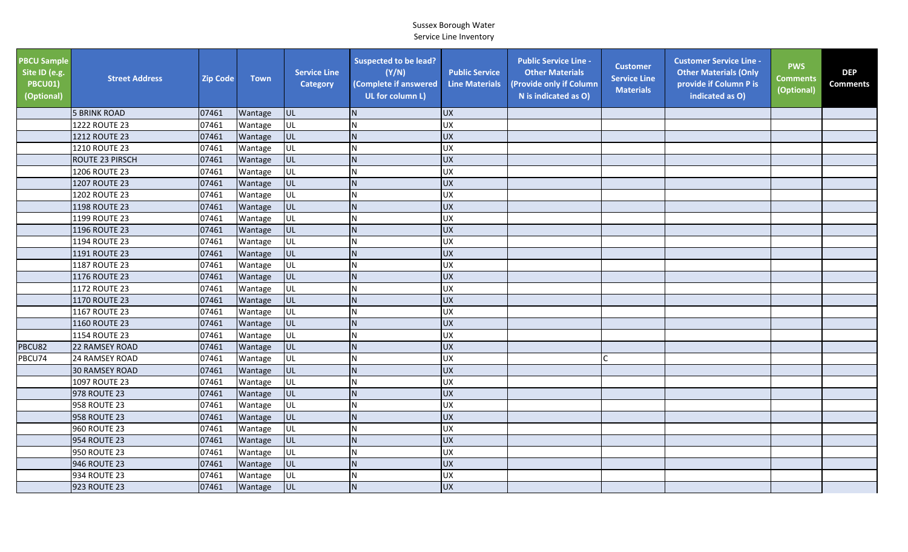| <b>PBCU Sample</b><br>Site ID (e.g.<br><b>PBCU01)</b><br>(Optional) | <b>Street Address</b> | <b>Zip Code</b> | <b>Town</b> | <b>Service Line</b><br><b>Category</b> | <b>Suspected to be lead?</b><br>(Y/N)<br>(Complete if answered<br>UL for column L) | <b>Public Service</b><br><b>Line Materials</b> | <b>Public Service Line -</b><br><b>Other Materials</b><br>(Provide only if Column<br>N is indicated as O) | <b>Customer</b><br><b>Service Line</b><br><b>Materials</b> | <b>Customer Service Line -</b><br><b>Other Materials (Only</b><br>provide if Column P is<br>indicated as O) | <b>PWS</b><br><b>Comments</b><br>(Optional) | <b>DEP</b><br><b>Comments</b> |
|---------------------------------------------------------------------|-----------------------|-----------------|-------------|----------------------------------------|------------------------------------------------------------------------------------|------------------------------------------------|-----------------------------------------------------------------------------------------------------------|------------------------------------------------------------|-------------------------------------------------------------------------------------------------------------|---------------------------------------------|-------------------------------|
|                                                                     | <b>5 BRINK ROAD</b>   | 07461           | Wantage     | UL                                     | <b>N</b>                                                                           | UX                                             |                                                                                                           |                                                            |                                                                                                             |                                             |                               |
|                                                                     | <b>1222 ROUTE 23</b>  | 07461           | Wantage     | UL                                     | $\mathsf{N}$                                                                       | UX                                             |                                                                                                           |                                                            |                                                                                                             |                                             |                               |
|                                                                     | 1212 ROUTE 23         | 07461           | Wantage     | UL                                     | $\mathsf{N}$                                                                       | <b>UX</b>                                      |                                                                                                           |                                                            |                                                                                                             |                                             |                               |
|                                                                     | 1210 ROUTE 23         | 07461           | Wantage     | UL                                     | $\mathsf{N}$                                                                       | UX                                             |                                                                                                           |                                                            |                                                                                                             |                                             |                               |
|                                                                     | ROUTE 23 PIRSCH       | 07461           | Wantage     | UL                                     | $\overline{\mathsf{N}}$                                                            | <b>UX</b>                                      |                                                                                                           |                                                            |                                                                                                             |                                             |                               |
|                                                                     | <b>1206 ROUTE 23</b>  | 07461           | Wantage     | UL                                     | N                                                                                  | UX                                             |                                                                                                           |                                                            |                                                                                                             |                                             |                               |
|                                                                     | <b>1207 ROUTE 23</b>  | 07461           | Wantage     | UL                                     | $\overline{\mathsf{N}}$                                                            | <b>UX</b>                                      |                                                                                                           |                                                            |                                                                                                             |                                             |                               |
|                                                                     | 1202 ROUTE 23         | 07461           | Wantage     | UL                                     | N                                                                                  | UX                                             |                                                                                                           |                                                            |                                                                                                             |                                             |                               |
|                                                                     | <b>1198 ROUTE 23</b>  | 07461           | Wantage     | UL                                     | $\mathsf{N}$                                                                       | UX                                             |                                                                                                           |                                                            |                                                                                                             |                                             |                               |
|                                                                     | 1199 ROUTE 23         | 07461           | Wantage     | UL                                     | $\mathsf{N}$                                                                       | UX                                             |                                                                                                           |                                                            |                                                                                                             |                                             |                               |
|                                                                     | 1196 ROUTE 23         | 07461           | Wantage     | UL                                     | $\mathsf{N}$                                                                       | <b>UX</b>                                      |                                                                                                           |                                                            |                                                                                                             |                                             |                               |
|                                                                     | 1194 ROUTE 23         | 07461           | Wantage     | UL                                     | $\mathsf{N}$                                                                       | UX                                             |                                                                                                           |                                                            |                                                                                                             |                                             |                               |
|                                                                     | 1191 ROUTE 23         | 07461           | Wantage     | UL                                     | N <sub>1</sub>                                                                     | <b>UX</b>                                      |                                                                                                           |                                                            |                                                                                                             |                                             |                               |
|                                                                     | 1187 ROUTE 23         | 07461           | Wantage     | UL                                     | $\mathsf{N}$                                                                       | UX                                             |                                                                                                           |                                                            |                                                                                                             |                                             |                               |
|                                                                     | 1176 ROUTE 23         | 07461           | Wantage     | UL                                     | $\mathsf{N}$                                                                       | <b>UX</b>                                      |                                                                                                           |                                                            |                                                                                                             |                                             |                               |
|                                                                     | 1172 ROUTE 23         | 07461           | Wantage     | UL                                     | $\mathsf{N}$                                                                       | UX                                             |                                                                                                           |                                                            |                                                                                                             |                                             |                               |
|                                                                     | <b>1170 ROUTE 23</b>  | 07461           | Wantage     | <b>UL</b>                              | N <sub>1</sub>                                                                     | UX                                             |                                                                                                           |                                                            |                                                                                                             |                                             |                               |
|                                                                     | 1167 ROUTE 23         | 07461           | Wantage     | UL                                     | $\mathsf{N}$                                                                       | UX                                             |                                                                                                           |                                                            |                                                                                                             |                                             |                               |
|                                                                     | 1160 ROUTE 23         | 07461           | Wantage     | UL                                     | N                                                                                  | <b>UX</b>                                      |                                                                                                           |                                                            |                                                                                                             |                                             |                               |
|                                                                     | 1154 ROUTE 23         | 07461           | Wantage     | UL                                     | N                                                                                  | UX                                             |                                                                                                           |                                                            |                                                                                                             |                                             |                               |
| PBCU82                                                              | 22 RAMSEY ROAD        | 07461           | Wantage     | UL                                     | N <sub>1</sub>                                                                     | <b>UX</b>                                      |                                                                                                           |                                                            |                                                                                                             |                                             |                               |
| PBCU74                                                              | 24 RAMSEY ROAD        | 07461           | Wantage     | UL                                     | N                                                                                  | X                                              |                                                                                                           |                                                            |                                                                                                             |                                             |                               |
|                                                                     | <b>30 RAMSEY ROAD</b> | 07461           | Wantage     | UL                                     | N                                                                                  | UX                                             |                                                                                                           |                                                            |                                                                                                             |                                             |                               |
|                                                                     | 1097 ROUTE 23         | 07461           | Wantage     | UL                                     | N                                                                                  | <b>UX</b>                                      |                                                                                                           |                                                            |                                                                                                             |                                             |                               |
|                                                                     | <b>978 ROUTE 23</b>   | 07461           | Wantage     | UL                                     | N <sub>1</sub>                                                                     | UX                                             |                                                                                                           |                                                            |                                                                                                             |                                             |                               |
|                                                                     | <b>958 ROUTE 23</b>   | 07461           | Wantage     | UL                                     | N                                                                                  | UX                                             |                                                                                                           |                                                            |                                                                                                             |                                             |                               |
|                                                                     | <b>958 ROUTE 23</b>   | 07461           | Wantage     | UL                                     | N                                                                                  | UX                                             |                                                                                                           |                                                            |                                                                                                             |                                             |                               |
|                                                                     | <b>960 ROUTE 23</b>   | 07461           | Wantage     | UL                                     | N                                                                                  | UX                                             |                                                                                                           |                                                            |                                                                                                             |                                             |                               |
|                                                                     | <b>954 ROUTE 23</b>   | 07461           | Wantage     | UL                                     | N                                                                                  | <b>UX</b>                                      |                                                                                                           |                                                            |                                                                                                             |                                             |                               |
|                                                                     | <b>950 ROUTE 23</b>   | 07461           | Wantage     | UL                                     | N                                                                                  | UX                                             |                                                                                                           |                                                            |                                                                                                             |                                             |                               |
|                                                                     | <b>946 ROUTE 23</b>   | 07461           | Wantage     | UL                                     | N                                                                                  | <b>UX</b>                                      |                                                                                                           |                                                            |                                                                                                             |                                             |                               |
|                                                                     | 934 ROUTE 23          | 07461           | Wantage     | UL                                     | $\mathsf{N}$                                                                       | UX                                             |                                                                                                           |                                                            |                                                                                                             |                                             |                               |
|                                                                     | <b>923 ROUTE 23</b>   | 07461           | Wantage     | UL                                     | $\mathsf{N}$                                                                       | UX                                             |                                                                                                           |                                                            |                                                                                                             |                                             |                               |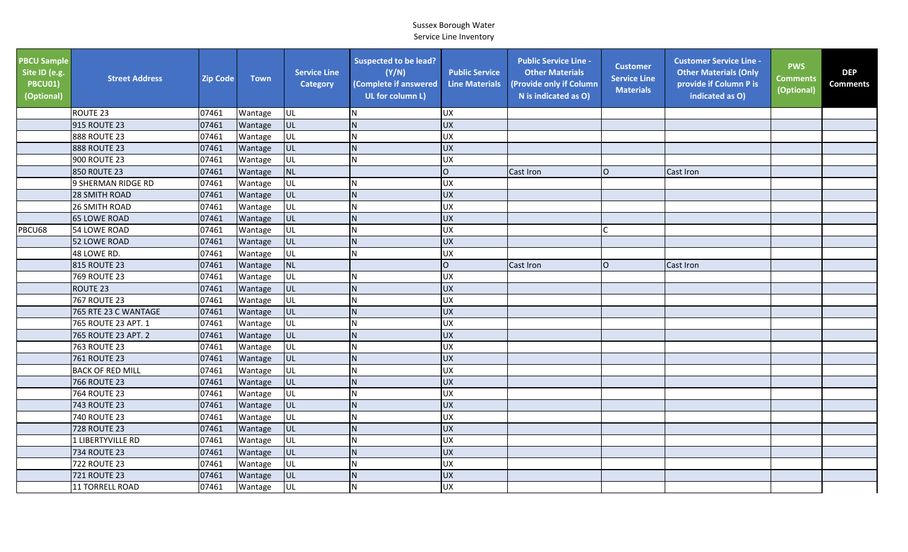| <b>PBCU Sample</b><br>Site ID (e.g.<br><b>PBCU01)</b><br>(Optional) | <b>Street Address</b>   | <b>Zip Code</b> | <b>Town</b> | <b>Service Line</b><br><b>Category</b> | <b>Suspected to be lead?</b><br>(Y/N)<br>(Complete if answered<br>UL for column L) | <b>Public Service</b><br><b>Line Materials</b> | <b>Public Service Line -</b><br><b>Other Materials</b><br>(Provide only if Column<br>N is indicated as O) | <b>Customer</b><br><b>Service Line</b><br><b>Materials</b> | <b>Customer Service Line -</b><br><b>Other Materials (Only</b><br>provide if Column P is<br>indicated as O) | <b>PWS</b><br><b>Comments</b><br>(Optional) | <b>DEP</b><br><b>Comments</b> |
|---------------------------------------------------------------------|-------------------------|-----------------|-------------|----------------------------------------|------------------------------------------------------------------------------------|------------------------------------------------|-----------------------------------------------------------------------------------------------------------|------------------------------------------------------------|-------------------------------------------------------------------------------------------------------------|---------------------------------------------|-------------------------------|
|                                                                     | ROUTE 23                | 07461           | Wantage     | UL                                     | IN.                                                                                | <b>UX</b>                                      |                                                                                                           |                                                            |                                                                                                             |                                             |                               |
|                                                                     | <b>915 ROUTE 23</b>     | 07461           | Wantage     | UL                                     | $\mathsf{N}$                                                                       | <b>UX</b>                                      |                                                                                                           |                                                            |                                                                                                             |                                             |                               |
|                                                                     | <b>888 ROUTE 23</b>     | 07461           | Wantage     | UL                                     | $\mathsf{N}$                                                                       | UX                                             |                                                                                                           |                                                            |                                                                                                             |                                             |                               |
|                                                                     | <b>888 ROUTE 23</b>     | 07461           | Wantage     | UL                                     | N                                                                                  | <b>UX</b>                                      |                                                                                                           |                                                            |                                                                                                             |                                             |                               |
|                                                                     | <b>900 ROUTE 23</b>     | 07461           | Wantage     | UL                                     | $\mathsf{N}$                                                                       | UX                                             |                                                                                                           |                                                            |                                                                                                             |                                             |                               |
|                                                                     | 850 ROUTE 23            | 07461           | Wantage     | <b>NL</b>                              |                                                                                    | O                                              | Cast Iron                                                                                                 | lo.                                                        | Cast Iron                                                                                                   |                                             |                               |
|                                                                     | 9 SHERMAN RIDGE RD      | 07461           | Wantage     | UL                                     | N                                                                                  | UX                                             |                                                                                                           |                                                            |                                                                                                             |                                             |                               |
|                                                                     | <b>28 SMITH ROAD</b>    | 07461           | Wantage     | UL                                     | N                                                                                  | <b>UX</b>                                      |                                                                                                           |                                                            |                                                                                                             |                                             |                               |
|                                                                     | 26 SMITH ROAD           | 07461           | Wantage     | UL                                     | $\mathsf{N}$                                                                       | UX                                             |                                                                                                           |                                                            |                                                                                                             |                                             |                               |
|                                                                     | <b>65 LOWE ROAD</b>     | 07461           | Wantage     | UL                                     | $\mathsf{N}$                                                                       | <b>UX</b>                                      |                                                                                                           |                                                            |                                                                                                             |                                             |                               |
| PBCU68                                                              | 54 LOWE ROAD            | 07461           | Wantage     | UL                                     | $\mathsf{N}$                                                                       | UX                                             |                                                                                                           |                                                            |                                                                                                             |                                             |                               |
|                                                                     | <b>52 LOWE ROAD</b>     | 07461           | Wantage     | UL                                     | N                                                                                  | <b>UX</b>                                      |                                                                                                           |                                                            |                                                                                                             |                                             |                               |
|                                                                     | 48 LOWE RD.             | 07461           | Wantage     | UL                                     | N                                                                                  | UX                                             |                                                                                                           |                                                            |                                                                                                             |                                             |                               |
|                                                                     | <b>815 ROUTE 23</b>     | 07461           | Wantage     | <b>NL</b>                              |                                                                                    | lO.                                            | Cast Iron                                                                                                 | O                                                          | Cast Iron                                                                                                   |                                             |                               |
|                                                                     | <b>769 ROUTE 23</b>     | 07461           | Wantage     | UL                                     | $\mathsf{N}$                                                                       | UX                                             |                                                                                                           |                                                            |                                                                                                             |                                             |                               |
|                                                                     | ROUTE 23                | 07461           | Wantage     | UL                                     | N                                                                                  | <b>UX</b>                                      |                                                                                                           |                                                            |                                                                                                             |                                             |                               |
|                                                                     | <b>767 ROUTE 23</b>     | 07461           | Wantage     | UL                                     | N                                                                                  | <b>UX</b>                                      |                                                                                                           |                                                            |                                                                                                             |                                             |                               |
|                                                                     | 765 RTE 23 C WANTAGE    | 07461           | Wantage     | <b>UL</b>                              | N                                                                                  | UX                                             |                                                                                                           |                                                            |                                                                                                             |                                             |                               |
|                                                                     | 765 ROUTE 23 APT. 1     | 07461           | Wantage     | UL                                     | N                                                                                  | UX                                             |                                                                                                           |                                                            |                                                                                                             |                                             |                               |
|                                                                     | 765 ROUTE 23 APT. 2     | 07461           | Wantage     | UL                                     | N                                                                                  | UX                                             |                                                                                                           |                                                            |                                                                                                             |                                             |                               |
|                                                                     | <b>763 ROUTE 23</b>     | 07461           | Wantage     | UL                                     | N                                                                                  | UX                                             |                                                                                                           |                                                            |                                                                                                             |                                             |                               |
|                                                                     | <b>761 ROUTE 23</b>     | 07461           | Wantage     | UL                                     | N                                                                                  | UX                                             |                                                                                                           |                                                            |                                                                                                             |                                             |                               |
|                                                                     | <b>BACK OF RED MILL</b> | 07461           | Wantage     | UL                                     | N                                                                                  | <b>UX</b>                                      |                                                                                                           |                                                            |                                                                                                             |                                             |                               |
|                                                                     | <b>766 ROUTE 23</b>     | 07461           | Wantage     | UL                                     | N                                                                                  | UX                                             |                                                                                                           |                                                            |                                                                                                             |                                             |                               |
|                                                                     | <b>764 ROUTE 23</b>     | 07461           | Wantage     | UL                                     | $\mathsf{N}$                                                                       | $\overline{UX}$                                |                                                                                                           |                                                            |                                                                                                             |                                             |                               |
|                                                                     | <b>743 ROUTE 23</b>     | 07461           | Wantage     | UL                                     | N                                                                                  | <b>UX</b>                                      |                                                                                                           |                                                            |                                                                                                             |                                             |                               |
|                                                                     | <b>740 ROUTE 23</b>     | 07461           | Wantage     | UL                                     | ${\sf N}$                                                                          | UX                                             |                                                                                                           |                                                            |                                                                                                             |                                             |                               |
|                                                                     | <b>728 ROUTE 23</b>     | 07461           | Wantage     | UL                                     | $\overline{\mathsf{N}}$                                                            | <b>UX</b>                                      |                                                                                                           |                                                            |                                                                                                             |                                             |                               |
|                                                                     | 1 LIBERTYVILLE RD       | 07461           | Wantage     | UL                                     | N                                                                                  | UX                                             |                                                                                                           |                                                            |                                                                                                             |                                             |                               |
|                                                                     | <b>734 ROUTE 23</b>     | 07461           | Wantage     | UL                                     | N                                                                                  | <b>UX</b>                                      |                                                                                                           |                                                            |                                                                                                             |                                             |                               |
|                                                                     | <b>722 ROUTE 23</b>     | 07461           | Wantage     | UL                                     | N                                                                                  | UX                                             |                                                                                                           |                                                            |                                                                                                             |                                             |                               |
|                                                                     | <b>721 ROUTE 23</b>     | 07461           | Wantage     | UL                                     | $\overline{\mathsf{N}}$                                                            | <b>UX</b>                                      |                                                                                                           |                                                            |                                                                                                             |                                             |                               |
|                                                                     | 11 TORRELL ROAD         | 07461           | Wantage     | UL                                     | $\mathsf{N}$                                                                       | <b>UX</b>                                      |                                                                                                           |                                                            |                                                                                                             |                                             |                               |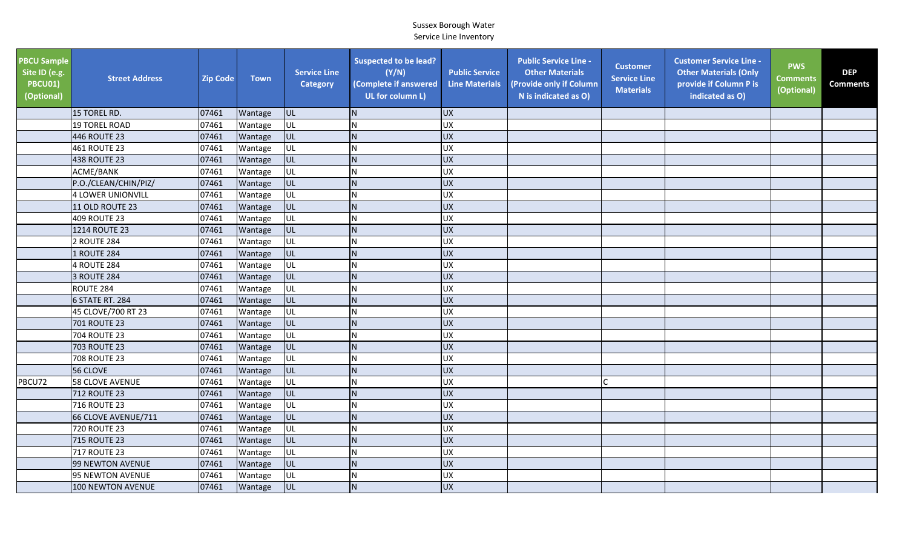| <b>PBCU Sample</b><br>Site ID (e.g.<br><b>PBCU01)</b><br>(Optional) | <b>Street Address</b>   | <b>Zip Code</b> | <b>Town</b> | <b>Service Line</b><br><b>Category</b> | <b>Suspected to be lead?</b><br>(Y/N)<br>(Complete if answered<br>UL for column L) | <b>Public Service</b><br><b>Line Materials</b> | <b>Public Service Line -</b><br><b>Other Materials</b><br>(Provide only if Column<br>N is indicated as O) | <b>Customer</b><br><b>Service Line</b><br><b>Materials</b> | <b>Customer Service Line -</b><br><b>Other Materials (Only</b><br>provide if Column P is<br>indicated as O) | <b>PWS</b><br><b>Comments</b><br>(Optional) | <b>DEP</b><br><b>Comments</b> |
|---------------------------------------------------------------------|-------------------------|-----------------|-------------|----------------------------------------|------------------------------------------------------------------------------------|------------------------------------------------|-----------------------------------------------------------------------------------------------------------|------------------------------------------------------------|-------------------------------------------------------------------------------------------------------------|---------------------------------------------|-------------------------------|
|                                                                     | 15 TOREL RD.            | 07461           | Wantage     | <b>UL</b>                              | <b>N</b>                                                                           | <b>UX</b>                                      |                                                                                                           |                                                            |                                                                                                             |                                             |                               |
|                                                                     | <b>19 TOREL ROAD</b>    | 07461           | Wantage     | UL                                     | IN.                                                                                | UX                                             |                                                                                                           |                                                            |                                                                                                             |                                             |                               |
|                                                                     | 446 ROUTE 23            | 07461           | Wantage     | UL                                     | N                                                                                  | <b>UX</b>                                      |                                                                                                           |                                                            |                                                                                                             |                                             |                               |
|                                                                     | 461 ROUTE 23            | 07461           | Wantage     | UL                                     | N                                                                                  | UX                                             |                                                                                                           |                                                            |                                                                                                             |                                             |                               |
|                                                                     | <b>438 ROUTE 23</b>     | 07461           | Wantage     | <b>UL</b>                              | N                                                                                  | <b>UX</b>                                      |                                                                                                           |                                                            |                                                                                                             |                                             |                               |
|                                                                     | ACME/BANK               | 07461           | Wantage     | UL                                     | $\mathsf{N}$                                                                       | UX                                             |                                                                                                           |                                                            |                                                                                                             |                                             |                               |
|                                                                     | P.O./CLEAN/CHIN/PIZ/    | 07461           | Wantage     | <b>UL</b>                              | <b>N</b>                                                                           | UX                                             |                                                                                                           |                                                            |                                                                                                             |                                             |                               |
|                                                                     | 4 LOWER UNIONVILL       | 07461           | Wantage     | UL                                     | N                                                                                  | UX                                             |                                                                                                           |                                                            |                                                                                                             |                                             |                               |
|                                                                     | 11 OLD ROUTE 23         | 07461           | Wantage     | UL                                     | İΝ                                                                                 | UX                                             |                                                                                                           |                                                            |                                                                                                             |                                             |                               |
|                                                                     | <b>409 ROUTE 23</b>     | 07461           | Wantage     | UL                                     | N                                                                                  | UX                                             |                                                                                                           |                                                            |                                                                                                             |                                             |                               |
|                                                                     | 1214 ROUTE 23           | 07461           | Wantage     | UL                                     | N                                                                                  | <b>UX</b>                                      |                                                                                                           |                                                            |                                                                                                             |                                             |                               |
|                                                                     | <b>2 ROUTE 284</b>      | 07461           | Wantage     | UL                                     | N                                                                                  | UX                                             |                                                                                                           |                                                            |                                                                                                             |                                             |                               |
|                                                                     | 1 ROUTE 284             | 07461           | Wantage     | UL                                     | N                                                                                  | $\overline{UX}$                                |                                                                                                           |                                                            |                                                                                                             |                                             |                               |
|                                                                     | 4 ROUTE 284             | 07461           | Wantage     | UL                                     | N                                                                                  | UX                                             |                                                                                                           |                                                            |                                                                                                             |                                             |                               |
|                                                                     | 3 ROUTE 284             | 07461           | Wantage     | UL                                     | N                                                                                  | <b>UX</b>                                      |                                                                                                           |                                                            |                                                                                                             |                                             |                               |
|                                                                     | ROUTE 284               | 07461           | Wantage     | UL                                     | N                                                                                  | UX                                             |                                                                                                           |                                                            |                                                                                                             |                                             |                               |
|                                                                     | 6 STATE RT. 284         | 07461           | Wantage     | UL                                     | IN.                                                                                | <b>UX</b>                                      |                                                                                                           |                                                            |                                                                                                             |                                             |                               |
|                                                                     | 45 CLOVE/700 RT 23      | 07461           | Wantage     | UL                                     | N                                                                                  | UX                                             |                                                                                                           |                                                            |                                                                                                             |                                             |                               |
|                                                                     | <b>701 ROUTE 23</b>     | 07461           | Wantage     | UL                                     | IN.                                                                                | <b>UX</b>                                      |                                                                                                           |                                                            |                                                                                                             |                                             |                               |
|                                                                     | <b>704 ROUTE 23</b>     | 07461           | Wantage     | UL                                     | IN.                                                                                | UX                                             |                                                                                                           |                                                            |                                                                                                             |                                             |                               |
|                                                                     | <b>703 ROUTE 23</b>     | 07461           | Wantage     | UL                                     | I <sub>N</sub>                                                                     | <b>UX</b>                                      |                                                                                                           |                                                            |                                                                                                             |                                             |                               |
|                                                                     | <b>708 ROUTE 23</b>     | 07461           | Wantage     | UL                                     | IN.                                                                                | UX                                             |                                                                                                           |                                                            |                                                                                                             |                                             |                               |
|                                                                     | 56 CLOVE                | 07461           | Wantage     | UL                                     | I <sub>N</sub>                                                                     | UX                                             |                                                                                                           |                                                            |                                                                                                             |                                             |                               |
| PBCU72                                                              | <b>58 CLOVE AVENUE</b>  | 07461           | Wantage     | UL                                     | IN.                                                                                | <b>UX</b>                                      |                                                                                                           |                                                            |                                                                                                             |                                             |                               |
|                                                                     | <b>712 ROUTE 23</b>     | 07461           | Wantage     | UL                                     | I <sub>N</sub>                                                                     | UX                                             |                                                                                                           |                                                            |                                                                                                             |                                             |                               |
|                                                                     | <b>716 ROUTE 23</b>     | 07461           | Wantage     | UL                                     | N                                                                                  | UX                                             |                                                                                                           |                                                            |                                                                                                             |                                             |                               |
|                                                                     | 66 CLOVE AVENUE/711     | 07461           | Wantage     | UL                                     | N                                                                                  | <b>UX</b>                                      |                                                                                                           |                                                            |                                                                                                             |                                             |                               |
|                                                                     | <b>720 ROUTE 23</b>     | 07461           | Wantage     | UL                                     | N                                                                                  | UX                                             |                                                                                                           |                                                            |                                                                                                             |                                             |                               |
|                                                                     | <b>715 ROUTE 23</b>     | 07461           | Wantage     | UL                                     |                                                                                    | <b>UX</b>                                      |                                                                                                           |                                                            |                                                                                                             |                                             |                               |
|                                                                     | <b>717 ROUTE 23</b>     | 07461           | Wantage     | UL                                     | N                                                                                  | UX                                             |                                                                                                           |                                                            |                                                                                                             |                                             |                               |
|                                                                     | 99 NEWTON AVENUE        | 07461           | Wantage     | UL                                     | ΙN                                                                                 | UX                                             |                                                                                                           |                                                            |                                                                                                             |                                             |                               |
|                                                                     | <b>95 NEWTON AVENUE</b> | 07461           | Wantage     | UL                                     | N                                                                                  | UX                                             |                                                                                                           |                                                            |                                                                                                             |                                             |                               |
|                                                                     | 100 NEWTON AVENUE       | 07461           | Wantage     | UL                                     | I <sub>N</sub>                                                                     | <b>UX</b>                                      |                                                                                                           |                                                            |                                                                                                             |                                             |                               |